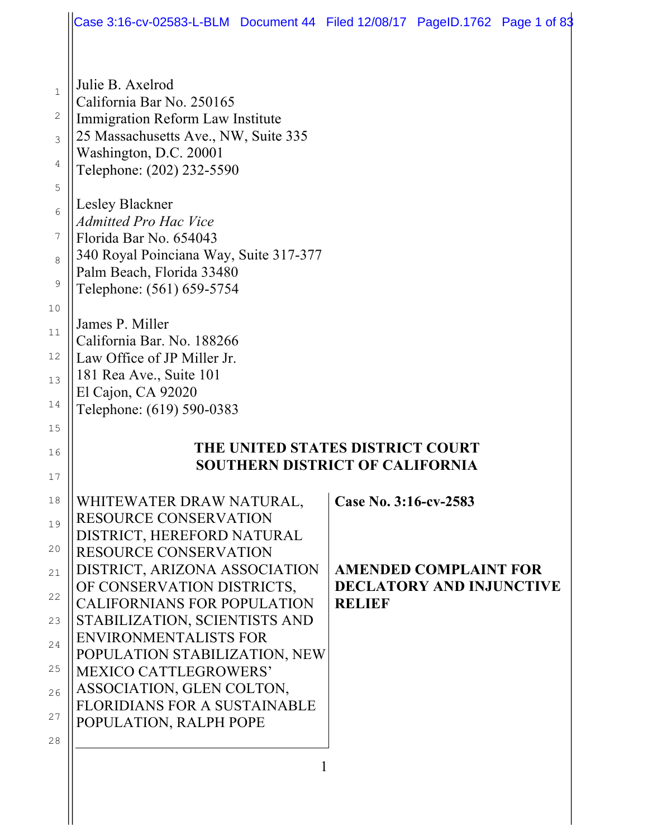|                                                                                                  | Case 3:16-cv-02583-L-BLM Document 44 Filed 12/08/17 PageID.1762 Page 1 of 83                                                                                                                                                                                                                                                                                                                                                                                                                                                    |                                        |                                                                 |  |  |
|--------------------------------------------------------------------------------------------------|---------------------------------------------------------------------------------------------------------------------------------------------------------------------------------------------------------------------------------------------------------------------------------------------------------------------------------------------------------------------------------------------------------------------------------------------------------------------------------------------------------------------------------|----------------------------------------|-----------------------------------------------------------------|--|--|
| $\mathbf 1$<br>$\sqrt{2}$<br>3<br>4<br>5<br>6<br>7<br>8<br>9<br>10<br>11<br>12<br>13<br>14<br>15 | Julie B. Axelrod<br>California Bar No. 250165<br>Immigration Reform Law Institute<br>25 Massachusetts Ave., NW, Suite 335<br>Washington, D.C. 20001<br>Telephone: (202) 232-5590<br>Lesley Blackner<br><b>Admitted Pro Hac Vice</b><br>Florida Bar No. 654043<br>340 Royal Poinciana Way, Suite 317-377<br>Palm Beach, Florida 33480<br>Telephone: (561) 659-5754<br>James P. Miller<br>California Bar. No. 188266<br>Law Office of JP Miller Jr.<br>181 Rea Ave., Suite 101<br>El Cajon, CA 92020<br>Telephone: (619) 590-0383 |                                        |                                                                 |  |  |
| 16<br>17                                                                                         | THE UNITED STATES DISTRICT COURT<br><b>SOUTHERN DISTRICT OF CALIFORNIA</b>                                                                                                                                                                                                                                                                                                                                                                                                                                                      |                                        |                                                                 |  |  |
| 18<br>19<br>20<br>21<br>22<br>23<br>24<br>25<br>26<br>27<br>28                                   | WHITEWATER DRAW NATURAL,<br>RESOURCE CONSERVATION<br>DISTRICT, HEREFORD NATURAL<br><b>RESOURCE CONSERVATION</b><br>DISTRICT, ARIZONA ASSOCIATION<br>OF CONSERVATION DISTRICTS,<br><b>CALIFORNIANS FOR POPULATION</b><br>STABILIZATION, SCIENTISTS AND<br><b>ENVIRONMENTALISTS FOR</b><br>POPULATION STABILIZATION, NEW<br><b>MEXICO CATTLEGROWERS'</b><br>ASSOCIATION, GLEN COLTON,<br><b>FLORIDIANS FOR A SUSTAINABLE</b><br>POPULATION, RALPH POPE                                                                            | Case No. 3:16-cv-2583<br><b>RELIEF</b> | <b>AMENDED COMPLAINT FOR</b><br><b>DECLATORY AND INJUNCTIVE</b> |  |  |
|                                                                                                  |                                                                                                                                                                                                                                                                                                                                                                                                                                                                                                                                 |                                        |                                                                 |  |  |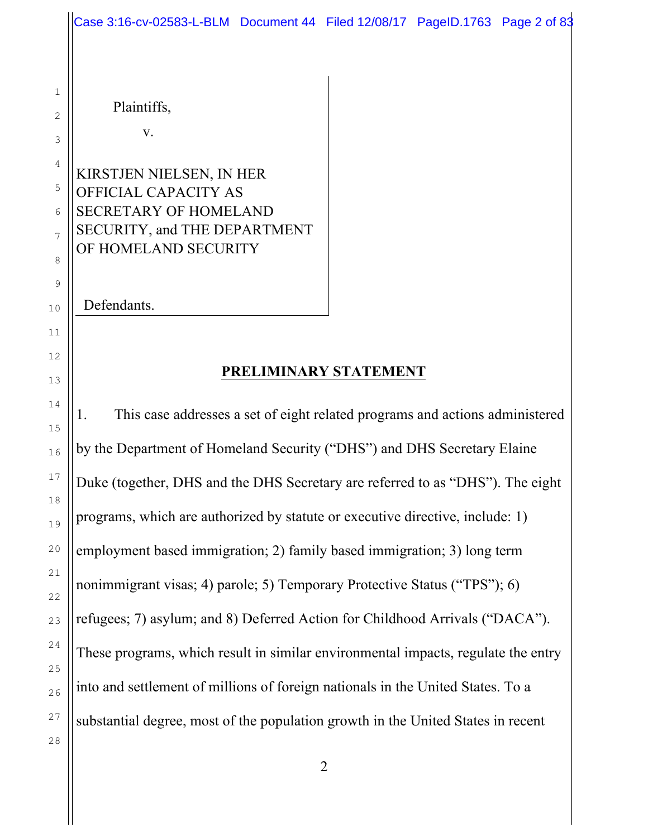|                   | Case 3:16-cv-02583-L-BLM Document 44 Filed 12/08/17 PageID.1763 Page 2 of 83                                     |  |  |  |
|-------------------|------------------------------------------------------------------------------------------------------------------|--|--|--|
|                   |                                                                                                                  |  |  |  |
| 1<br>$\mathbf{2}$ | Plaintiffs,                                                                                                      |  |  |  |
| 3                 | V.                                                                                                               |  |  |  |
| 4<br>5<br>6<br>7  | KIRSTJEN NIELSEN, IN HER<br>OFFICIAL CAPACITY AS<br><b>SECRETARY OF HOMELAND</b><br>SECURITY, and THE DEPARTMENT |  |  |  |
| 8<br>9            | OF HOMELAND SECURITY                                                                                             |  |  |  |
| 10                | Defendants.                                                                                                      |  |  |  |
| 11                |                                                                                                                  |  |  |  |
| 12<br>13          | PRELIMINARY STATEMENT                                                                                            |  |  |  |
| 14                | This case addresses a set of eight related programs and actions administered<br>1.                               |  |  |  |
| 15<br>16          | by the Department of Homeland Security ("DHS") and DHS Secretary Elaine                                          |  |  |  |
| 17                | Duke (together, DHS and the DHS Secretary are referred to as "DHS"). The eight                                   |  |  |  |
| 18<br>19          | programs, which are authorized by statute or executive directive, include: 1)                                    |  |  |  |
| 20                | employment based immigration; 2) family based immigration; 3) long term                                          |  |  |  |
| 21<br>22          | nonimmigrant visas; 4) parole; 5) Temporary Protective Status ("TPS"); 6)                                        |  |  |  |
| 23                | refugees; 7) asylum; and 8) Deferred Action for Childhood Arrivals ("DACA").                                     |  |  |  |
| 24                | These programs, which result in similar environmental impacts, regulate the entry                                |  |  |  |
| 25<br>26          | into and settlement of millions of foreign nationals in the United States. To a                                  |  |  |  |
| 27<br>28          | substantial degree, most of the population growth in the United States in recent                                 |  |  |  |

2

Ш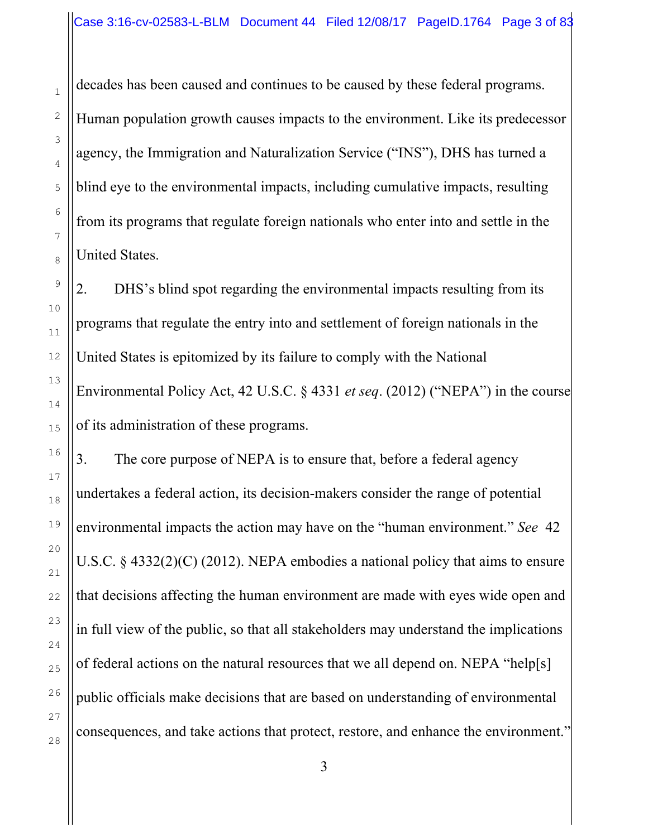decades has been caused and continues to be caused by these federal programs. Human population growth causes impacts to the environment. Like its predecessor agency, the Immigration and Naturalization Service ("INS"), DHS has turned a blind eye to the environmental impacts, including cumulative impacts, resulting from its programs that regulate foreign nationals who enter into and settle in the United States.

2. DHS's blind spot regarding the environmental impacts resulting from its programs that regulate the entry into and settlement of foreign nationals in the United States is epitomized by its failure to comply with the National Environmental Policy Act, 42 U.S.C. § 4331 *et seq*. (2012) ("NEPA") in the course of its administration of these programs.

3. The core purpose of NEPA is to ensure that, before a federal agency undertakes a federal action, its decision-makers consider the range of potential environmental impacts the action may have on the "human environment." *See* 42 U.S.C. § 4332(2)(C) (2012). NEPA embodies a national policy that aims to ensure that decisions affecting the human environment are made with eyes wide open and in full view of the public, so that all stakeholders may understand the implications of federal actions on the natural resources that we all depend on. NEPA "help[s] public officials make decisions that are based on understanding of environmental consequences, and take actions that protect, restore, and enhance the environment."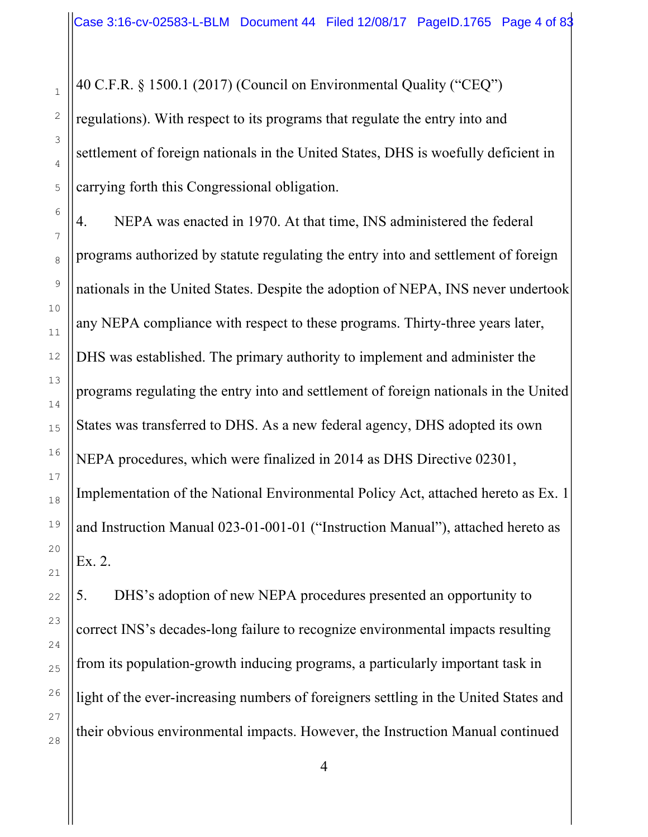40 C.F.R. § 1500.1 (2017) (Council on Environmental Quality ("CEQ")

regulations). With respect to its programs that regulate the entry into and settlement of foreign nationals in the United States, DHS is woefully deficient in carrying forth this Congressional obligation.

4. NEPA was enacted in 1970. At that time, INS administered the federal programs authorized by statute regulating the entry into and settlement of foreign nationals in the United States. Despite the adoption of NEPA, INS never undertook any NEPA compliance with respect to these programs. Thirty-three years later, DHS was established. The primary authority to implement and administer the programs regulating the entry into and settlement of foreign nationals in the United States was transferred to DHS. As a new federal agency, DHS adopted its own NEPA procedures, which were finalized in 2014 as DHS Directive 02301, Implementation of the National Environmental Policy Act, attached hereto as Ex. 1 and Instruction Manual 023-01-001-01 ("Instruction Manual"), attached hereto as Ex. 2.

5. DHS's adoption of new NEPA procedures presented an opportunity to correct INS's decades-long failure to recognize environmental impacts resulting from its population-growth inducing programs, a particularly important task in light of the ever-increasing numbers of foreigners settling in the United States and their obvious environmental impacts. However, the Instruction Manual continued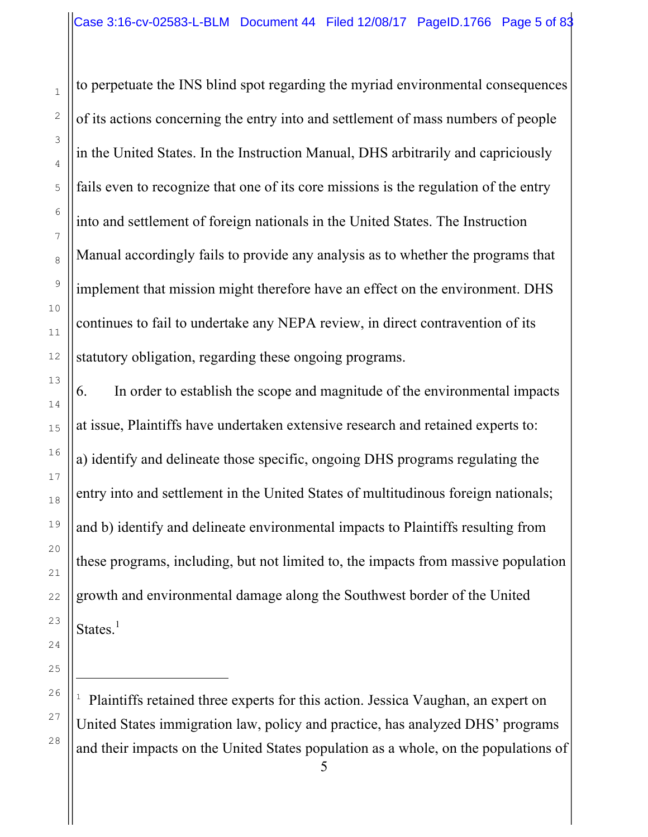to perpetuate the INS blind spot regarding the myriad environmental consequences of its actions concerning the entry into and settlement of mass numbers of people in the United States. In the Instruction Manual, DHS arbitrarily and capriciously fails even to recognize that one of its core missions is the regulation of the entry into and settlement of foreign nationals in the United States. The Instruction Manual accordingly fails to provide any analysis as to whether the programs that implement that mission might therefore have an effect on the environment. DHS continues to fail to undertake any NEPA review, in direct contravention of its statutory obligation, regarding these ongoing programs.

6. In order to establish the scope and magnitude of the environmental impacts at issue, Plaintiffs have undertaken extensive research and retained experts to: a) identify and delineate those specific, ongoing DHS programs regulating the entry into and settlement in the United States of multitudinous foreign nationals; and b) identify and delineate environmental impacts to Plaintiffs resulting from these programs, including, but not limited to, the impacts from massive population growth and environmental damage along the Southwest border of the United States.<sup>1</sup>

<sup>1</sup> Plaintiffs retained three experts for this action. Jessica Vaughan, an expert on United States immigration law, policy and practice, has analyzed DHS' programs and their impacts on the United States population as a whole, on the populations of

i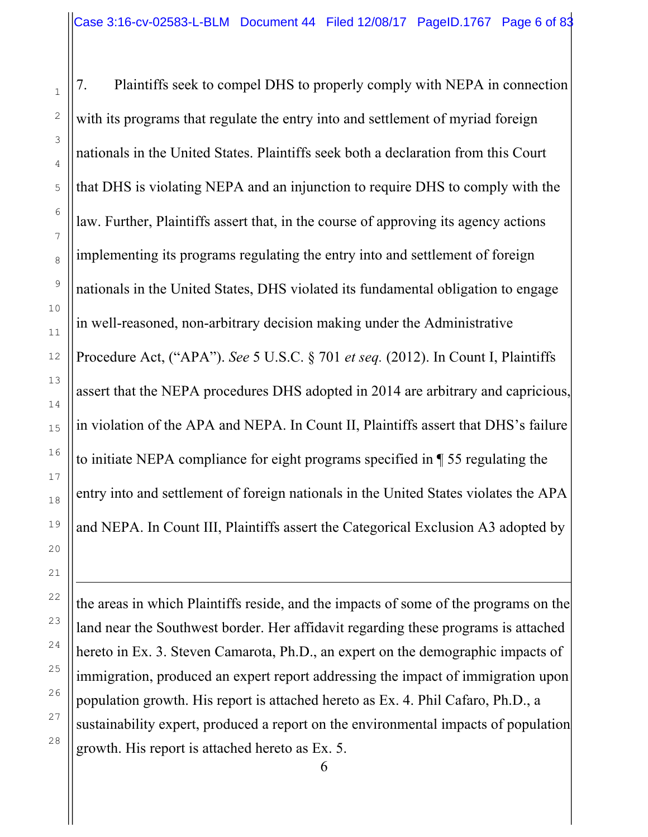i

7. Plaintiffs seek to compel DHS to properly comply with NEPA in connection with its programs that regulate the entry into and settlement of myriad foreign nationals in the United States. Plaintiffs seek both a declaration from this Court that DHS is violating NEPA and an injunction to require DHS to comply with the law. Further, Plaintiffs assert that, in the course of approving its agency actions implementing its programs regulating the entry into and settlement of foreign nationals in the United States, DHS violated its fundamental obligation to engage in well-reasoned, non-arbitrary decision making under the Administrative Procedure Act, ("APA"). *See* 5 U.S.C. § 701 *et seq.* (2012). In Count I, Plaintiffs assert that the NEPA procedures DHS adopted in 2014 are arbitrary and capricious, in violation of the APA and NEPA. In Count II, Plaintiffs assert that DHS's failure to initiate NEPA compliance for eight programs specified in ¶ 55 regulating the entry into and settlement of foreign nationals in the United States violates the APA and NEPA. In Count III, Plaintiffs assert the Categorical Exclusion A3 adopted by

the areas in which Plaintiffs reside, and the impacts of some of the programs on the land near the Southwest border. Her affidavit regarding these programs is attached hereto in Ex. 3. Steven Camarota, Ph.D., an expert on the demographic impacts of immigration, produced an expert report addressing the impact of immigration upon population growth. His report is attached hereto as Ex. 4. Phil Cafaro, Ph.D., a sustainability expert, produced a report on the environmental impacts of population growth. His report is attached hereto as Ex. 5.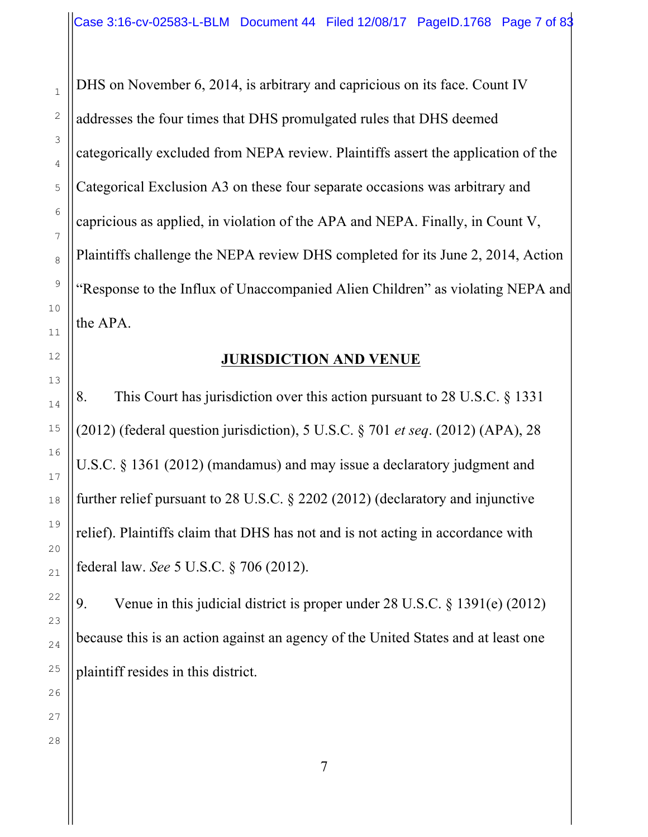DHS on November 6, 2014, is arbitrary and capricious on its face. Count IV addresses the four times that DHS promulgated rules that DHS deemed categorically excluded from NEPA review. Plaintiffs assert the application of the Categorical Exclusion A3 on these four separate occasions was arbitrary and capricious as applied, in violation of the APA and NEPA. Finally, in Count V, Plaintiffs challenge the NEPA review DHS completed for its June 2, 2014, Action "Response to the Influx of Unaccompanied Alien Children" as violating NEPA and the APA.

### **JURISDICTION AND VENUE**

8. This Court has jurisdiction over this action pursuant to 28 U.S.C. § 1331 (2012) (federal question jurisdiction), 5 U.S.C. § 701 *et seq*. (2012) (APA), 28 U.S.C. § 1361 (2012) (mandamus) and may issue a declaratory judgment and further relief pursuant to 28 U.S.C. § 2202 (2012) (declaratory and injunctive relief). Plaintiffs claim that DHS has not and is not acting in accordance with federal law. *See* 5 U.S.C. § 706 (2012).

9. Venue in this judicial district is proper under 28 U.S.C. § 1391(e) (2012) because this is an action against an agency of the United States and at least one plaintiff resides in this district.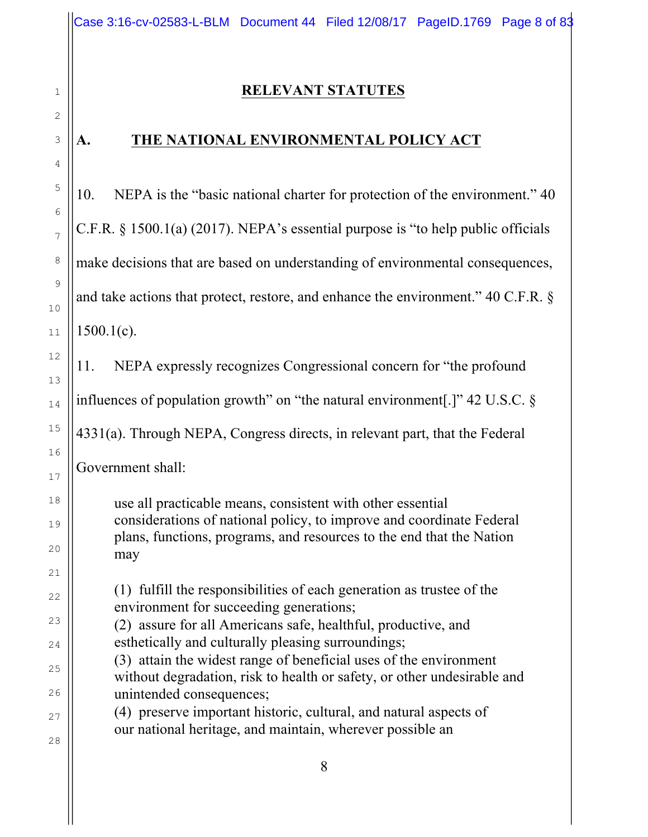### **RELEVANT STATUTES**

## **A. THE NATIONAL ENVIRONMENTAL POLICY ACT**

10. NEPA is the "basic national charter for protection of the environment." 40 C.F.R. § 1500.1(a) (2017). NEPA's essential purpose is "to help public officials make decisions that are based on understanding of environmental consequences, and take actions that protect, restore, and enhance the environment." 40 C.F.R. §  $1500.1(c)$ .

11. NEPA expressly recognizes Congressional concern for "the profound influences of population growth" on "the natural environment[.]" 42 U.S.C. § 4331(a). Through NEPA, Congress directs, in relevant part, that the Federal

Government shall:

use all practicable means, consistent with other essential considerations of national policy, to improve and coordinate Federal plans, functions, programs, and resources to the end that the Nation may

(1) fulfill the responsibilities of each generation as trustee of the environment for succeeding generations;

(2) assure for all Americans safe, healthful, productive, and esthetically and culturally pleasing surroundings;

(3) attain the widest range of beneficial uses of the environment without degradation, risk to health or safety, or other undesirable and unintended consequences;

(4) preserve important historic, cultural, and natural aspects of our national heritage, and maintain, wherever possible an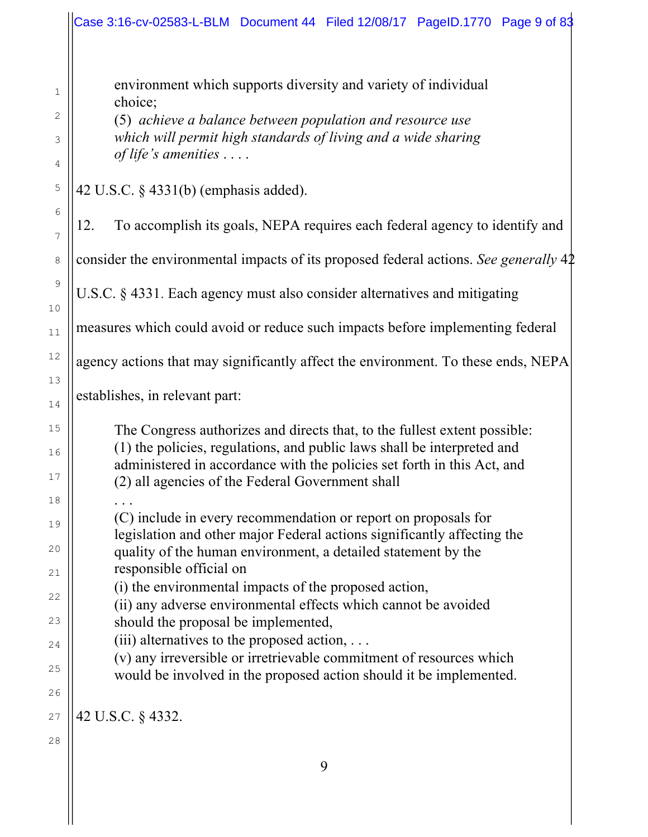environment which supports diversity and variety of individual choice;

(5) *achieve a balance between population and resource use which will permit high standards of living and a wide sharing of life's amenities* . . . .

42 U.S.C. § 4331(b) (emphasis added).

12. To accomplish its goals, NEPA requires each federal agency to identify and

consider the environmental impacts of its proposed federal actions. *See generally* 42

U.S.C. § 4331. Each agency must also consider alternatives and mitigating

measures which could avoid or reduce such impacts before implementing federal

agency actions that may significantly affect the environment. To these ends, NEPA

establishes, in relevant part:

The Congress authorizes and directs that, to the fullest extent possible: (1) the policies, regulations, and public laws shall be interpreted and administered in accordance with the policies set forth in this Act, and (2) all agencies of the Federal Government shall

. . . (C) include in every recommendation or report on proposals for legislation and other major Federal actions significantly affecting the quality of the human environment, a detailed statement by the responsible official on

(i) the environmental impacts of the proposed action,

(ii) any adverse environmental effects which cannot be avoided should the proposal be implemented,

 $(iii)$  alternatives to the proposed action,  $\dots$ 

(v) any irreversible or irretrievable commitment of resources which would be involved in the proposed action should it be implemented.

42 U.S.C. § 4332.

1

2

3

4

5

6

7

8

9

10

11

12

13

14

15

16

17

18

19

20

21

22

23

24

25

26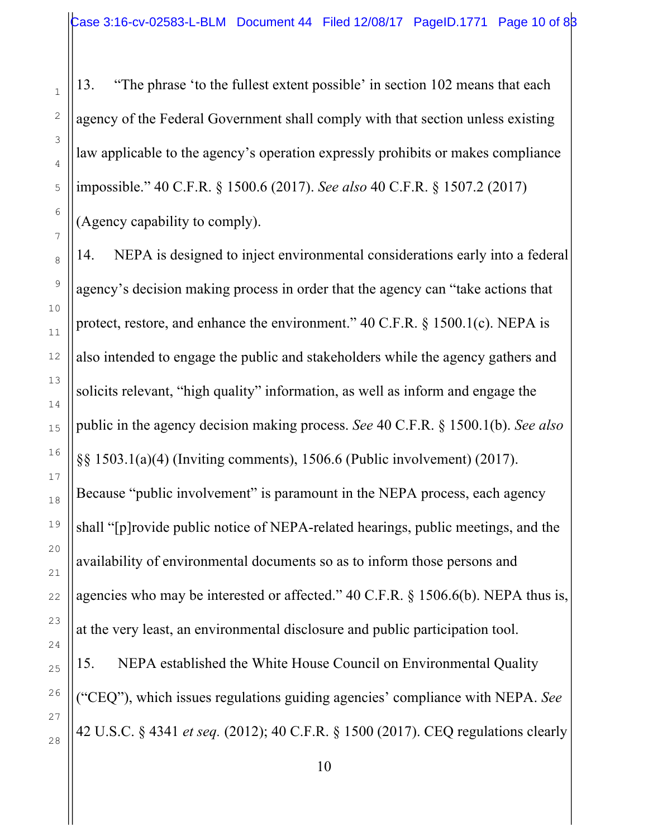13. "The phrase 'to the fullest extent possible' in section 102 means that each agency of the Federal Government shall comply with that section unless existing law applicable to the agency's operation expressly prohibits or makes compliance impossible." 40 C.F.R. § 1500.6 (2017). *See also* 40 C.F.R. § 1507.2 (2017) (Agency capability to comply).

14. NEPA is designed to inject environmental considerations early into a federal agency's decision making process in order that the agency can "take actions that protect, restore, and enhance the environment." 40 C.F.R. § 1500.1(c). NEPA is also intended to engage the public and stakeholders while the agency gathers and solicits relevant, "high quality" information, as well as inform and engage the public in the agency decision making process. *See* 40 C.F.R. § 1500.1(b). *See also* §§ 1503.1(a)(4) (Inviting comments), 1506.6 (Public involvement) (2017). Because "public involvement" is paramount in the NEPA process, each agency shall "[p]rovide public notice of NEPA-related hearings, public meetings, and the availability of environmental documents so as to inform those persons and agencies who may be interested or affected." 40 C.F.R. § 1506.6(b). NEPA thus is, at the very least, an environmental disclosure and public participation tool. 15. NEPA established the White House Council on Environmental Quality ("CEQ"), which issues regulations guiding agencies' compliance with NEPA. *See*  42 U.S.C. § 4341 *et seq.* (2012); 40 C.F.R. § 1500 (2017). CEQ regulations clearly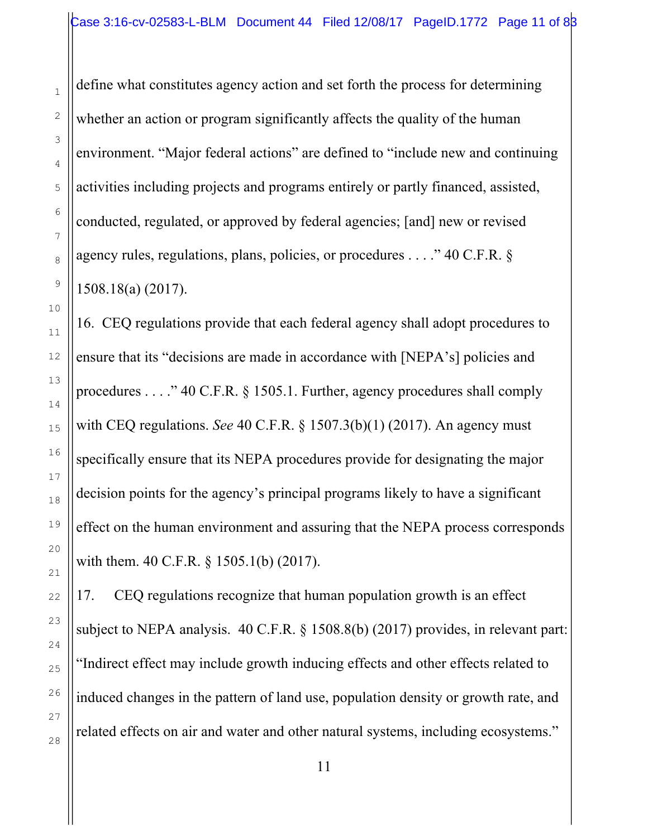define what constitutes agency action and set forth the process for determining whether an action or program significantly affects the quality of the human environment. "Major federal actions" are defined to "include new and continuing activities including projects and programs entirely or partly financed, assisted, conducted, regulated, or approved by federal agencies; [and] new or revised agency rules, regulations, plans, policies, or procedures . . . ." 40 C.F.R. § 1508.18(a) (2017).

16. CEQ regulations provide that each federal agency shall adopt procedures to ensure that its "decisions are made in accordance with [NEPA's] policies and procedures . . . ." 40 C.F.R. § 1505.1. Further, agency procedures shall comply with CEQ regulations. *See* 40 C.F.R. § 1507.3(b)(1) (2017). An agency must specifically ensure that its NEPA procedures provide for designating the major decision points for the agency's principal programs likely to have a significant effect on the human environment and assuring that the NEPA process corresponds with them. 40 C.F.R. § 1505.1(b) (2017).

17. CEQ regulations recognize that human population growth is an effect subject to NEPA analysis. 40 C.F.R. § 1508.8(b) (2017) provides, in relevant part: "Indirect effect may include growth inducing effects and other effects related to induced changes in the pattern of land use, population density or growth rate, and related effects on air and water and other natural systems, including ecosystems."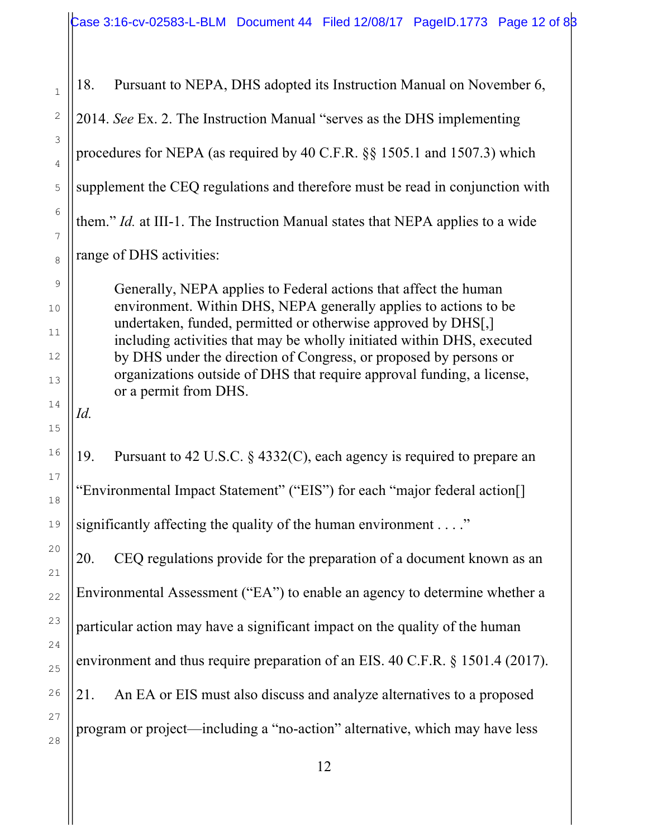18. Pursuant to NEPA, DHS adopted its Instruction Manual on November 6, 2014. *See* Ex. 2. The Instruction Manual "serves as the DHS implementing procedures for NEPA (as required by 40 C.F.R. §§ 1505.1 and 1507.3) which supplement the CEQ regulations and therefore must be read in conjunction with them." *Id.* at III-1. The Instruction Manual states that NEPA applies to a wide range of DHS activities:

Generally, NEPA applies to Federal actions that affect the human environment. Within DHS, NEPA generally applies to actions to be undertaken, funded, permitted or otherwise approved by DHS[,] including activities that may be wholly initiated within DHS, executed by DHS under the direction of Congress, or proposed by persons or organizations outside of DHS that require approval funding, a license, or a permit from DHS.

19. Pursuant to 42 U.S.C. § 4332(C), each agency is required to prepare an "Environmental Impact Statement" ("EIS") for each "major federal action[] significantly affecting the quality of the human environment  $\dots$ ."

20. CEQ regulations provide for the preparation of a document known as an Environmental Assessment ("EA") to enable an agency to determine whether a particular action may have a significant impact on the quality of the human environment and thus require preparation of an EIS. 40 C.F.R. § 1501.4 (2017). 21. An EA or EIS must also discuss and analyze alternatives to a proposed program or project—including a "no-action" alternative, which may have less

1

2

3

4

5

6

7

8

9

10

11

12

13

14

*Id.*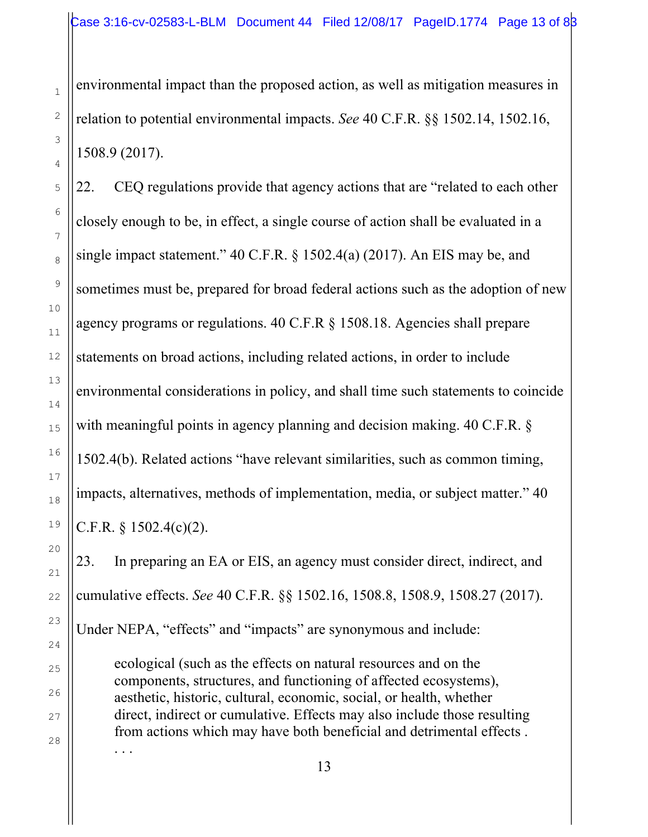environmental impact than the proposed action, as well as mitigation measures in relation to potential environmental impacts. *See* 40 C.F.R. §§ 1502.14, 1502.16, 1508.9 (2017).

22. CEQ regulations provide that agency actions that are "related to each other closely enough to be, in effect, a single course of action shall be evaluated in a single impact statement." 40 C.F.R. § 1502.4(a) (2017). An EIS may be, and sometimes must be, prepared for broad federal actions such as the adoption of new agency programs or regulations. 40 C.F.R § 1508.18. Agencies shall prepare statements on broad actions, including related actions, in order to include environmental considerations in policy, and shall time such statements to coincide with meaningful points in agency planning and decision making. 40 C.F.R. § 1502.4(b). Related actions "have relevant similarities, such as common timing, impacts, alternatives, methods of implementation, media, or subject matter." 40 C.F.R. § 1502.4(c)(2).

23. In preparing an EA or EIS, an agency must consider direct, indirect, and cumulative effects. *See* 40 C.F.R. §§ 1502.16, 1508.8, 1508.9, 1508.27 (2017). Under NEPA, "effects" and "impacts" are synonymous and include:

ecological (such as the effects on natural resources and on the components, structures, and functioning of affected ecosystems), aesthetic, historic, cultural, economic, social, or health, whether direct, indirect or cumulative. Effects may also include those resulting from actions which may have both beneficial and detrimental effects . . . .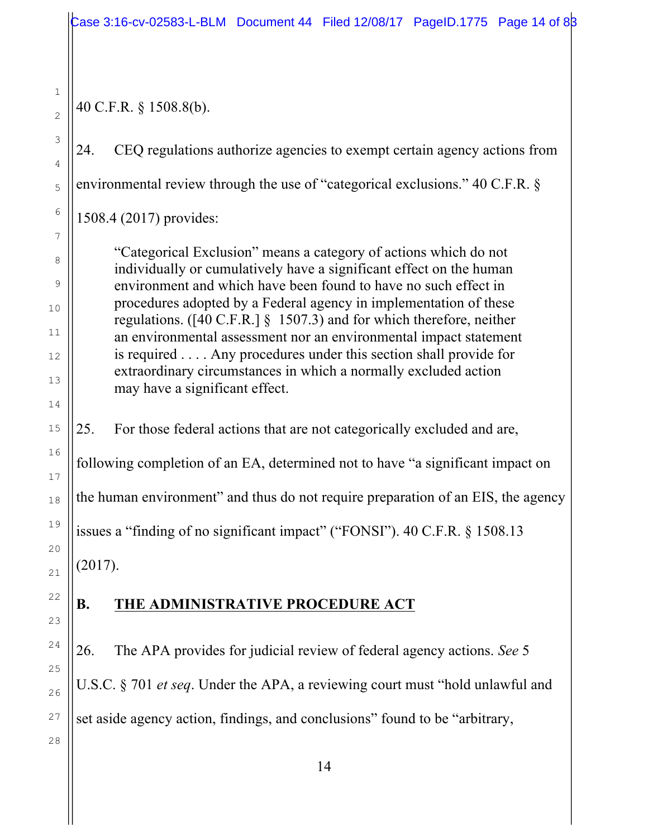40 C.F.R. § 1508.8(b).

24. CEQ regulations authorize agencies to exempt certain agency actions from environmental review through the use of "categorical exclusions." 40 C.F.R. §

1508.4 (2017) provides:

"Categorical Exclusion" means a category of actions which do not individually or cumulatively have a significant effect on the human environment and which have been found to have no such effect in procedures adopted by a Federal agency in implementation of these regulations. ([40 C.F.R.] § 1507.3) and for which therefore, neither an environmental assessment nor an environmental impact statement is required . . . . Any procedures under this section shall provide for extraordinary circumstances in which a normally excluded action may have a significant effect.

25. For those federal actions that are not categorically excluded and are,

following completion of an EA, determined not to have "a significant impact on

the human environment" and thus do not require preparation of an EIS, the agency

issues a "finding of no significant impact" ("FONSI"). 40 C.F.R. § 1508.13

(2017).

# **B. THE ADMINISTRATIVE PROCEDURE ACT**

26. The APA provides for judicial review of federal agency actions. *See* 5 U.S.C. § 701 *et seq*. Under the APA, a reviewing court must "hold unlawful and set aside agency action, findings, and conclusions" found to be "arbitrary,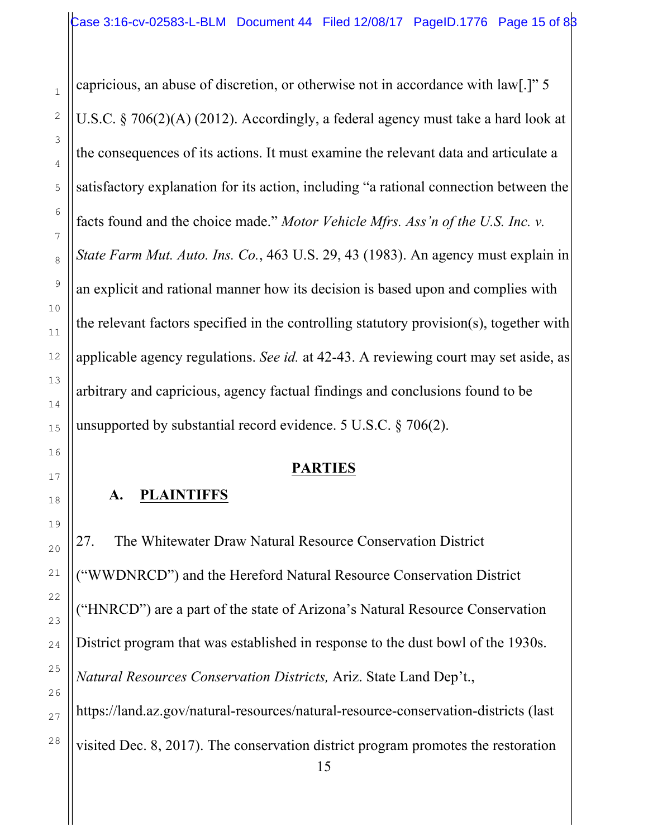capricious, an abuse of discretion, or otherwise not in accordance with law[.]" 5 U.S.C. § 706(2)(A) (2012). Accordingly, a federal agency must take a hard look at the consequences of its actions. It must examine the relevant data and articulate a satisfactory explanation for its action, including "a rational connection between the facts found and the choice made." *Motor Vehicle Mfrs. Ass'n of the U.S. Inc. v. State Farm Mut. Auto. Ins. Co.*, 463 U.S. 29, 43 (1983). An agency must explain in an explicit and rational manner how its decision is based upon and complies with the relevant factors specified in the controlling statutory provision(s), together with applicable agency regulations. *See id.* at 42-43. A reviewing court may set aside, as arbitrary and capricious, agency factual findings and conclusions found to be unsupported by substantial record evidence. 5 U.S.C. § 706(2).

## **PARTIES**

## **A. PLAINTIFFS**

27. The Whitewater Draw Natural Resource Conservation District ("WWDNRCD") and the Hereford Natural Resource Conservation District ("HNRCD") are a part of the state of Arizona's Natural Resource Conservation District program that was established in response to the dust bowl of the 1930s. *Natural Resources Conservation Districts,* Ariz. State Land Dep't., https://land.az.gov/natural-resources/natural-resource-conservation-districts (last visited Dec. 8, 2017). The conservation district program promotes the restoration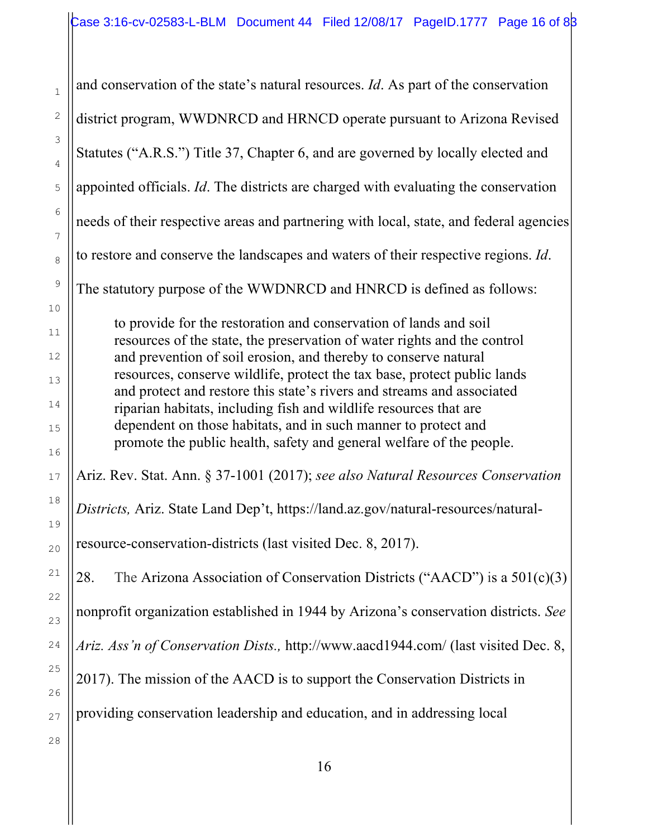and conservation of the state's natural resources. *Id*. As part of the conservation district program, WWDNRCD and HRNCD operate pursuant to Arizona Revised Statutes ("A.R.S.") Title 37, Chapter 6, and are governed by locally elected and appointed officials. *Id*. The districts are charged with evaluating the conservation needs of their respective areas and partnering with local, state, and federal agencies to restore and conserve the landscapes and waters of their respective regions. *Id*. The statutory purpose of the WWDNRCD and HNRCD is defined as follows: to provide for the restoration and conservation of lands and soil resources of the state, the preservation of water rights and the control and prevention of soil erosion, and thereby to conserve natural resources, conserve wildlife, protect the tax base, protect public lands and protect and restore this state's rivers and streams and associated riparian habitats, including fish and wildlife resources that are dependent on those habitats, and in such manner to protect and promote the public health, safety and general welfare of the people. Ariz. Rev. Stat. Ann. § 37-1001 (2017); *see also Natural Resources Conservation Districts,* Ariz. State Land Dep't, https://land.az.gov/natural-resources/naturalresource-conservation-districts (last visited Dec. 8, 2017). 28. The Arizona Association of Conservation Districts ("AACD") is a  $501(c)(3)$ nonprofit organization established in 1944 by Arizona's conservation districts. *See Ariz. Ass'n of Conservation Dists.,* http://www.aacd1944.com/ (last visited Dec. 8, 2017). The mission of the AACD is to support the Conservation Districts in providing conservation leadership and education, and in addressing local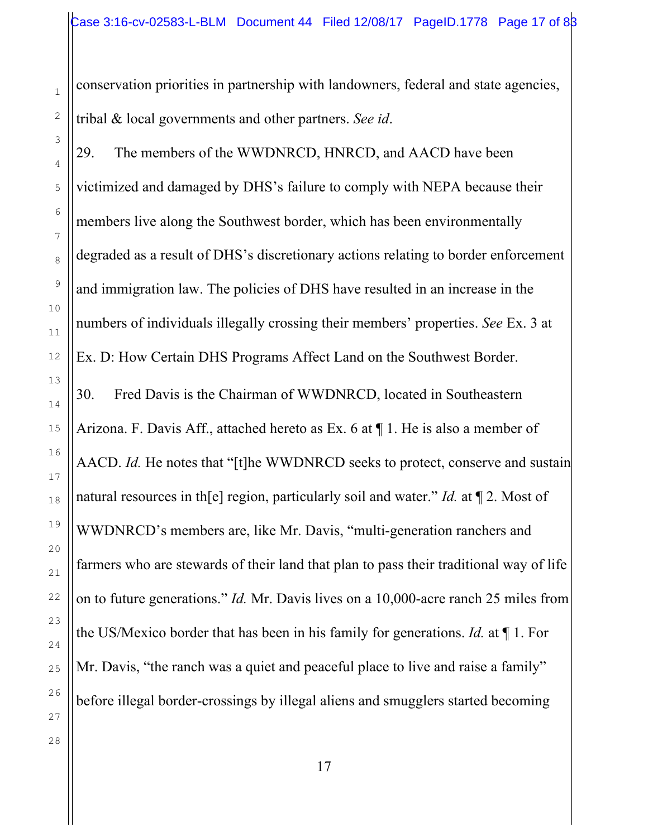conservation priorities in partnership with landowners, federal and state agencies, tribal & local governments and other partners. *See id*.

29. The members of the WWDNRCD, HNRCD, and AACD have been victimized and damaged by DHS's failure to comply with NEPA because their members live along the Southwest border, which has been environmentally degraded as a result of DHS's discretionary actions relating to border enforcement and immigration law. The policies of DHS have resulted in an increase in the numbers of individuals illegally crossing their members' properties. *See* Ex. 3 at Ex. D: How Certain DHS Programs Affect Land on the Southwest Border. 30. Fred Davis is the Chairman of WWDNRCD, located in Southeastern Arizona. F. Davis Aff., attached hereto as Ex. 6 at ¶ 1. He is also a member of AACD. *Id.* He notes that "[t]he WWDNRCD seeks to protect, conserve and sustain natural resources in th[e] region, particularly soil and water." *Id.* at ¶ 2. Most of WWDNRCD's members are, like Mr. Davis, "multi-generation ranchers and farmers who are stewards of their land that plan to pass their traditional way of life on to future generations." *Id.* Mr. Davis lives on a 10,000-acre ranch 25 miles from the US/Mexico border that has been in his family for generations. *Id.* at ¶ 1. For Mr. Davis, "the ranch was a quiet and peaceful place to live and raise a family" before illegal border-crossings by illegal aliens and smugglers started becoming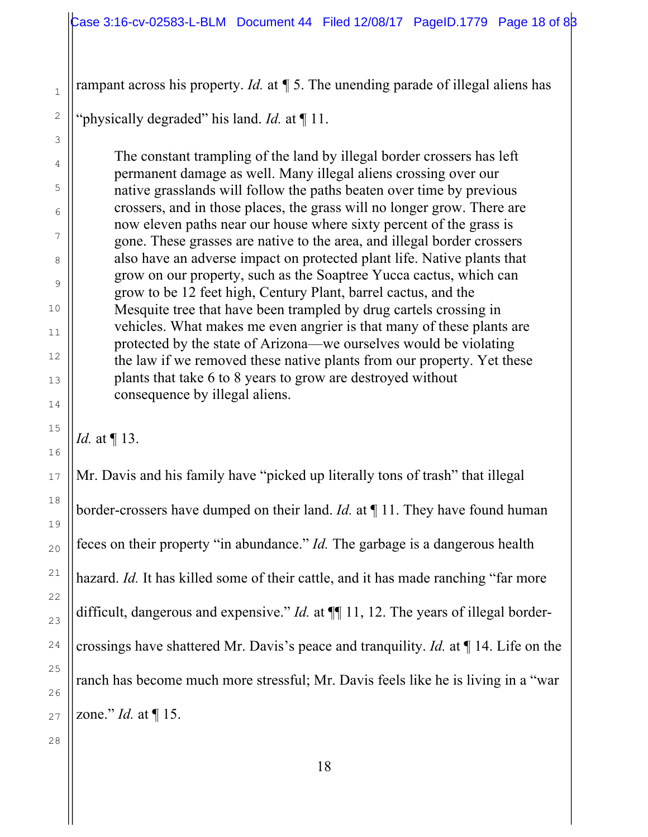rampant across his property. *Id.* at *¶* 5. The unending parade of illegal aliens has

"physically degraded" his land. *Id.* at ¶ 11.

The constant trampling of the land by illegal border crossers has left permanent damage as well. Many illegal aliens crossing over our native grasslands will follow the paths beaten over time by previous crossers, and in those places, the grass will no longer grow. There are now eleven paths near our house where sixty percent of the grass is gone. These grasses are native to the area, and illegal border crossers also have an adverse impact on protected plant life. Native plants that grow on our property, such as the Soaptree Yucca cactus, which can grow to be 12 feet high, Century Plant, barrel cactus, and the Mesquite tree that have been trampled by drug cartels crossing in vehicles. What makes me even angrier is that many of these plants are protected by the state of Arizona—we ourselves would be violating the law if we removed these native plants from our property. Yet these plants that take 6 to 8 years to grow are destroyed without consequence by illegal aliens.

*Id.* at ¶ 13.

Mr. Davis and his family have "picked up literally tons of trash" that illegal border-crossers have dumped on their land. *Id.* at ¶ 11. They have found human feces on their property "in abundance." *Id.* The garbage is a dangerous health hazard. *Id.* It has killed some of their cattle, and it has made ranching "far more difficult, dangerous and expensive." *Id.* at  $\P$  11, 12. The years of illegal bordercrossings have shattered Mr. Davis's peace and tranquility. *Id.* at ¶ 14. Life on the ranch has become much more stressful; Mr. Davis feels like he is living in a "war zone." *Id.* at ¶ 15.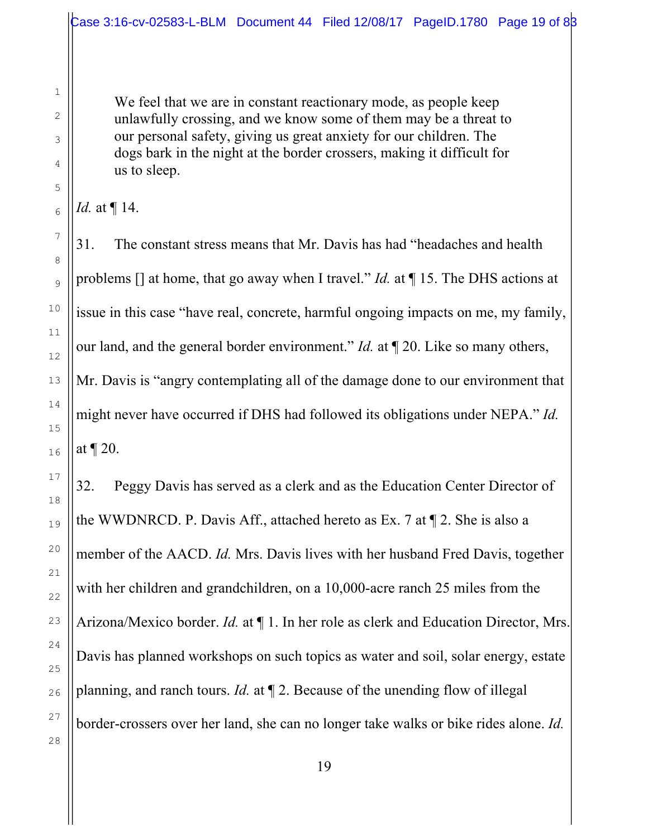We feel that we are in constant reactionary mode, as people keep unlawfully crossing, and we know some of them may be a threat to our personal safety, giving us great anxiety for our children. The dogs bark in the night at the border crossers, making it difficult for us to sleep.

1

2

3

4

5

6

7

31. The constant stress means that Mr. Davis has had "headaches and health problems [] at home, that go away when I travel." *Id.* at ¶ 15. The DHS actions at issue in this case "have real, concrete, harmful ongoing impacts on me, my family, our land, and the general border environment." *Id.* at ¶ 20. Like so many others, Mr. Davis is "angry contemplating all of the damage done to our environment that might never have occurred if DHS had followed its obligations under NEPA." *Id.* at ¶ 20.

32. Peggy Davis has served as a clerk and as the Education Center Director of the WWDNRCD. P. Davis Aff., attached hereto as Ex. 7 at ¶ 2. She is also a member of the AACD. *Id.* Mrs. Davis lives with her husband Fred Davis, together with her children and grandchildren, on a 10,000-acre ranch 25 miles from the Arizona/Mexico border. *Id.* at ¶ 1. In her role as clerk and Education Director, Mrs. Davis has planned workshops on such topics as water and soil, solar energy, estate planning, and ranch tours. *Id.* at ¶ 2. Because of the unending flow of illegal border-crossers over her land, she can no longer take walks or bike rides alone. *Id.*

*Id.* at ¶ 14.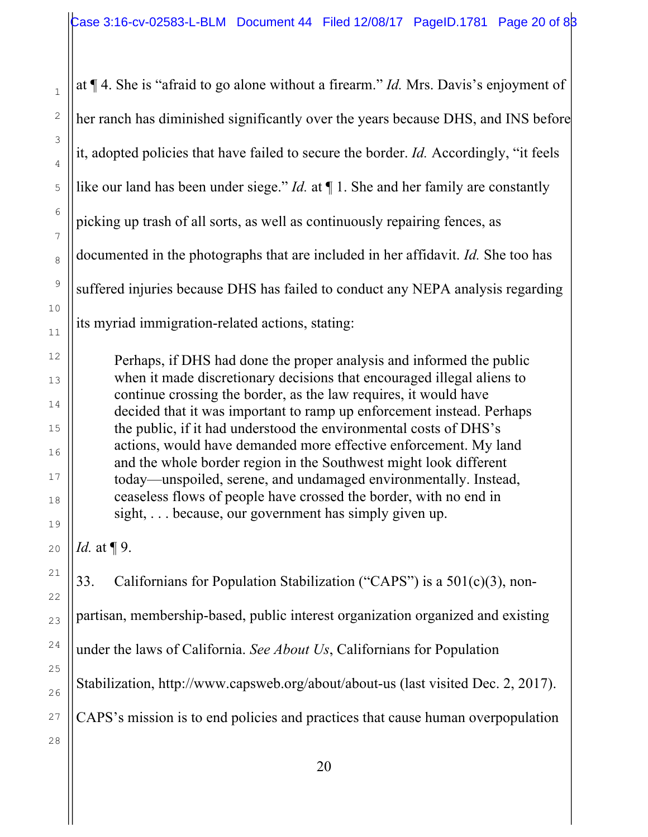at ¶ 4. She is "afraid to go alone without a firearm." *Id.* Mrs. Davis's enjoyment of her ranch has diminished significantly over the years because DHS, and INS before it, adopted policies that have failed to secure the border. *Id.* Accordingly, "it feels like our land has been under siege." *Id.* at ¶ 1. She and her family are constantly picking up trash of all sorts, as well as continuously repairing fences, as documented in the photographs that are included in her affidavit. *Id.* She too has suffered injuries because DHS has failed to conduct any NEPA analysis regarding its myriad immigration-related actions, stating: Perhaps, if DHS had done the proper analysis and informed the public when it made discretionary decisions that encouraged illegal aliens to continue crossing the border, as the law requires, it would have decided that it was important to ramp up enforcement instead. Perhaps the public, if it had understood the environmental costs of DHS's actions, would have demanded more effective enforcement. My land and the whole border region in the Southwest might look different today—unspoiled, serene, and undamaged environmentally. Instead, ceaseless flows of people have crossed the border, with no end in sight, ... because, our government has simply given up. *Id.* at ¶ 9. 33. Californians for Population Stabilization ("CAPS") is a 501(c)(3), nonpartisan, membership-based, public interest organization organized and existing under the laws of California. *See About Us*, Californians for Population Stabilization, http://www.capsweb.org/about/about-us (last visited Dec. 2, 2017).

CAPS's mission is to end policies and practices that cause human overpopulation

27 28

1

2

3

4

5

6

7

8

9

10

11

12

13

14

15

16

17

18

19

20

21

22

23

24

25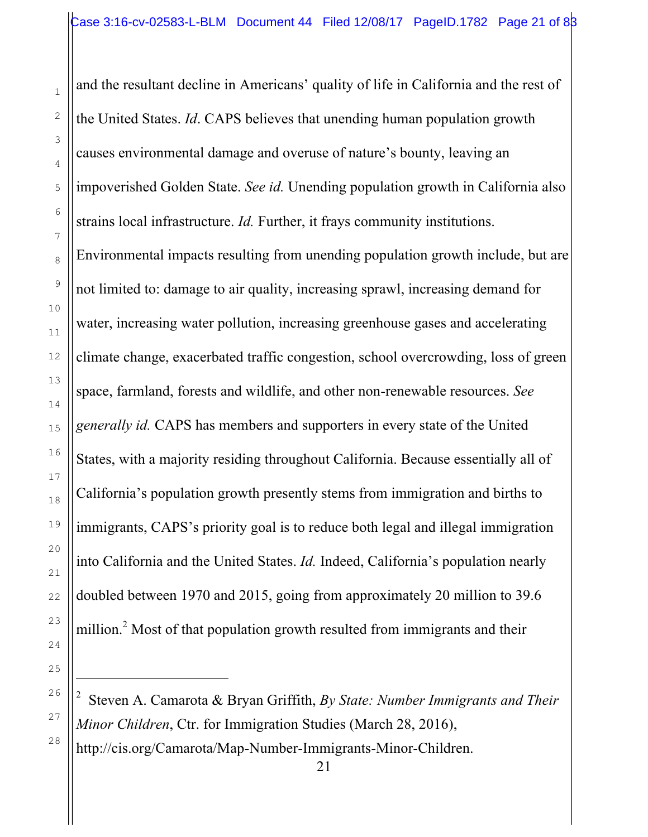1

2

3

4

5

6

7

8

9

10

11

12

13

14

15

16

17

18

19

20

21

22

23

24

25

i

26

27

28

and the resultant decline in Americans' quality of life in California and the rest of the United States. *Id*. CAPS believes that unending human population growth causes environmental damage and overuse of nature's bounty, leaving an impoverished Golden State. *See id.* Unending population growth in California also strains local infrastructure. *Id.* Further, it frays community institutions. Environmental impacts resulting from unending population growth include, but are not limited to: damage to air quality, increasing sprawl, increasing demand for water, increasing water pollution, increasing greenhouse gases and accelerating climate change, exacerbated traffic congestion, school overcrowding, loss of green space, farmland, forests and wildlife, and other non-renewable resources. *See generally id.* CAPS has members and supporters in every state of the United States, with a majority residing throughout California. Because essentially all of California's population growth presently stems from immigration and births to immigrants, CAPS's priority goal is to reduce both legal and illegal immigration into California and the United States. *Id.* Indeed, California's population nearly doubled between 1970 and 2015, going from approximately 20 million to 39.6 million.<sup>2</sup> Most of that population growth resulted from immigrants and their

<sup>2</sup> Steven A. Camarota & Bryan Griffith, *By State: Number Immigrants and Their Minor Children*, Ctr. for Immigration Studies (March 28, 2016), http://cis.org/Camarota/Map-Number-Immigrants-Minor-Children.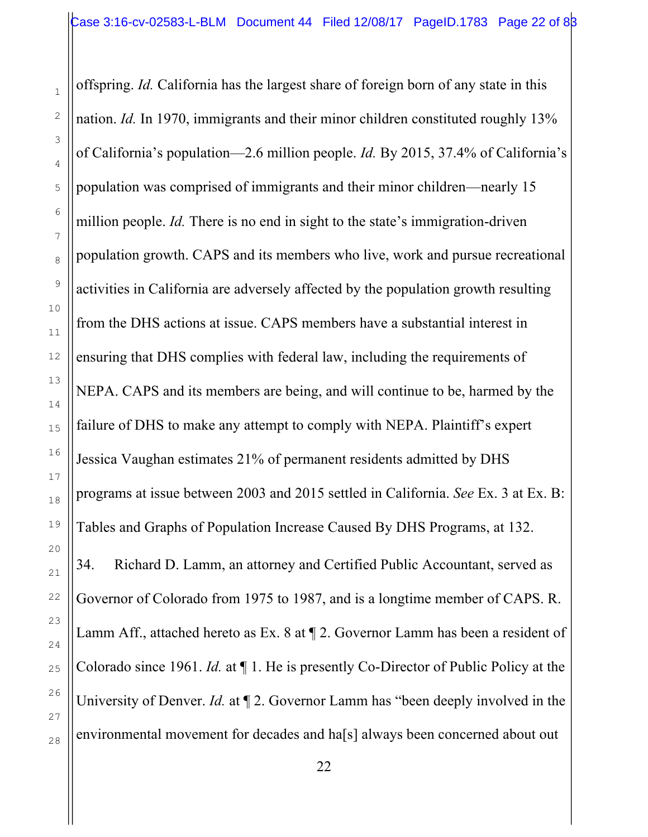offspring. *Id.* California has the largest share of foreign born of any state in this nation. *Id.* In 1970, immigrants and their minor children constituted roughly 13% of California's population—2.6 million people. *Id.* By 2015, 37.4% of California's population was comprised of immigrants and their minor children—nearly 15 million people. *Id.* There is no end in sight to the state's immigration-driven population growth. CAPS and its members who live, work and pursue recreational activities in California are adversely affected by the population growth resulting from the DHS actions at issue. CAPS members have a substantial interest in ensuring that DHS complies with federal law, including the requirements of NEPA. CAPS and its members are being, and will continue to be, harmed by the failure of DHS to make any attempt to comply with NEPA. Plaintiff's expert Jessica Vaughan estimates 21% of permanent residents admitted by DHS programs at issue between 2003 and 2015 settled in California. *See* Ex. 3 at Ex. B: Tables and Graphs of Population Increase Caused By DHS Programs, at 132. 34. Richard D. Lamm, an attorney and Certified Public Accountant, served as Governor of Colorado from 1975 to 1987, and is a longtime member of CAPS. R. Lamm Aff., attached hereto as Ex. 8 at ¶ 2. Governor Lamm has been a resident of Colorado since 1961. *Id.* at ¶ 1. He is presently Co-Director of Public Policy at the University of Denver. *Id.* at ¶ 2. Governor Lamm has "been deeply involved in the environmental movement for decades and ha[s] always been concerned about out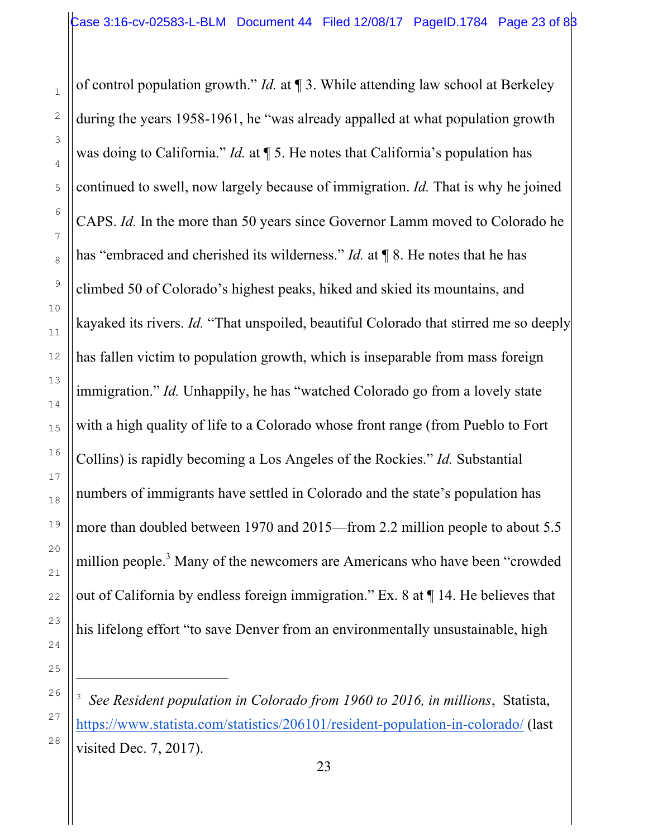of control population growth." *Id.* at ¶ 3. While attending law school at Berkeley during the years 1958-1961, he "was already appalled at what population growth was doing to California." *Id.* at ¶ 5. He notes that California's population has continued to swell, now largely because of immigration. *Id.* That is why he joined CAPS. *Id.* In the more than 50 years since Governor Lamm moved to Colorado he has "embraced and cherished its wilderness." *Id.* at **[8.** He notes that he has climbed 50 of Colorado's highest peaks, hiked and skied its mountains, and kayaked its rivers. *Id.* "That unspoiled, beautiful Colorado that stirred me so deeply has fallen victim to population growth, which is inseparable from mass foreign immigration." *Id.* Unhappily, he has "watched Colorado go from a lovely state with a high quality of life to a Colorado whose front range (from Pueblo to Fort Collins) is rapidly becoming a Los Angeles of the Rockies." *Id.* Substantial numbers of immigrants have settled in Colorado and the state's population has more than doubled between 1970 and 2015—from 2.2 million people to about 5.5 million people.<sup>3</sup> Many of the newcomers are Americans who have been "crowded out of California by endless foreign immigration." Ex. 8 at ¶ 14. He believes that his lifelong effort "to save Denver from an environmentally unsustainable, high

i

<sup>3</sup> *See Resident population in Colorado from 1960 to 2016, in millions*, Statista, https://www.statista.com/statistics/206101/resident-population-in-colorado/ (last visited Dec. 7, 2017).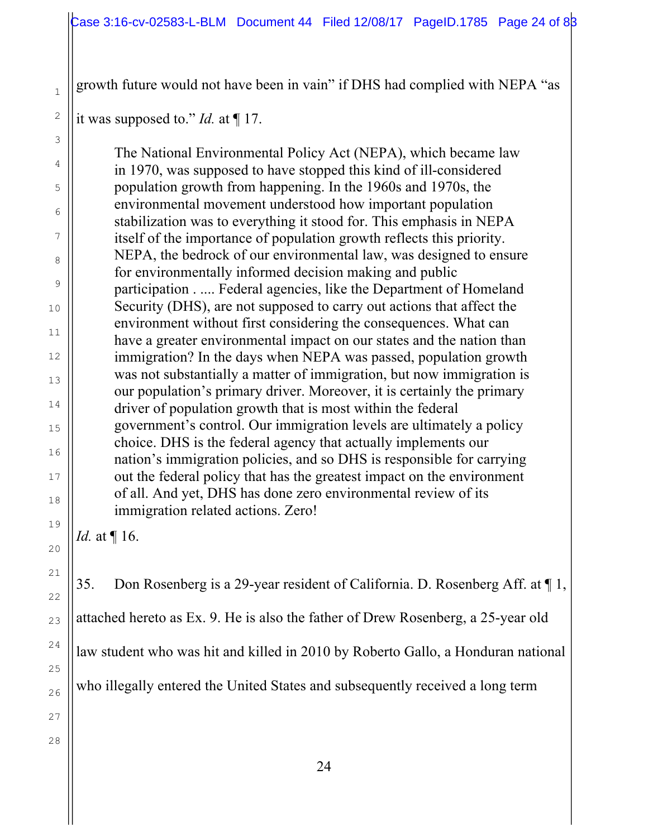growth future would not have been in vain" if DHS had complied with NEPA "as

it was supposed to." *Id.* at ¶ 17.

The National Environmental Policy Act (NEPA), which became law in 1970, was supposed to have stopped this kind of ill-considered population growth from happening. In the 1960s and 1970s, the environmental movement understood how important population stabilization was to everything it stood for. This emphasis in NEPA itself of the importance of population growth reflects this priority. NEPA, the bedrock of our environmental law, was designed to ensure for environmentally informed decision making and public participation . .... Federal agencies, like the Department of Homeland Security (DHS), are not supposed to carry out actions that affect the environment without first considering the consequences. What can have a greater environmental impact on our states and the nation than immigration? In the days when NEPA was passed, population growth was not substantially a matter of immigration, but now immigration is our population's primary driver. Moreover, it is certainly the primary driver of population growth that is most within the federal government's control. Our immigration levels are ultimately a policy choice. DHS is the federal agency that actually implements our nation's immigration policies, and so DHS is responsible for carrying out the federal policy that has the greatest impact on the environment of all. And yet, DHS has done zero environmental review of its immigration related actions. Zero!

*Id.* at ¶ 16.

35. Don Rosenberg is a 29-year resident of California. D. Rosenberg Aff. at ¶ 1, attached hereto as Ex. 9. He is also the father of Drew Rosenberg, a 25-year old law student who was hit and killed in 2010 by Roberto Gallo, a Honduran national

who illegally entered the United States and subsequently received a long term

1

2

3

4

5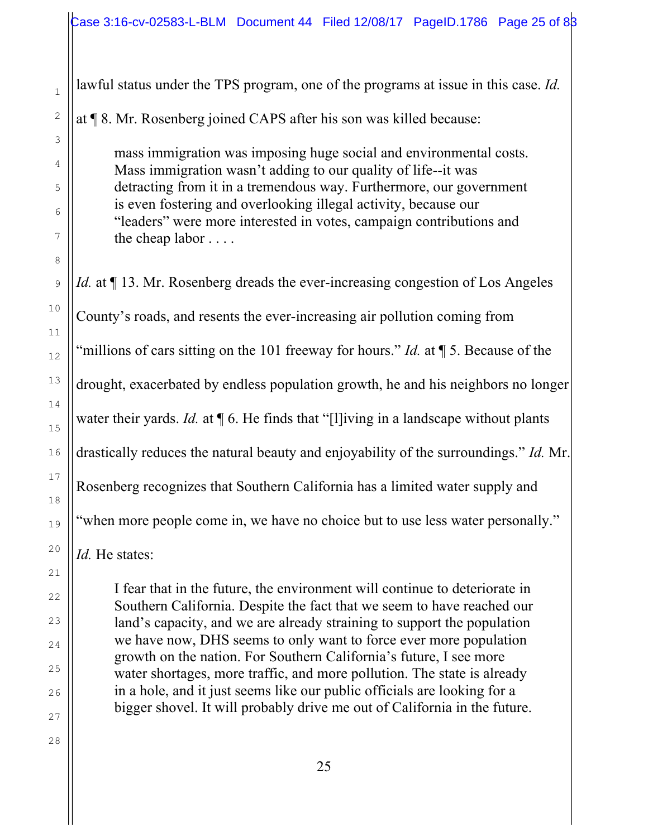lawful status under the TPS program, one of the programs at issue in this case. *Id.*

at ¶ 8. Mr. Rosenberg joined CAPS after his son was killed because:

mass immigration was imposing huge social and environmental costs. Mass immigration wasn't adding to our quality of life--it was detracting from it in a tremendous way. Furthermore, our government is even fostering and overlooking illegal activity, because our "leaders" were more interested in votes, campaign contributions and the cheap labor . . . .

*Id.* at  $\P$  13. Mr. Rosenberg dreads the ever-increasing congestion of Los Angeles County's roads, and resents the ever-increasing air pollution coming from "millions of cars sitting on the 101 freeway for hours." *Id.* at ¶ 5. Because of the drought, exacerbated by endless population growth, he and his neighbors no longer water their yards. *Id.* at  $\P$  6. He finds that "[l]iving in a landscape without plants drastically reduces the natural beauty and enjoyability of the surroundings." *Id.* Mr. Rosenberg recognizes that Southern California has a limited water supply and "when more people come in, we have no choice but to use less water personally."

*Id.* He states:

I fear that in the future, the environment will continue to deteriorate in Southern California. Despite the fact that we seem to have reached our land's capacity, and we are already straining to support the population we have now, DHS seems to only want to force ever more population growth on the nation. For Southern California's future, I see more water shortages, more traffic, and more pollution. The state is already in a hole, and it just seems like our public officials are looking for a bigger shovel. It will probably drive me out of California in the future.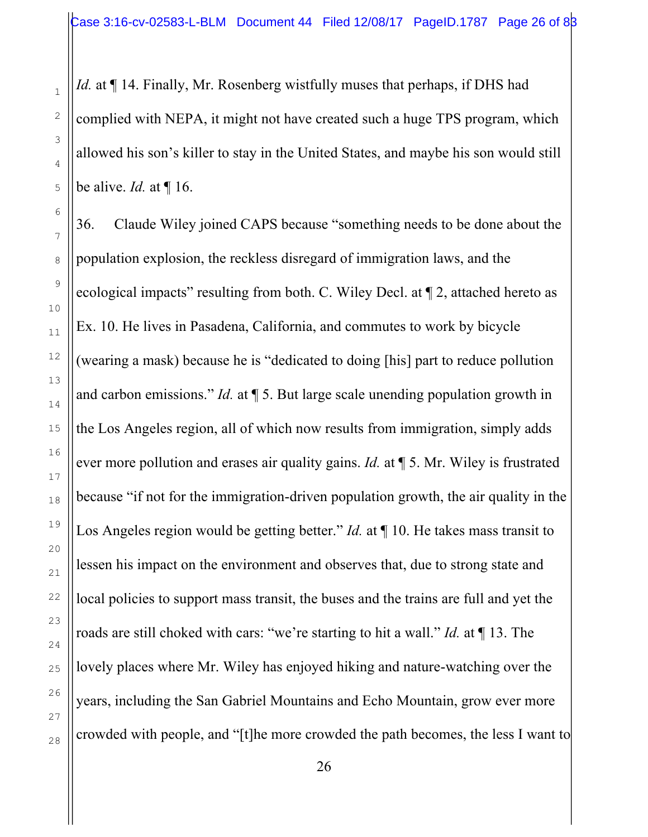*Id.* at  $\P$  14. Finally, Mr. Rosenberg wistfully muses that perhaps, if DHS had complied with NEPA, it might not have created such a huge TPS program, which allowed his son's killer to stay in the United States, and maybe his son would still be alive. *Id.* at ¶ 16.

36. Claude Wiley joined CAPS because "something needs to be done about the population explosion, the reckless disregard of immigration laws, and the ecological impacts" resulting from both. C. Wiley Decl. at ¶ 2, attached hereto as Ex. 10. He lives in Pasadena, California, and commutes to work by bicycle (wearing a mask) because he is "dedicated to doing [his] part to reduce pollution and carbon emissions." *Id.* at ¶ 5. But large scale unending population growth in the Los Angeles region, all of which now results from immigration, simply adds ever more pollution and erases air quality gains. *Id.* at ¶ 5. Mr. Wiley is frustrated because "if not for the immigration-driven population growth, the air quality in the Los Angeles region would be getting better." *Id.* at  $\P$  10. He takes mass transit to lessen his impact on the environment and observes that, due to strong state and local policies to support mass transit, the buses and the trains are full and yet the roads are still choked with cars: "we're starting to hit a wall." *Id.* at ¶ 13. The lovely places where Mr. Wiley has enjoyed hiking and nature-watching over the years, including the San Gabriel Mountains and Echo Mountain, grow ever more crowded with people, and "[t]he more crowded the path becomes, the less I want to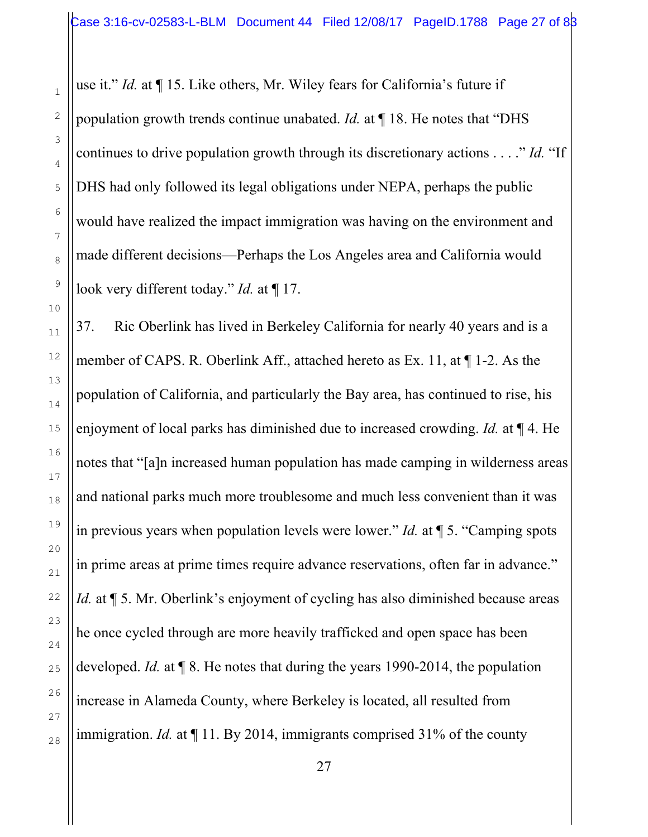use it." *Id.* at ¶ 15. Like others, Mr. Wiley fears for California's future if population growth trends continue unabated. *Id.* at ¶ 18. He notes that "DHS continues to drive population growth through its discretionary actions . . . ." *Id.* "If DHS had only followed its legal obligations under NEPA, perhaps the public would have realized the impact immigration was having on the environment and made different decisions—Perhaps the Los Angeles area and California would look very different today." *Id.* at ¶ 17.

1

2

3

4

5

6

7

8

9

10

11

12

13

14

15

16

17

18

19

20

21

22

23

24

25

26

27

28

37. Ric Oberlink has lived in Berkeley California for nearly 40 years and is a member of CAPS. R. Oberlink Aff., attached hereto as Ex. 11, at ¶ 1-2. As the population of California, and particularly the Bay area, has continued to rise, his enjoyment of local parks has diminished due to increased crowding. *Id.* at ¶ 4. He notes that "[a]n increased human population has made camping in wilderness areas and national parks much more troublesome and much less convenient than it was in previous years when population levels were lower." *Id.* at ¶ 5. "Camping spots in prime areas at prime times require advance reservations, often far in advance." *Id.* at  $\P$  5. Mr. Oberlink's enjoyment of cycling has also diminished because areas he once cycled through are more heavily trafficked and open space has been developed. *Id.* at ¶ 8. He notes that during the years 1990-2014, the population increase in Alameda County, where Berkeley is located, all resulted from immigration. *Id.* at ¶ 11. By 2014, immigrants comprised 31% of the county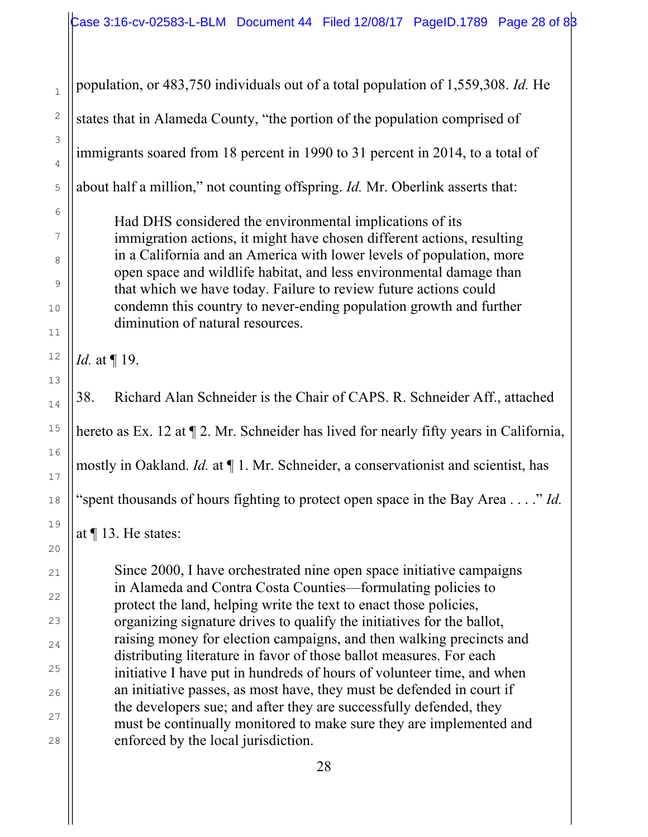population, or 483,750 individuals out of a total population of 1,559,308. *Id.* He

states that in Alameda County, "the portion of the population comprised of

immigrants soared from 18 percent in 1990 to 31 percent in 2014, to a total of

about half a million," not counting offspring. *Id.* Mr. Oberlink asserts that:

Had DHS considered the environmental implications of its immigration actions, it might have chosen different actions, resulting in a California and an America with lower levels of population, more open space and wildlife habitat, and less environmental damage than that which we have today. Failure to review future actions could condemn this country to never-ending population growth and further diminution of natural resources.

*Id.* at ¶ 19.

38. Richard Alan Schneider is the Chair of CAPS. R. Schneider Aff., attached hereto as Ex. 12 at  $\P$  2. Mr. Schneider has lived for nearly fifty years in California, mostly in Oakland. *Id.* at ¶ 1. Mr. Schneider, a conservationist and scientist, has "spent thousands of hours fighting to protect open space in the Bay Area . . . ." *Id.*

at ¶ 13. He states:

Since 2000, I have orchestrated nine open space initiative campaigns in Alameda and Contra Costa Counties—formulating policies to protect the land, helping write the text to enact those policies, organizing signature drives to qualify the initiatives for the ballot, raising money for election campaigns, and then walking precincts and distributing literature in favor of those ballot measures. For each initiative I have put in hundreds of hours of volunteer time, and when an initiative passes, as most have, they must be defended in court if the developers sue; and after they are successfully defended, they must be continually monitored to make sure they are implemented and enforced by the local jurisdiction.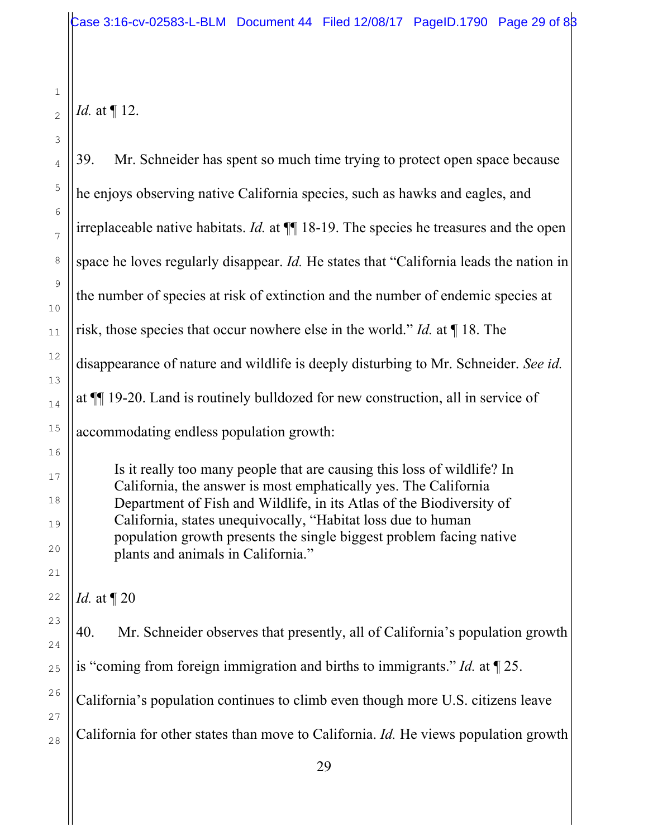*Id.* at ¶ 12.

| 39.<br>Mr. Schneider has spent so much time trying to protect open space because                                                                                                                                                                                                                                                                                                                |
|-------------------------------------------------------------------------------------------------------------------------------------------------------------------------------------------------------------------------------------------------------------------------------------------------------------------------------------------------------------------------------------------------|
| he enjoys observing native California species, such as hawks and eagles, and                                                                                                                                                                                                                                                                                                                    |
| irreplaceable native habitats. <i>Id.</i> at $\P$ 18-19. The species he treasures and the open                                                                                                                                                                                                                                                                                                  |
| space he loves regularly disappear. <i>Id</i> . He states that "California leads the nation in                                                                                                                                                                                                                                                                                                  |
| the number of species at risk of extinction and the number of endemic species at                                                                                                                                                                                                                                                                                                                |
| risk, those species that occur nowhere else in the world." <i>Id.</i> at $\P$ 18. The                                                                                                                                                                                                                                                                                                           |
| disappearance of nature and wildlife is deeply disturbing to Mr. Schneider. See id.                                                                                                                                                                                                                                                                                                             |
| at ¶[ 19-20. Land is routinely bulldozed for new construction, all in service of                                                                                                                                                                                                                                                                                                                |
| accommodating endless population growth:                                                                                                                                                                                                                                                                                                                                                        |
| Is it really too many people that are causing this loss of wildlife? In<br>California, the answer is most emphatically yes. The California<br>Department of Fish and Wildlife, in its Atlas of the Biodiversity of<br>California, states unequivocally, "Habitat loss due to human<br>population growth presents the single biggest problem facing native<br>plants and animals in California." |
| <i>Id.</i> at $\P$ 20                                                                                                                                                                                                                                                                                                                                                                           |
| 40.<br>Mr. Schneider observes that presently, all of California's population growth                                                                                                                                                                                                                                                                                                             |
| is "coming from foreign immigration and births to immigrants." <i>Id.</i> at $\llbracket 25$ .                                                                                                                                                                                                                                                                                                  |
| California's population continues to climb even though more U.S. citizens leave                                                                                                                                                                                                                                                                                                                 |
| California for other states than move to California. Id. He views population growth                                                                                                                                                                                                                                                                                                             |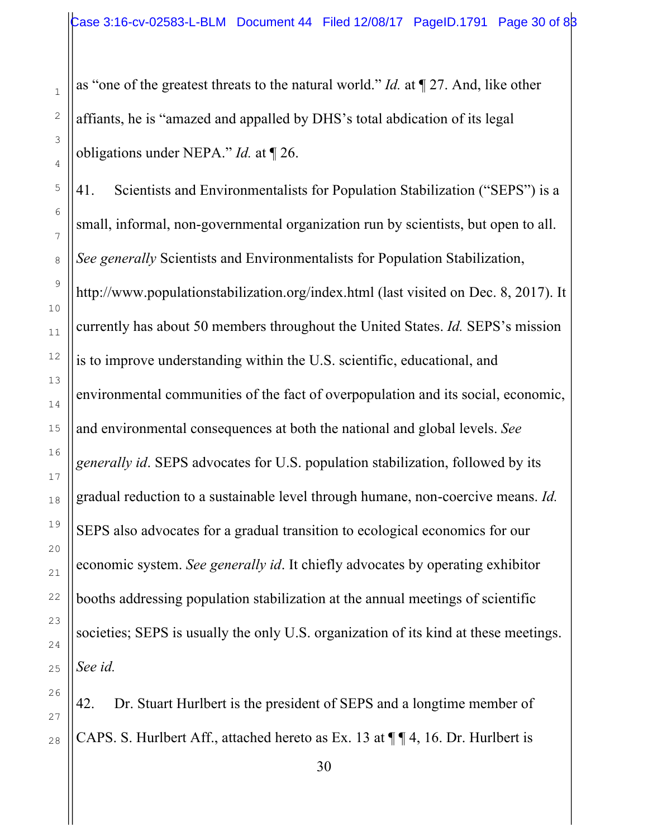as "one of the greatest threats to the natural world." *Id.* at ¶ 27. And, like other affiants, he is "amazed and appalled by DHS's total abdication of its legal obligations under NEPA." *Id.* at ¶ 26.

41. Scientists and Environmentalists for Population Stabilization ("SEPS") is a small, informal, non-governmental organization run by scientists, but open to all. *See generally* Scientists and Environmentalists for Population Stabilization, http://www.populationstabilization.org/index.html (last visited on Dec. 8, 2017). It currently has about 50 members throughout the United States. *Id.* SEPS's mission is to improve understanding within the U.S. scientific, educational, and environmental communities of the fact of overpopulation and its social, economic, and environmental consequences at both the national and global levels. *See generally id*. SEPS advocates for U.S. population stabilization, followed by its gradual reduction to a sustainable level through humane, non-coercive means. *Id.* SEPS also advocates for a gradual transition to ecological economics for our economic system. *See generally id*. It chiefly advocates by operating exhibitor booths addressing population stabilization at the annual meetings of scientific societies; SEPS is usually the only U.S. organization of its kind at these meetings. *See id.*

42. Dr. Stuart Hurlbert is the president of SEPS and a longtime member of CAPS. S. Hurlbert Aff., attached hereto as Ex. 13 at ¶ ¶ 4, 16. Dr. Hurlbert is

1

2

3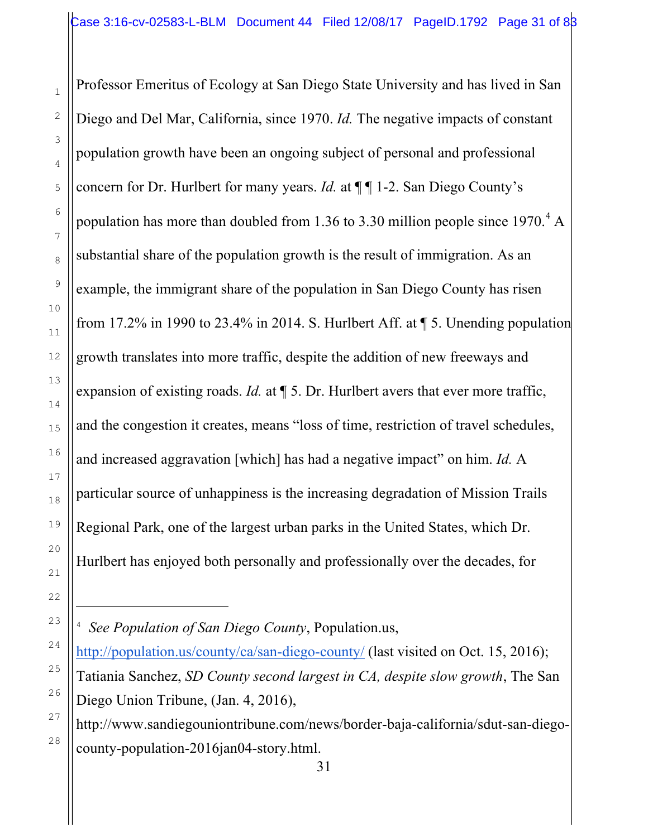Professor Emeritus of Ecology at San Diego State University and has lived in San Diego and Del Mar, California, since 1970. *Id.* The negative impacts of constant population growth have been an ongoing subject of personal and professional concern for Dr. Hurlbert for many years. *Id.* at ¶ ¶ 1-2. San Diego County's population has more than doubled from 1.36 to 3.30 million people since  $1970<sup>4</sup>$  A substantial share of the population growth is the result of immigration. As an example, the immigrant share of the population in San Diego County has risen from 17.2% in 1990 to 23.4% in 2014. S. Hurlbert Aff. at  $\P$  5. Unending population growth translates into more traffic, despite the addition of new freeways and expansion of existing roads. *Id.* at  $\P$  5. Dr. Hurlbert avers that ever more traffic, and the congestion it creates, means "loss of time, restriction of travel schedules, and increased aggravation [which] has had a negative impact" on him. *Id.* A particular source of unhappiness is the increasing degradation of Mission Trails Regional Park, one of the largest urban parks in the United States, which Dr. Hurlbert has enjoyed both personally and professionally over the decades, for

i<br>L

1

2

3

4

5

<sup>4</sup> *See Population of San Diego County*, Population.us,

http://population.us/county/ca/san-diego-county/ (last visited on Oct. 15, 2016); Tatiania Sanchez, *SD County second largest in CA, despite slow growth*, The San Diego Union Tribune, (Jan. 4, 2016),

http://www.sandiegouniontribune.com/news/border-baja-california/sdut-san-diegocounty-population-2016jan04-story.html.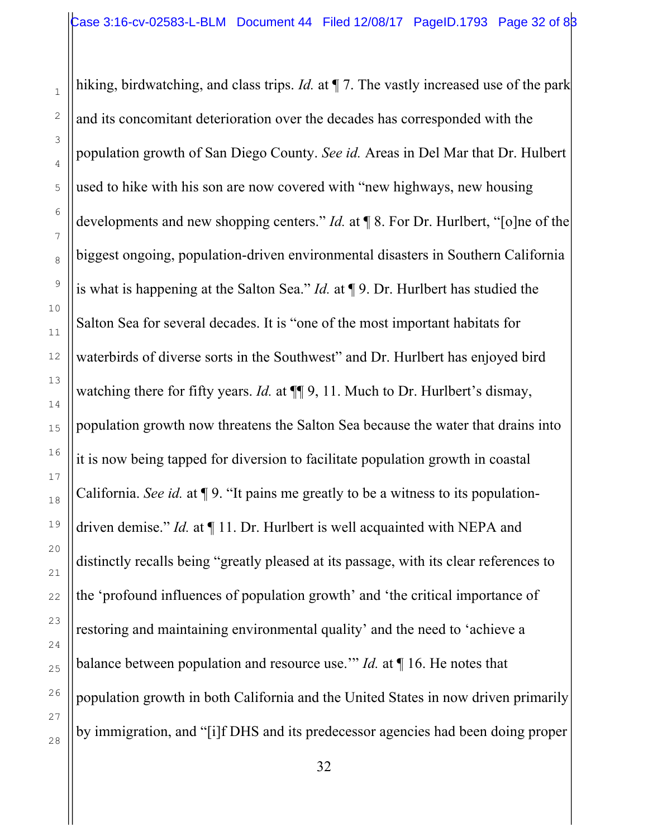hiking, birdwatching, and class trips. *Id.* at  $\P$  7. The vastly increased use of the park and its concomitant deterioration over the decades has corresponded with the population growth of San Diego County. *See id.* Areas in Del Mar that Dr. Hulbert used to hike with his son are now covered with "new highways, new housing developments and new shopping centers." *Id.* at ¶ 8. For Dr. Hurlbert, "[o]ne of the biggest ongoing, population-driven environmental disasters in Southern California is what is happening at the Salton Sea." *Id.* at ¶ 9. Dr. Hurlbert has studied the Salton Sea for several decades. It is "one of the most important habitats for waterbirds of diverse sorts in the Southwest" and Dr. Hurlbert has enjoyed bird watching there for fifty years. *Id.* at  $\P\P$  9, 11. Much to Dr. Hurlbert's dismay, population growth now threatens the Salton Sea because the water that drains into it is now being tapped for diversion to facilitate population growth in coastal California. *See id.* at ¶ 9. "It pains me greatly to be a witness to its populationdriven demise." *Id.* at ¶ 11. Dr. Hurlbert is well acquainted with NEPA and distinctly recalls being "greatly pleased at its passage, with its clear references to the 'profound influences of population growth' and 'the critical importance of restoring and maintaining environmental quality' and the need to 'achieve a balance between population and resource use.'" *Id.* at ¶ 16. He notes that population growth in both California and the United States in now driven primarily by immigration, and "[i]f DHS and its predecessor agencies had been doing proper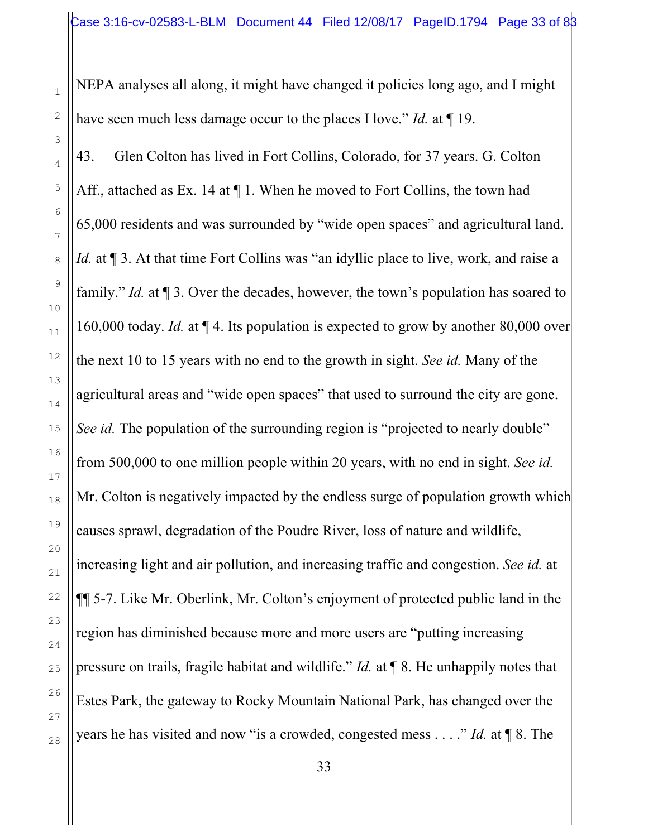NEPA analyses all along, it might have changed it policies long ago, and I might have seen much less damage occur to the places I love." *Id.* at ¶ 19.

43. Glen Colton has lived in Fort Collins, Colorado, for 37 years. G. Colton Aff., attached as Ex. 14 at  $\P$  1. When he moved to Fort Collins, the town had 65,000 residents and was surrounded by "wide open spaces" and agricultural land. *Id.* at ¶ 3. At that time Fort Collins was "an idyllic place to live, work, and raise a family." *Id.* at  $\P$  3. Over the decades, however, the town's population has soared to 160,000 today. *Id.* at ¶ 4. Its population is expected to grow by another 80,000 over the next 10 to 15 years with no end to the growth in sight. *See id.* Many of the agricultural areas and "wide open spaces" that used to surround the city are gone. *See id.* The population of the surrounding region is "projected to nearly double" from 500,000 to one million people within 20 years, with no end in sight. *See id.*  Mr. Colton is negatively impacted by the endless surge of population growth which causes sprawl, degradation of the Poudre River, loss of nature and wildlife, increasing light and air pollution, and increasing traffic and congestion. *See id.* at ¶¶ 5-7. Like Mr. Oberlink, Mr. Colton's enjoyment of protected public land in the region has diminished because more and more users are "putting increasing pressure on trails, fragile habitat and wildlife." *Id.* at ¶ 8. He unhappily notes that Estes Park, the gateway to Rocky Mountain National Park, has changed over the years he has visited and now "is a crowded, congested mess . . . ." *Id.* at ¶ 8. The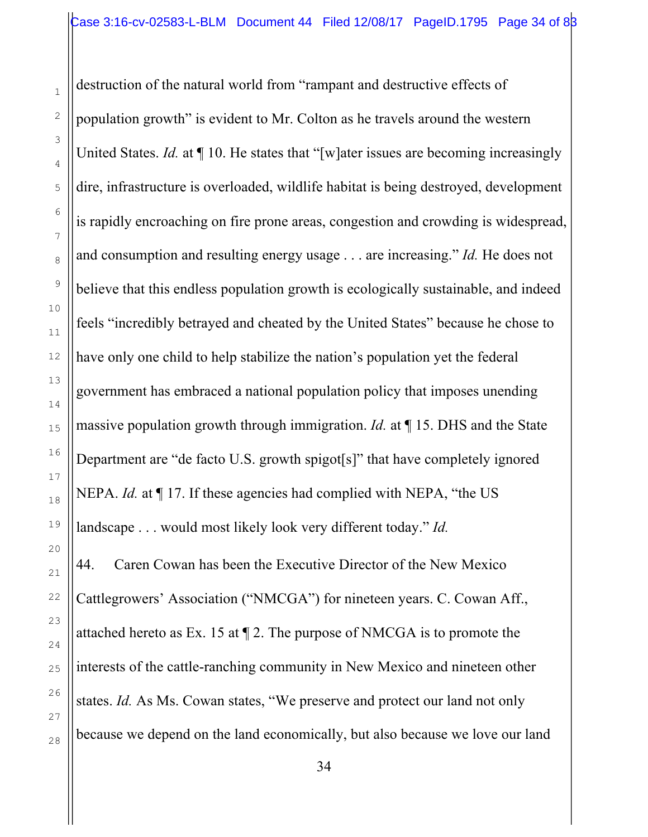destruction of the natural world from "rampant and destructive effects of population growth" is evident to Mr. Colton as he travels around the western United States. *Id.* at  $\P$  10. He states that "[w]ater issues are becoming increasingly dire, infrastructure is overloaded, wildlife habitat is being destroyed, development is rapidly encroaching on fire prone areas, congestion and crowding is widespread, and consumption and resulting energy usage . . . are increasing." *Id.* He does not believe that this endless population growth is ecologically sustainable, and indeed feels "incredibly betrayed and cheated by the United States" because he chose to have only one child to help stabilize the nation's population yet the federal government has embraced a national population policy that imposes unending massive population growth through immigration. *Id.* at ¶ 15. DHS and the State Department are "de facto U.S. growth spigot[s]" that have completely ignored NEPA. *Id.* at ¶ 17. If these agencies had complied with NEPA, "the US landscape . . . would most likely look very different today." *Id.*

44. Caren Cowan has been the Executive Director of the New Mexico Cattlegrowers' Association ("NMCGA") for nineteen years. C. Cowan Aff., attached hereto as Ex. 15 at ¶ 2. The purpose of NMCGA is to promote the interests of the cattle-ranching community in New Mexico and nineteen other states. *Id.* As Ms. Cowan states, "We preserve and protect our land not only because we depend on the land economically, but also because we love our land

1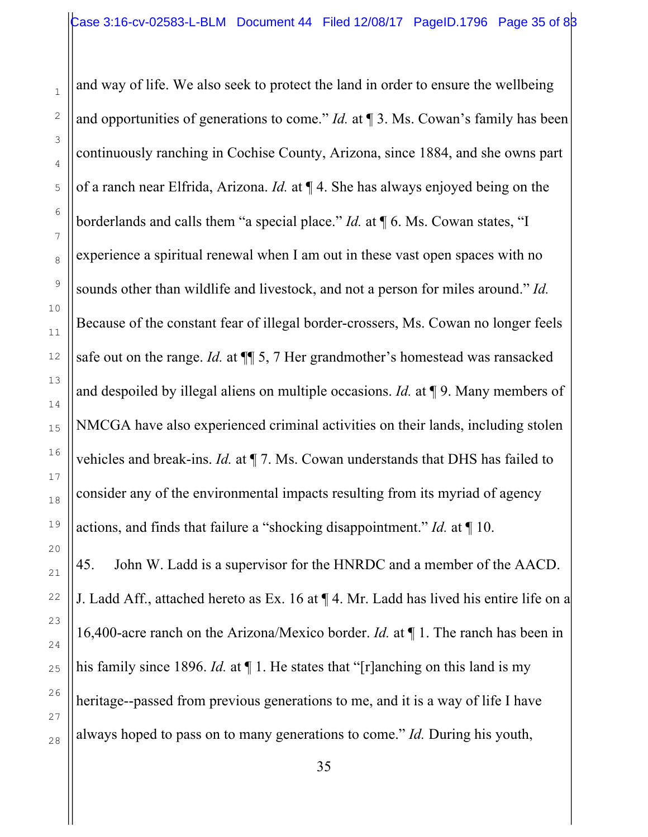1

2

3

4

5

6

7

8

9

10

11

12

13

14

15

16

17

18

19

20

21

22

23

24

25

26

27

28

and way of life. We also seek to protect the land in order to ensure the wellbeing and opportunities of generations to come." *Id.* at ¶ 3. Ms. Cowan's family has been continuously ranching in Cochise County, Arizona, since 1884, and she owns part of a ranch near Elfrida, Arizona. *Id.* at ¶ 4. She has always enjoyed being on the borderlands and calls them "a special place." *Id.* at ¶ 6. Ms. Cowan states, "I experience a spiritual renewal when I am out in these vast open spaces with no sounds other than wildlife and livestock, and not a person for miles around." *Id.* Because of the constant fear of illegal border-crossers, Ms. Cowan no longer feels safe out on the range. *Id.* at  $\P$  5, 7 Her grandmother's homestead was ransacked and despoiled by illegal aliens on multiple occasions. *Id.* at ¶ 9. Many members of NMCGA have also experienced criminal activities on their lands, including stolen vehicles and break-ins. *Id.* at ¶ 7. Ms. Cowan understands that DHS has failed to consider any of the environmental impacts resulting from its myriad of agency actions, and finds that failure a "shocking disappointment." *Id.* at ¶ 10.

45. John W. Ladd is a supervisor for the HNRDC and a member of the AACD. J. Ladd Aff., attached hereto as Ex. 16 at ¶ 4. Mr. Ladd has lived his entire life on a 16,400-acre ranch on the Arizona/Mexico border. *Id.* at ¶ 1. The ranch has been in his family since 1896. *Id.* at  $\P$  1. He states that "[r]anching on this land is my heritage--passed from previous generations to me, and it is a way of life I have always hoped to pass on to many generations to come." *Id.* During his youth,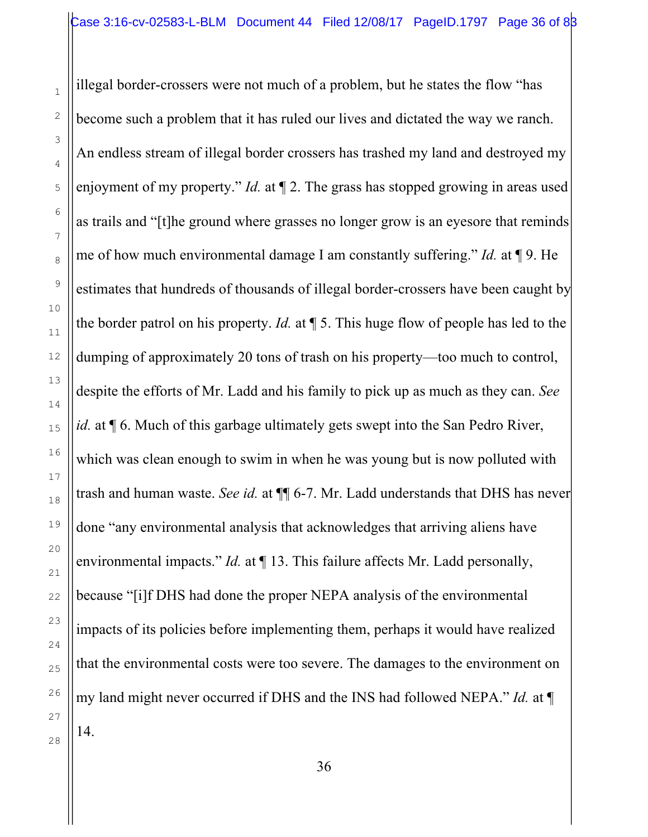illegal border-crossers were not much of a problem, but he states the flow "has become such a problem that it has ruled our lives and dictated the way we ranch. An endless stream of illegal border crossers has trashed my land and destroyed my enjoyment of my property." *Id.* at ¶ 2. The grass has stopped growing in areas used as trails and "[t]he ground where grasses no longer grow is an eyesore that reminds me of how much environmental damage I am constantly suffering." *Id.* at ¶ 9. He estimates that hundreds of thousands of illegal border-crossers have been caught by the border patrol on his property. *Id.* at ¶ 5. This huge flow of people has led to the dumping of approximately 20 tons of trash on his property—too much to control, despite the efforts of Mr. Ladd and his family to pick up as much as they can. *See id.* at  $\P$  6. Much of this garbage ultimately gets swept into the San Pedro River, which was clean enough to swim in when he was young but is now polluted with trash and human waste. *See id.* at  $\P$  6-7. Mr. Ladd understands that DHS has never done "any environmental analysis that acknowledges that arriving aliens have environmental impacts." *Id.* at  $\P$  13. This failure affects Mr. Ladd personally, because "[i]f DHS had done the proper NEPA analysis of the environmental impacts of its policies before implementing them, perhaps it would have realized that the environmental costs were too severe. The damages to the environment on my land might never occurred if DHS and the INS had followed NEPA." *Id.* at ¶ 14.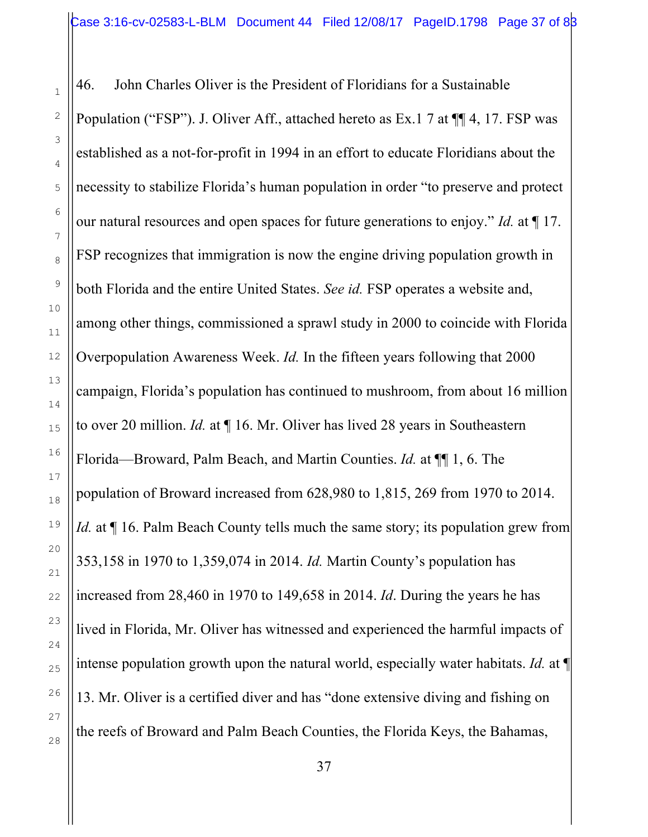46. John Charles Oliver is the President of Floridians for a Sustainable Population ("FSP"). J. Oliver Aff., attached hereto as Ex.1 7 at ¶¶ 4, 17. FSP was established as a not-for-profit in 1994 in an effort to educate Floridians about the necessity to stabilize Florida's human population in order "to preserve and protect our natural resources and open spaces for future generations to enjoy." *Id.* at ¶ 17. FSP recognizes that immigration is now the engine driving population growth in both Florida and the entire United States. *See id.* FSP operates a website and, among other things, commissioned a sprawl study in 2000 to coincide with Florida Overpopulation Awareness Week. *Id.* In the fifteen years following that 2000 campaign, Florida's population has continued to mushroom, from about 16 million to over 20 million. *Id.* at ¶ 16. Mr. Oliver has lived 28 years in Southeastern Florida—Broward, Palm Beach, and Martin Counties. *Id.* at ¶¶ 1, 6. The population of Broward increased from 628,980 to 1,815, 269 from 1970 to 2014. *Id.* at  $\P$  16. Palm Beach County tells much the same story; its population grew from 353,158 in 1970 to 1,359,074 in 2014. *Id.* Martin County's population has increased from 28,460 in 1970 to 149,658 in 2014. *Id*. During the years he has lived in Florida, Mr. Oliver has witnessed and experienced the harmful impacts of intense population growth upon the natural world, especially water habitats. *Id.* at ¶ 13. Mr. Oliver is a certified diver and has "done extensive diving and fishing on the reefs of Broward and Palm Beach Counties, the Florida Keys, the Bahamas,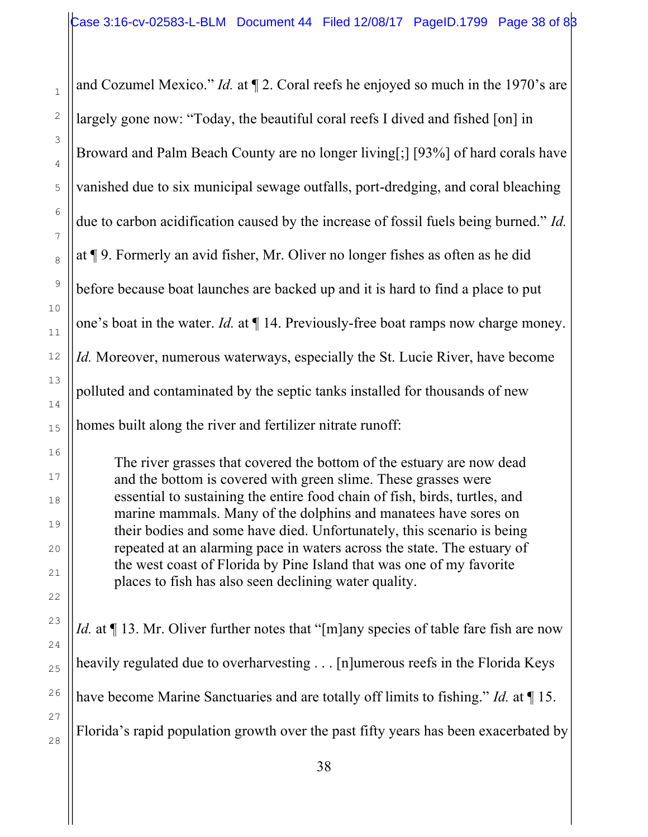and Cozumel Mexico." *Id.* at  $\P$  2. Coral reefs he enjoyed so much in the 1970's are largely gone now: "Today, the beautiful coral reefs I dived and fished [on] in Broward and Palm Beach County are no longer living[;] [93%] of hard corals have vanished due to six municipal sewage outfalls, port-dredging, and coral bleaching due to carbon acidification caused by the increase of fossil fuels being burned." *Id.*  at ¶ 9. Formerly an avid fisher, Mr. Oliver no longer fishes as often as he did before because boat launches are backed up and it is hard to find a place to put one's boat in the water. *Id.* at ¶ 14. Previously-free boat ramps now charge money. *Id.* Moreover, numerous waterways, especially the St. Lucie River, have become polluted and contaminated by the septic tanks installed for thousands of new homes built along the river and fertilizer nitrate runoff:

The river grasses that covered the bottom of the estuary are now dead and the bottom is covered with green slime. These grasses were essential to sustaining the entire food chain of fish, birds, turtles, and marine mammals. Many of the dolphins and manatees have sores on their bodies and some have died. Unfortunately, this scenario is being repeated at an alarming pace in waters across the state. The estuary of the west coast of Florida by Pine Island that was one of my favorite places to fish has also seen declining water quality.

*Id.* at  $\P$  13. Mr. Oliver further notes that "[m]any species of table fare fish are now heavily regulated due to overharvesting . . . [n]umerous reefs in the Florida Keys have become Marine Sanctuaries and are totally off limits to fishing." *Id.* at ¶ 15. Florida's rapid population growth over the past fifty years has been exacerbated by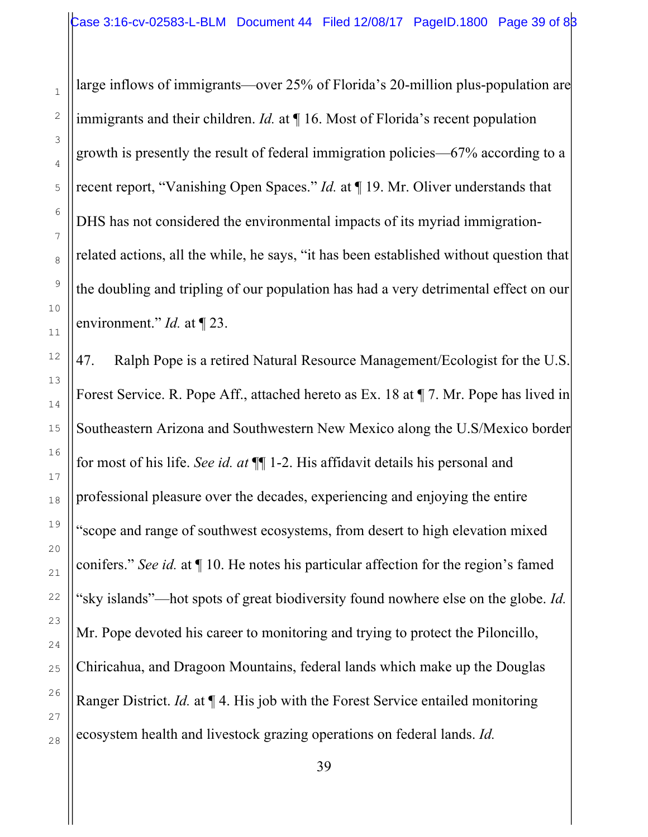large inflows of immigrants—over 25% of Florida's 20-million plus-population are immigrants and their children. *Id.* at ¶ 16. Most of Florida's recent population growth is presently the result of federal immigration policies—67% according to a recent report, "Vanishing Open Spaces." *Id.* at ¶ 19. Mr. Oliver understands that DHS has not considered the environmental impacts of its myriad immigrationrelated actions, all the while, he says, "it has been established without question that the doubling and tripling of our population has had a very detrimental effect on our environment." *Id.* at ¶ 23.

47. Ralph Pope is a retired Natural Resource Management/Ecologist for the U.S. Forest Service. R. Pope Aff., attached hereto as Ex. 18 at ¶ 7. Mr. Pope has lived in Southeastern Arizona and Southwestern New Mexico along the U.S/Mexico border for most of his life. *See id. at* ¶¶ 1-2. His affidavit details his personal and professional pleasure over the decades, experiencing and enjoying the entire "scope and range of southwest ecosystems, from desert to high elevation mixed conifers." *See id.* at ¶ 10. He notes his particular affection for the region's famed "sky islands"—hot spots of great biodiversity found nowhere else on the globe. *Id.* Mr. Pope devoted his career to monitoring and trying to protect the Piloncillo, Chiricahua, and Dragoon Mountains, federal lands which make up the Douglas Ranger District. *Id.* at ¶ 4. His job with the Forest Service entailed monitoring ecosystem health and livestock grazing operations on federal lands. *Id.*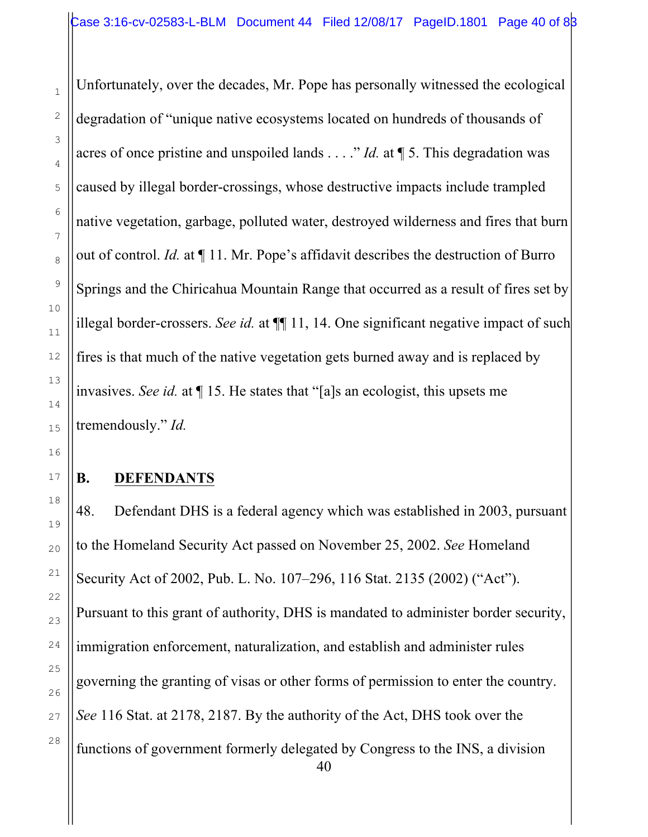Unfortunately, over the decades, Mr. Pope has personally witnessed the ecological degradation of "unique native ecosystems located on hundreds of thousands of acres of once pristine and unspoiled lands . . . ." *Id.* at ¶ 5. This degradation was caused by illegal border-crossings, whose destructive impacts include trampled native vegetation, garbage, polluted water, destroyed wilderness and fires that burn out of control. *Id.* at ¶ 11. Mr. Pope's affidavit describes the destruction of Burro Springs and the Chiricahua Mountain Range that occurred as a result of fires set by illegal border-crossers. *See id.* at  $\P$  11, 14. One significant negative impact of such fires is that much of the native vegetation gets burned away and is replaced by invasives. *See id.* at ¶ 15. He states that "[a]s an ecologist, this upsets me tremendously." *Id.*

## **B. DEFENDANTS**

40 48. Defendant DHS is a federal agency which was established in 2003, pursuant to the Homeland Security Act passed on November 25, 2002. *See* Homeland Security Act of 2002, Pub. L. No. 107–296, 116 Stat. 2135 (2002) ("Act"). Pursuant to this grant of authority, DHS is mandated to administer border security, immigration enforcement, naturalization, and establish and administer rules governing the granting of visas or other forms of permission to enter the country. *See* 116 Stat. at 2178, 2187. By the authority of the Act, DHS took over the functions of government formerly delegated by Congress to the INS, a division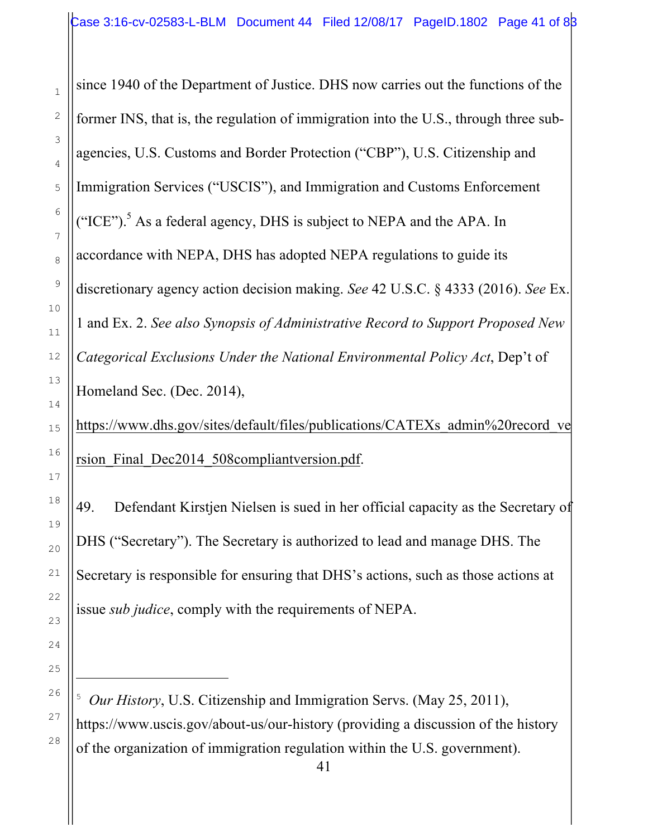since 1940 of the Department of Justice. DHS now carries out the functions of the former INS, that is, the regulation of immigration into the U.S., through three subagencies, U.S. Customs and Border Protection ("CBP"), U.S. Citizenship and Immigration Services ("USCIS"), and Immigration and Customs Enforcement ("ICE").<sup>5</sup> As a federal agency, DHS is subject to NEPA and the APA. In accordance with NEPA, DHS has adopted NEPA regulations to guide its discretionary agency action decision making. *See* 42 U.S.C. § 4333 (2016). *See* Ex. 1 and Ex. 2. *See also Synopsis of Administrative Record to Support Proposed New Categorical Exclusions Under the National Environmental Policy Act*, Dep't of Homeland Sec. (Dec. 2014),

https://www.dhs.gov/sites/default/files/publications/CATEXs\_admin%20record\_ve rsion Final Dec2014 508compliantversion.pdf.

49. Defendant Kirstjen Nielsen is sued in her official capacity as the Secretary of DHS ("Secretary"). The Secretary is authorized to lead and manage DHS. The Secretary is responsible for ensuring that DHS's actions, such as those actions at issue *sub judice*, comply with the requirements of NEPA.

i

<sup>5</sup> *Our History*, U.S. Citizenship and Immigration Servs. (May 25, 2011), https://www.uscis.gov/about-us/our-history (providing a discussion of the history of the organization of immigration regulation within the U.S. government).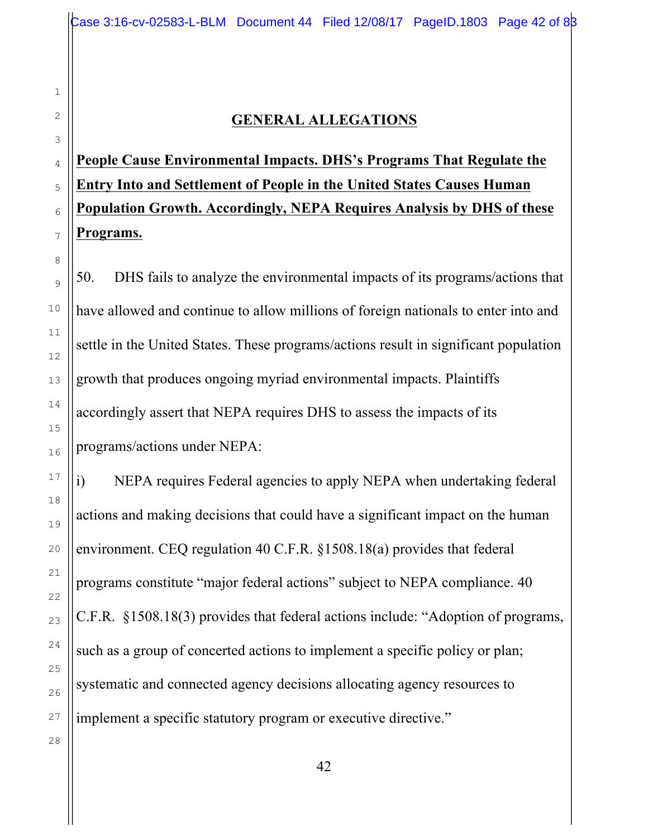## **GENERAL ALLEGATIONS**

# **People Cause Environmental Impacts. DHS's Programs That Regulate the Entry Into and Settlement of People in the United States Causes Human Population Growth. Accordingly, NEPA Requires Analysis by DHS of these Programs.**

50. DHS fails to analyze the environmental impacts of its programs/actions that have allowed and continue to allow millions of foreign nationals to enter into and settle in the United States. These programs/actions result in significant population growth that produces ongoing myriad environmental impacts. Plaintiffs accordingly assert that NEPA requires DHS to assess the impacts of its programs/actions under NEPA:

i) NEPA requires Federal agencies to apply NEPA when undertaking federal actions and making decisions that could have a significant impact on the human environment. CEQ regulation 40 C.F.R. §1508.18(a) provides that federal programs constitute "major federal actions" subject to NEPA compliance. 40 C.F.R. §1508.18(3) provides that federal actions include: "Adoption of programs, such as a group of concerted actions to implement a specific policy or plan; systematic and connected agency decisions allocating agency resources to implement a specific statutory program or executive directive."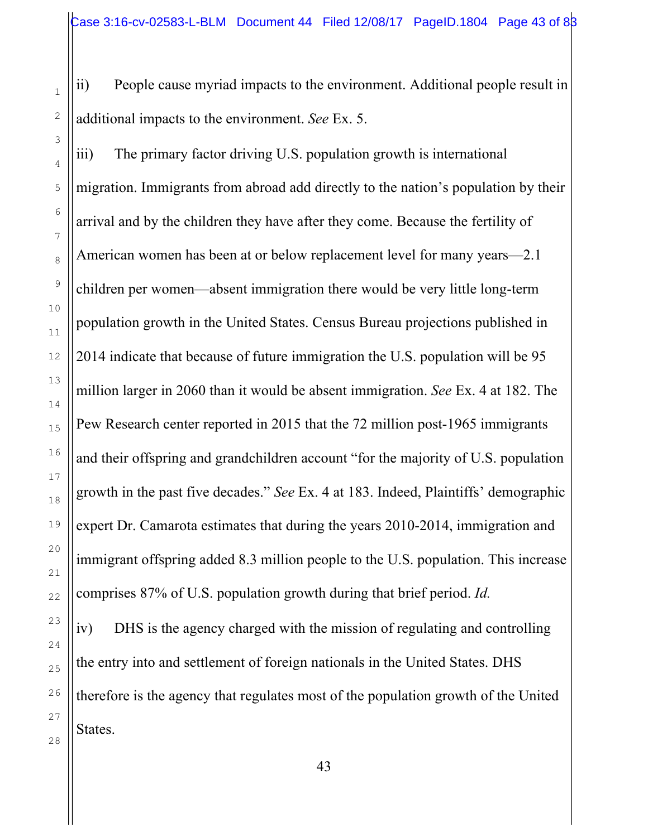ii) People cause myriad impacts to the environment. Additional people result in additional impacts to the environment. *See* Ex. 5.

iii) The primary factor driving U.S. population growth is international migration. Immigrants from abroad add directly to the nation's population by their arrival and by the children they have after they come. Because the fertility of American women has been at or below replacement level for many years—2.1 children per women—absent immigration there would be very little long-term population growth in the United States. Census Bureau projections published in 2014 indicate that because of future immigration the U.S. population will be 95 million larger in 2060 than it would be absent immigration. *See* Ex. 4 at 182. The Pew Research center reported in 2015 that the 72 million post-1965 immigrants and their offspring and grandchildren account "for the majority of U.S. population growth in the past five decades." *See* Ex. 4 at 183. Indeed, Plaintiffs' demographic expert Dr. Camarota estimates that during the years 2010-2014, immigration and immigrant offspring added 8.3 million people to the U.S. population. This increase comprises 87% of U.S. population growth during that brief period. *Id.*

iv) DHS is the agency charged with the mission of regulating and controlling the entry into and settlement of foreign nationals in the United States. DHS therefore is the agency that regulates most of the population growth of the United States.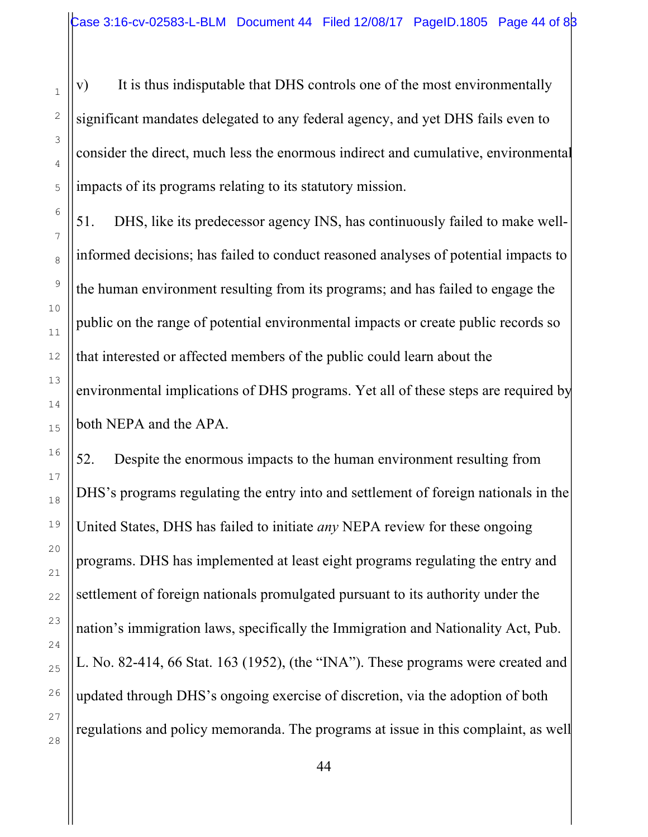v) It is thus indisputable that DHS controls one of the most environmentally significant mandates delegated to any federal agency, and yet DHS fails even to consider the direct, much less the enormous indirect and cumulative, environmental impacts of its programs relating to its statutory mission.

51. DHS, like its predecessor agency INS, has continuously failed to make wellinformed decisions; has failed to conduct reasoned analyses of potential impacts to the human environment resulting from its programs; and has failed to engage the public on the range of potential environmental impacts or create public records so that interested or affected members of the public could learn about the environmental implications of DHS programs. Yet all of these steps are required by both NEPA and the APA.

52. Despite the enormous impacts to the human environment resulting from DHS's programs regulating the entry into and settlement of foreign nationals in the United States, DHS has failed to initiate *any* NEPA review for these ongoing programs. DHS has implemented at least eight programs regulating the entry and settlement of foreign nationals promulgated pursuant to its authority under the nation's immigration laws, specifically the Immigration and Nationality Act, Pub. L. No. 82-414, 66 Stat. 163 (1952), (the "INA"). These programs were created and updated through DHS's ongoing exercise of discretion, via the adoption of both regulations and policy memoranda. The programs at issue in this complaint, as well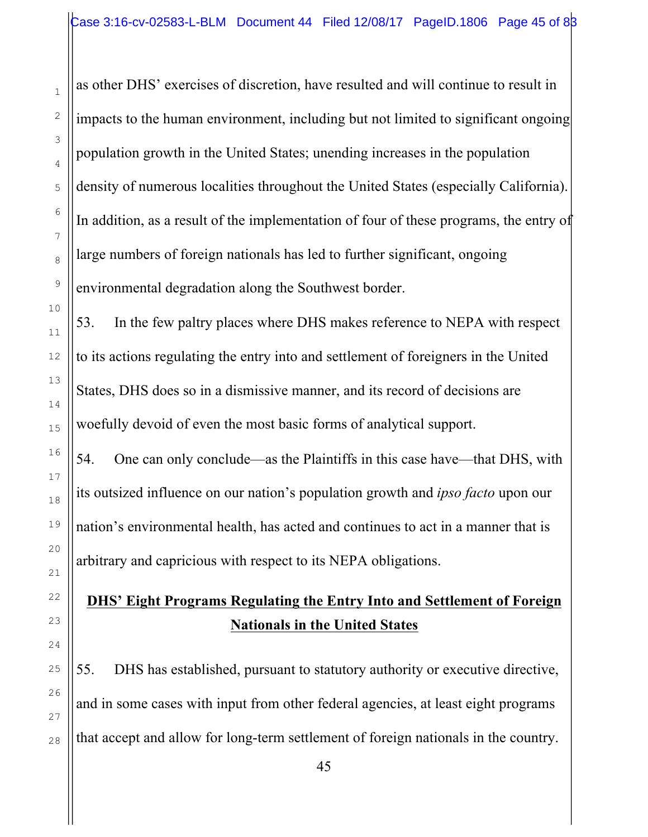as other DHS' exercises of discretion, have resulted and will continue to result in impacts to the human environment, including but not limited to significant ongoing population growth in the United States; unending increases in the population density of numerous localities throughout the United States (especially California). In addition, as a result of the implementation of four of these programs, the entry of large numbers of foreign nationals has led to further significant, ongoing environmental degradation along the Southwest border.

53. In the few paltry places where DHS makes reference to NEPA with respect to its actions regulating the entry into and settlement of foreigners in the United States, DHS does so in a dismissive manner, and its record of decisions are woefully devoid of even the most basic forms of analytical support.

54. One can only conclude—as the Plaintiffs in this case have—that DHS, with its outsized influence on our nation's population growth and *ipso facto* upon our nation's environmental health, has acted and continues to act in a manner that is arbitrary and capricious with respect to its NEPA obligations.

# **DHS' Eight Programs Regulating the Entry Into and Settlement of Foreign Nationals in the United States**

55. DHS has established, pursuant to statutory authority or executive directive, and in some cases with input from other federal agencies, at least eight programs that accept and allow for long-term settlement of foreign nationals in the country.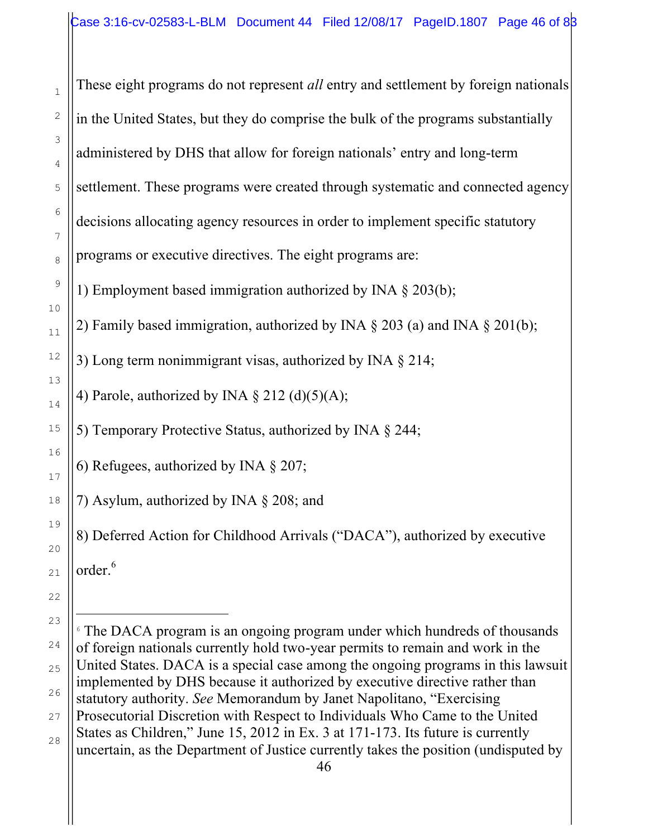These eight programs do not represent *all* entry and settlement by foreign nationals in the United States, but they do comprise the bulk of the programs substantially administered by DHS that allow for foreign nationals' entry and long-term settlement. These programs were created through systematic and connected agency decisions allocating agency resources in order to implement specific statutory programs or executive directives. The eight programs are: 1) Employment based immigration authorized by INA § 203(b); 2) Family based immigration, authorized by INA  $\S$  203 (a) and INA  $\S$  201(b); 3) Long term nonimmigrant visas, authorized by INA § 214; 4) Parole, authorized by INA  $\S 212$  (d)(5)(A); 5) Temporary Protective Status, authorized by INA § 244; 6) Refugees, authorized by INA § 207; 7) Asylum, authorized by INA § 208; and 8) Deferred Action for Childhood Arrivals ("DACA"), authorized by executive

order.<sup>6</sup>

46 i <sup>6</sup> The DACA program is an ongoing program under which hundreds of thousands of foreign nationals currently hold two-year permits to remain and work in the United States. DACA is a special case among the ongoing programs in this lawsuit implemented by DHS because it authorized by executive directive rather than statutory authority. *See* Memorandum by Janet Napolitano, "Exercising Prosecutorial Discretion with Respect to Individuals Who Came to the United States as Children," June 15, 2012 in Ex. 3 at 171-173. Its future is currently uncertain, as the Department of Justice currently takes the position (undisputed by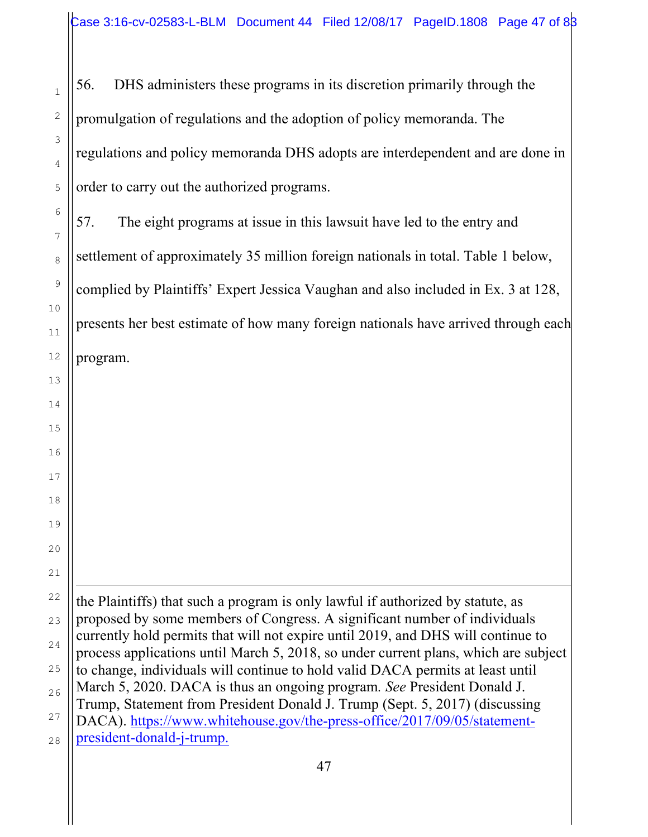56. DHS administers these programs in its discretion primarily through the promulgation of regulations and the adoption of policy memoranda. The regulations and policy memoranda DHS adopts are interdependent and are done in order to carry out the authorized programs.

57. The eight programs at issue in this lawsuit have led to the entry and settlement of approximately 35 million foreign nationals in total. Table 1 below, complied by Plaintiffs' Expert Jessica Vaughan and also included in Ex. 3 at 128, presents her best estimate of how many foreign nationals have arrived through each program.

i the Plaintiffs) that such a program is only lawful if authorized by statute, as proposed by some members of Congress. A significant number of individuals currently hold permits that will not expire until 2019, and DHS will continue to process applications until March 5, 2018, so under current plans, which are subject to change, individuals will continue to hold valid DACA permits at least until March 5, 2020. DACA is thus an ongoing program*. See* President Donald J. Trump, Statement from President Donald J. Trump (Sept. 5, 2017) (discussing DACA). https://www.whitehouse.gov/the-press-office/2017/09/05/statementpresident-donald-j-trump.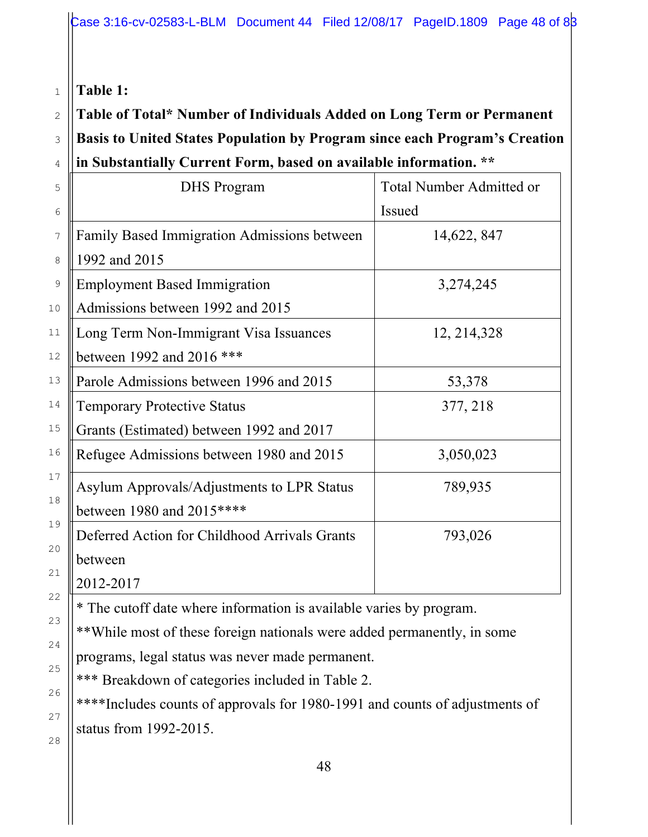### **Table 1:**

1

2

3

 $\overline{A}$ 

# **Table of Total\* Number of Individuals Added on Long Term or Permanent Basis to United States Population by Program since each Program's Creation in Substantially Current Form, based on available information. \*\***

| ін эйрэмнийну Сигтенст огш, разси он атанаріс інгогінайон. |                                 |  |  |  |
|------------------------------------------------------------|---------------------------------|--|--|--|
| <b>DHS</b> Program                                         | <b>Total Number Admitted or</b> |  |  |  |
|                                                            | Issued                          |  |  |  |
| Family Based Immigration Admissions between                | 14,622, 847                     |  |  |  |
| 1992 and 2015                                              |                                 |  |  |  |
| <b>Employment Based Immigration</b>                        | 3,274,245                       |  |  |  |
| Admissions between 1992 and 2015                           |                                 |  |  |  |
| Long Term Non-Immigrant Visa Issuances                     | 12, 214, 328                    |  |  |  |
| between 1992 and 2016 ***                                  |                                 |  |  |  |
| Parole Admissions between 1996 and 2015                    | 53,378                          |  |  |  |
| <b>Temporary Protective Status</b>                         | 377, 218                        |  |  |  |
| Grants (Estimated) between 1992 and 2017                   |                                 |  |  |  |
| Refugee Admissions between 1980 and 2015                   | 3,050,023                       |  |  |  |
| Asylum Approvals/Adjustments to LPR Status                 | 789,935                         |  |  |  |
| between 1980 and 2015****                                  |                                 |  |  |  |
| Deferred Action for Childhood Arrivals Grants              | 793,026                         |  |  |  |
| between                                                    |                                 |  |  |  |
| 2012-2017                                                  |                                 |  |  |  |
|                                                            |                                 |  |  |  |

\* The cutoff date where information is available varies by program.

\*\*While most of these foreign nationals were added permanently, in some programs, legal status was never made permanent.

\*\*\* Breakdown of categories included in Table 2.

\*\*\*\*Includes counts of approvals for 1980-1991 and counts of adjustments of status from 1992-2015.

28

23

24

25

26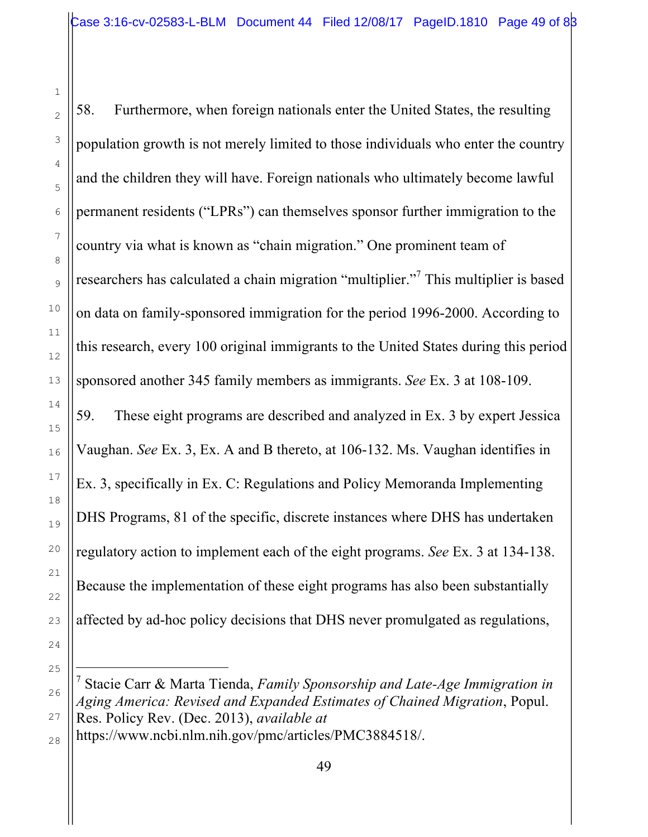58. Furthermore, when foreign nationals enter the United States, the resulting population growth is not merely limited to those individuals who enter the country and the children they will have. Foreign nationals who ultimately become lawful permanent residents ("LPRs") can themselves sponsor further immigration to the country via what is known as "chain migration." One prominent team of researchers has calculated a chain migration "multiplier."7 This multiplier is based on data on family-sponsored immigration for the period 1996-2000. According to this research, every 100 original immigrants to the United States during this period sponsored another 345 family members as immigrants. *See* Ex. 3 at 108-109.

59. These eight programs are described and analyzed in Ex. 3 by expert Jessica Vaughan. *See* Ex. 3, Ex. A and B thereto, at 106-132. Ms. Vaughan identifies in Ex. 3, specifically in Ex. C: Regulations and Policy Memoranda Implementing DHS Programs, 81 of the specific, discrete instances where DHS has undertaken regulatory action to implement each of the eight programs. *See* Ex. 3 at 134-138. Because the implementation of these eight programs has also been substantially affected by ad-hoc policy decisions that DHS never promulgated as regulations,

1

2

3

4

5

6

7

8

9

10

11

12

13

14

15

16

17

18

19

20

21

22

23

24

25

i

26

27

<sup>7</sup> Stacie Carr & Marta Tienda, *Family Sponsorship and Late-Age Immigration in Aging America: Revised and Expanded Estimates of Chained Migration*, Popul. Res. Policy Rev. (Dec. 2013), *available at* https://www.ncbi.nlm.nih.gov/pmc/articles/PMC3884518/.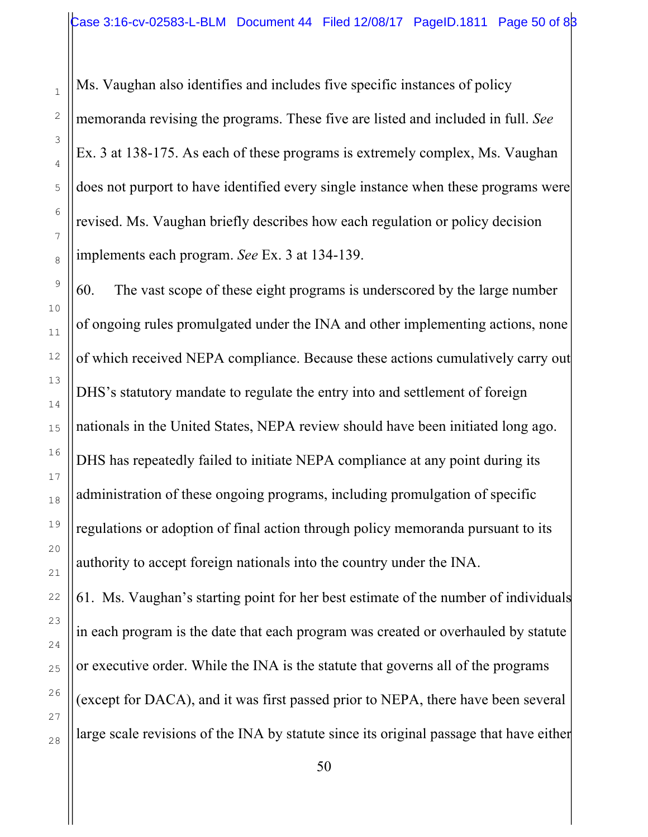Ms. Vaughan also identifies and includes five specific instances of policy memoranda revising the programs. These five are listed and included in full. *See* Ex. 3 at 138-175. As each of these programs is extremely complex, Ms. Vaughan does not purport to have identified every single instance when these programs were revised. Ms. Vaughan briefly describes how each regulation or policy decision implements each program. *See* Ex. 3 at 134-139.

60. The vast scope of these eight programs is underscored by the large number of ongoing rules promulgated under the INA and other implementing actions, none of which received NEPA compliance. Because these actions cumulatively carry out DHS's statutory mandate to regulate the entry into and settlement of foreign nationals in the United States, NEPA review should have been initiated long ago. DHS has repeatedly failed to initiate NEPA compliance at any point during its administration of these ongoing programs, including promulgation of specific regulations or adoption of final action through policy memoranda pursuant to its authority to accept foreign nationals into the country under the INA.

61. Ms. Vaughan's starting point for her best estimate of the number of individuals in each program is the date that each program was created or overhauled by statute or executive order. While the INA is the statute that governs all of the programs (except for DACA), and it was first passed prior to NEPA, there have been several large scale revisions of the INA by statute since its original passage that have either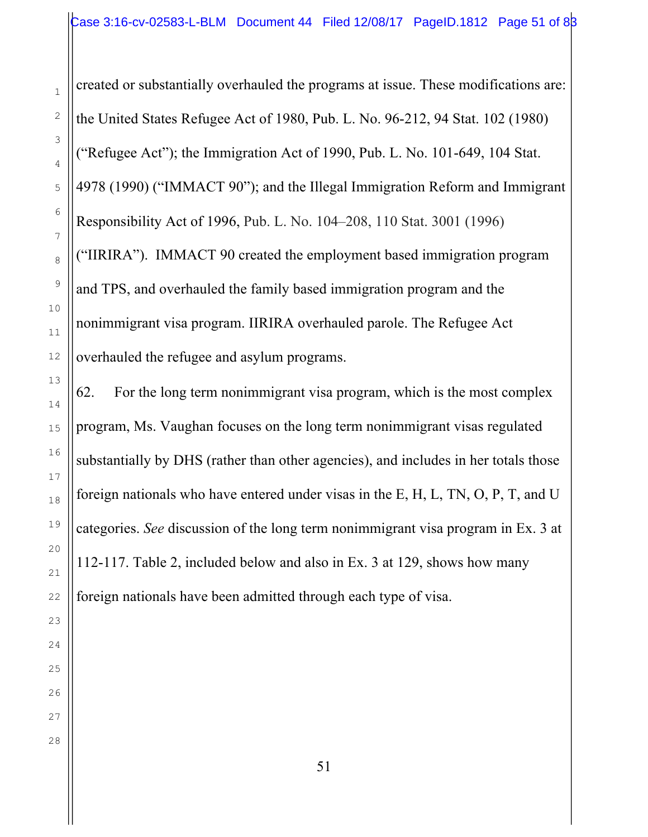created or substantially overhauled the programs at issue. These modifications are: the United States Refugee Act of 1980, Pub. L. No. 96-212, 94 Stat. 102 (1980) ("Refugee Act"); the Immigration Act of 1990, Pub. L. No. 101-649, 104 Stat. 4978 (1990) ("IMMACT 90"); and the Illegal Immigration Reform and Immigrant Responsibility Act of 1996, Pub. L. No. 104–208, 110 Stat. 3001 (1996) ("IIRIRA"). IMMACT 90 created the employment based immigration program and TPS, and overhauled the family based immigration program and the nonimmigrant visa program. IIRIRA overhauled parole. The Refugee Act overhauled the refugee and asylum programs.

62. For the long term nonimmigrant visa program, which is the most complex program, Ms. Vaughan focuses on the long term nonimmigrant visas regulated substantially by DHS (rather than other agencies), and includes in her totals those foreign nationals who have entered under visas in the E, H, L, TN, O, P, T, and U categories. *See* discussion of the long term nonimmigrant visa program in Ex. 3 at 112-117. Table 2, included below and also in Ex. 3 at 129, shows how many foreign nationals have been admitted through each type of visa.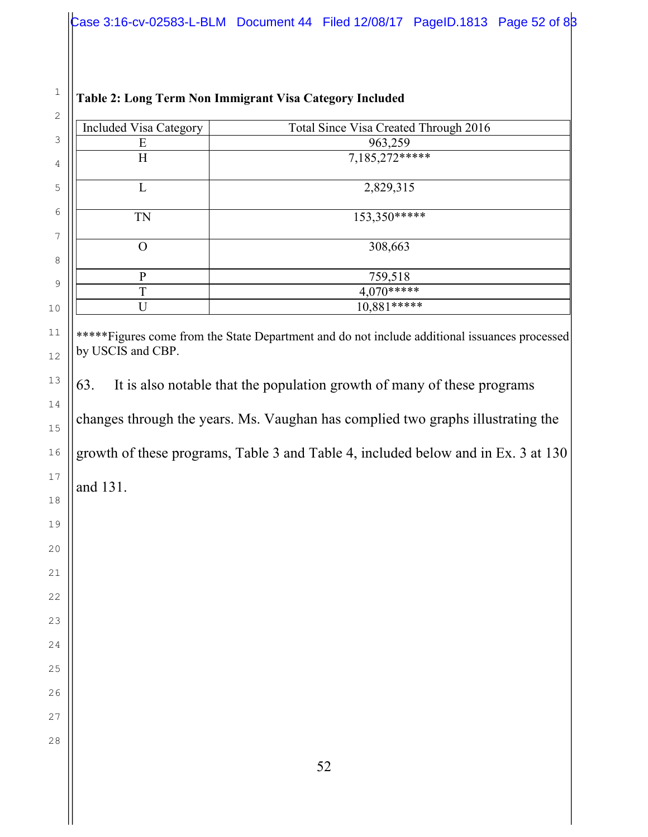| 2       |                               |                                       |
|---------|-------------------------------|---------------------------------------|
|         | <b>Included Visa Category</b> | Total Since Visa Created Through 2016 |
| 3       | E                             | 963,259                               |
| 4       | H                             | $7,185,272***$                        |
| 5       |                               | 2,829,315                             |
| 6<br>7  | <b>TN</b>                     | 153,350*****                          |
| 8       | ∩                             | 308,663                               |
| 9       | D                             | 759,518                               |
|         | T                             | $4,070***$                            |
| $\circ$ |                               | $10,881***$                           |
|         |                               |                                       |

### **Table 2: Long Term Non Immigrant Visa Category Included**

\*\*\*\*\*Figures come from the State Department and do not include additional issuances processed by USCIS and CBP.

63. It is also notable that the population growth of many of these programs changes through the years. Ms. Vaughan has complied two graphs illustrating the growth of these programs, Table 3 and Table 4, included below and in Ex. 3 at 130

and 131.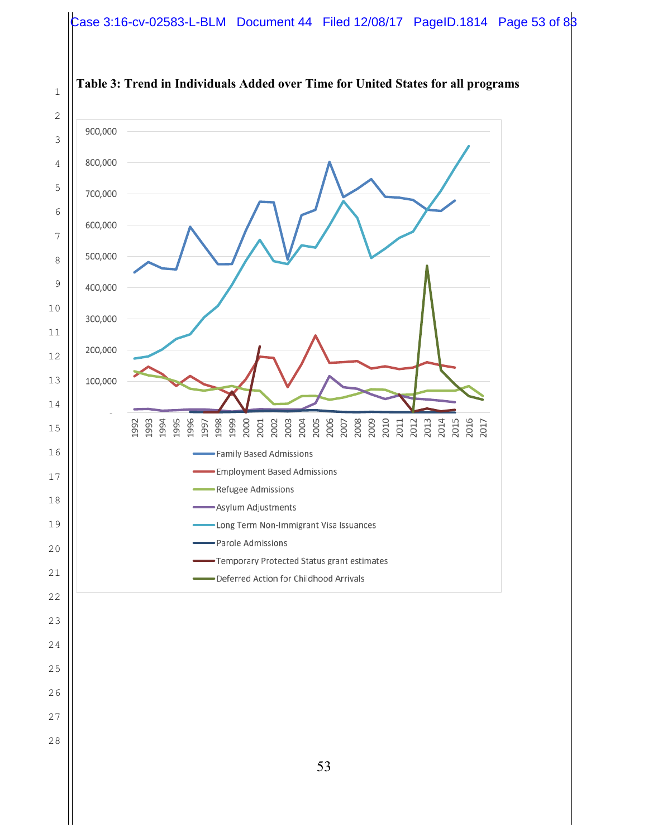#### Case 3:16-cv-02583-L-BLM Document 44 Filed 12/08/17 PageID.1814 Page 53 of 83

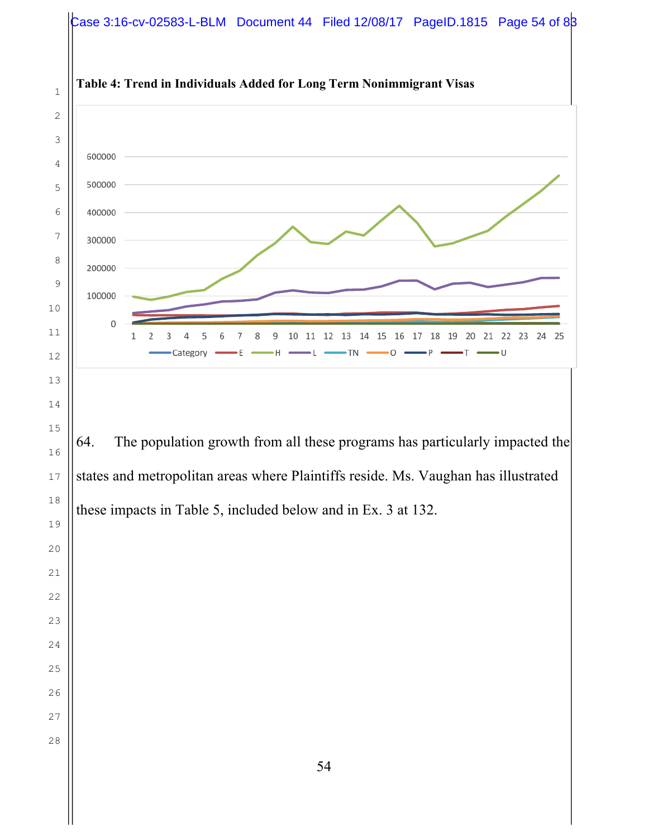# Case 3:16-cv-02583-L-BLM Document 44 Filed 12/08/17 PageID.1815 Page 54 of 83

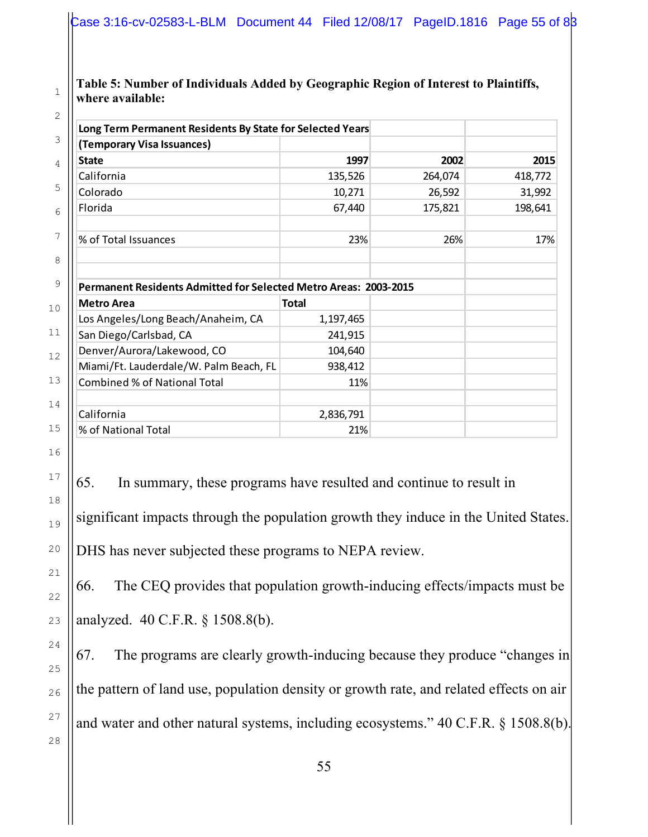#### **Table 5: Number of Individuals Added by Geographic Region of Interest to Plaintiffs, where available:**

| (Temporary Visa Issuances)                                                                   |                      |         |         |
|----------------------------------------------------------------------------------------------|----------------------|---------|---------|
| <b>State</b>                                                                                 | 1997                 | 2002    | 2015    |
| California                                                                                   | 135,526              | 264,074 | 418,772 |
| Colorado                                                                                     | 10,271               | 26,592  | 31,992  |
| Florida                                                                                      | 67,440               | 175,821 | 198,641 |
| % of Total Issuances                                                                         | 23%                  | 26%     | 17%     |
| <b>Permanent Residents Admitted for Selected Metro Areas: 2003-2015</b><br><b>Metro Area</b> | <b>Total</b>         |         |         |
|                                                                                              |                      |         |         |
|                                                                                              |                      |         |         |
| Los Angeles/Long Beach/Anaheim, CA<br>San Diego/Carlsbad, CA                                 | 1,197,465<br>241,915 |         |         |
| Denver/Aurora/Lakewood, CO                                                                   | 104,640              |         |         |
| Miami/Ft. Lauderdale/W. Palm Beach, FL                                                       | 938,412              |         |         |
| <b>Combined % of National Total</b>                                                          | 11%                  |         |         |
| California                                                                                   | 2,836,791            |         |         |

65. In summary, these programs have resulted and continue to result in significant impacts through the population growth they induce in the United States. DHS has never subjected these programs to NEPA review.

66. The CEQ provides that population growth-inducing effects/impacts must be analyzed. 40 C.F.R. § 1508.8(b).

67. The programs are clearly growth-inducing because they produce "changes in the pattern of land use, population density or growth rate, and related effects on air and water and other natural systems, including ecosystems." 40 C.F.R. § 1508.8(b).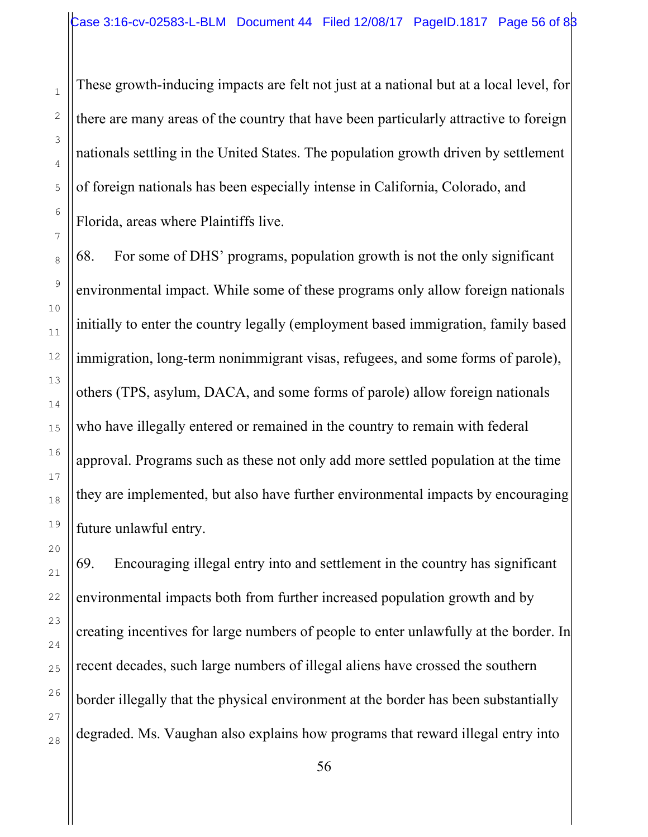These growth-inducing impacts are felt not just at a national but at a local level, for there are many areas of the country that have been particularly attractive to foreign nationals settling in the United States. The population growth driven by settlement of foreign nationals has been especially intense in California, Colorado, and Florida, areas where Plaintiffs live.

68. For some of DHS' programs, population growth is not the only significant environmental impact. While some of these programs only allow foreign nationals initially to enter the country legally (employment based immigration, family based immigration, long-term nonimmigrant visas, refugees, and some forms of parole), others (TPS, asylum, DACA, and some forms of parole) allow foreign nationals who have illegally entered or remained in the country to remain with federal approval. Programs such as these not only add more settled population at the time they are implemented, but also have further environmental impacts by encouraging future unlawful entry.

69. Encouraging illegal entry into and settlement in the country has significant environmental impacts both from further increased population growth and by creating incentives for large numbers of people to enter unlawfully at the border. In recent decades, such large numbers of illegal aliens have crossed the southern border illegally that the physical environment at the border has been substantially degraded. Ms. Vaughan also explains how programs that reward illegal entry into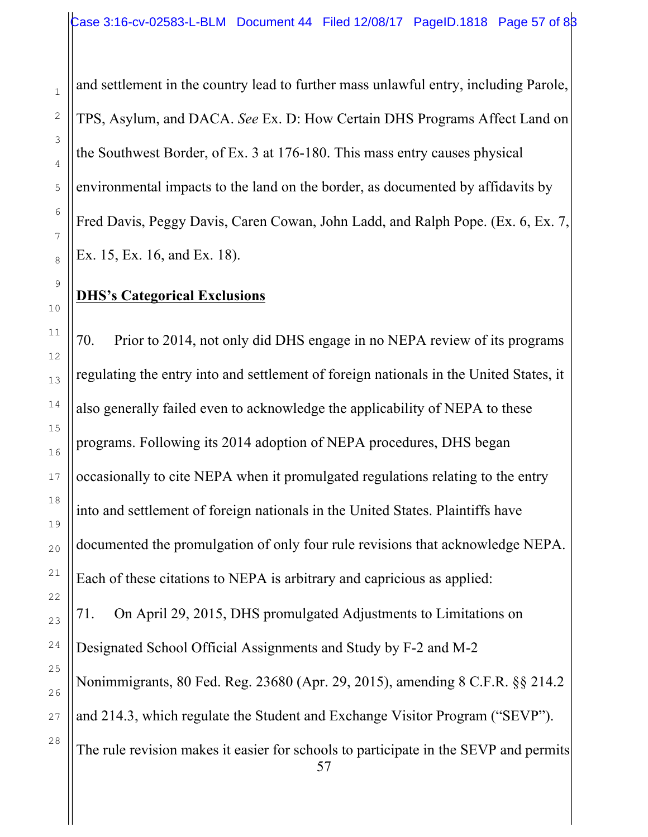and settlement in the country lead to further mass unlawful entry, including Parole, TPS, Asylum, and DACA. *See* Ex. D: How Certain DHS Programs Affect Land on the Southwest Border, of Ex. 3 at 176-180. This mass entry causes physical environmental impacts to the land on the border, as documented by affidavits by Fred Davis, Peggy Davis, Caren Cowan, John Ladd, and Ralph Pope. (Ex. 6, Ex. 7, Ex. 15, Ex. 16, and Ex. 18).

## **DHS's Categorical Exclusions**

70. Prior to 2014, not only did DHS engage in no NEPA review of its programs regulating the entry into and settlement of foreign nationals in the United States, it also generally failed even to acknowledge the applicability of NEPA to these programs. Following its 2014 adoption of NEPA procedures, DHS began occasionally to cite NEPA when it promulgated regulations relating to the entry into and settlement of foreign nationals in the United States. Plaintiffs have documented the promulgation of only four rule revisions that acknowledge NEPA. Each of these citations to NEPA is arbitrary and capricious as applied: 71. On April 29, 2015, DHS promulgated Adjustments to Limitations on Designated School Official Assignments and Study by F-2 and M-2 Nonimmigrants, 80 Fed. Reg. 23680 (Apr. 29, 2015), amending 8 C.F.R. §§ 214.2 and 214.3, which regulate the Student and Exchange Visitor Program ("SEVP"). The rule revision makes it easier for schools to participate in the SEVP and permits

57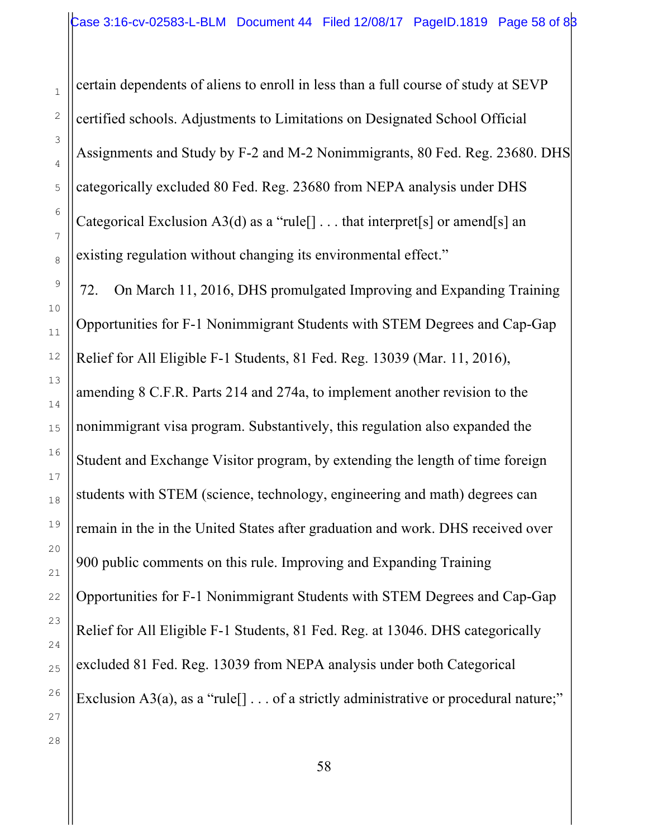certain dependents of aliens to enroll in less than a full course of study at SEVP certified schools. Adjustments to Limitations on Designated School Official Assignments and Study by F-2 and M-2 Nonimmigrants, 80 Fed. Reg. 23680. DHS categorically excluded 80 Fed. Reg. 23680 from NEPA analysis under DHS Categorical Exclusion A3(d) as a "rule<sup>[]</sup> . . . that interpret<sup>[s]</sup> or amend<sup>[s]</sup> an existing regulation without changing its environmental effect."

72. On March 11, 2016, DHS promulgated Improving and Expanding Training Opportunities for F-1 Nonimmigrant Students with STEM Degrees and Cap-Gap Relief for All Eligible F-1 Students, 81 Fed. Reg. 13039 (Mar. 11, 2016), amending 8 C.F.R. Parts 214 and 274a, to implement another revision to the nonimmigrant visa program. Substantively, this regulation also expanded the Student and Exchange Visitor program, by extending the length of time foreign students with STEM (science, technology, engineering and math) degrees can remain in the in the United States after graduation and work. DHS received over 900 public comments on this rule. Improving and Expanding Training Opportunities for F-1 Nonimmigrant Students with STEM Degrees and Cap-Gap Relief for All Eligible F-1 Students, 81 Fed. Reg. at 13046. DHS categorically excluded 81 Fed. Reg. 13039 from NEPA analysis under both Categorical Exclusion A3(a), as a "rule<sup>[]</sup>  $\ldots$  of a strictly administrative or procedural nature;"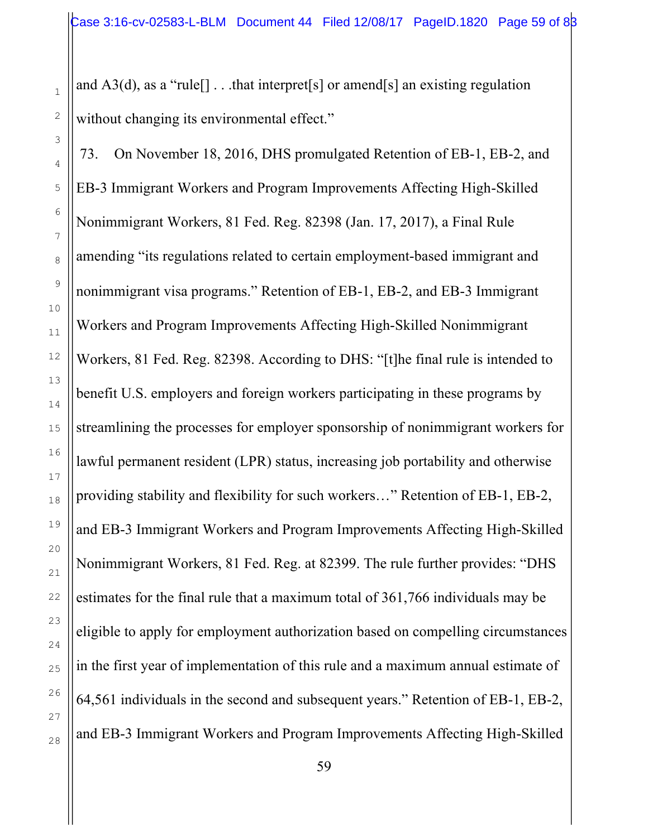and  $A3(d)$ , as a "rule  $\lceil \cdot \cdot \cdot \cdot \rceil$  . . .that interpret [s] or amend [s] an existing regulation without changing its environmental effect."

73. On November 18, 2016, DHS promulgated Retention of EB-1, EB-2, and EB-3 Immigrant Workers and Program Improvements Affecting High-Skilled Nonimmigrant Workers, 81 Fed. Reg. 82398 (Jan. 17, 2017), a Final Rule amending "its regulations related to certain employment-based immigrant and nonimmigrant visa programs." Retention of EB-1, EB-2, and EB-3 Immigrant Workers and Program Improvements Affecting High-Skilled Nonimmigrant Workers, 81 Fed. Reg. 82398. According to DHS: "[t]he final rule is intended to benefit U.S. employers and foreign workers participating in these programs by streamlining the processes for employer sponsorship of nonimmigrant workers for lawful permanent resident (LPR) status, increasing job portability and otherwise providing stability and flexibility for such workers…" Retention of EB-1, EB-2, and EB-3 Immigrant Workers and Program Improvements Affecting High-Skilled Nonimmigrant Workers, 81 Fed. Reg. at 82399. The rule further provides: "DHS estimates for the final rule that a maximum total of 361,766 individuals may be eligible to apply for employment authorization based on compelling circumstances in the first year of implementation of this rule and a maximum annual estimate of 64,561 individuals in the second and subsequent years." Retention of EB-1, EB-2, and EB-3 Immigrant Workers and Program Improvements Affecting High-Skilled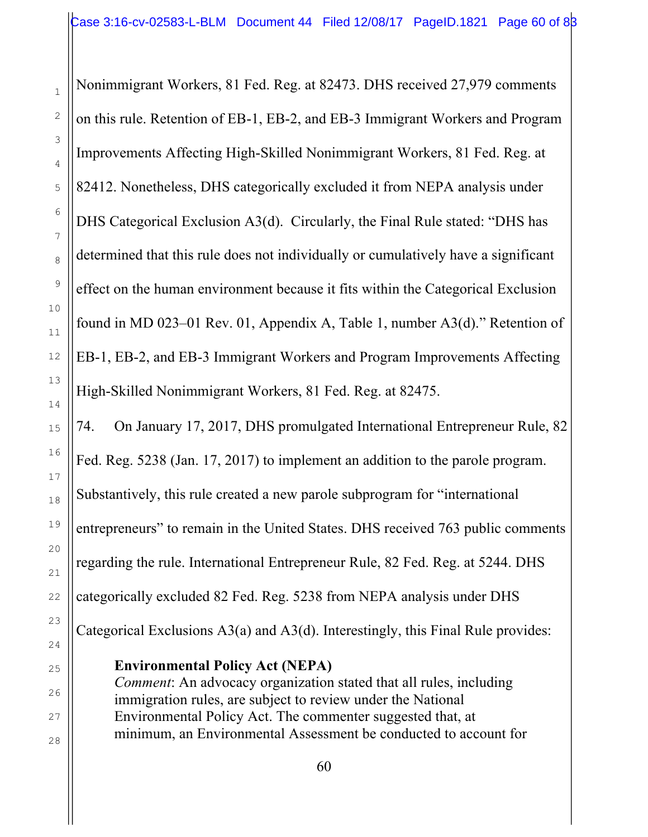Nonimmigrant Workers, 81 Fed. Reg. at 82473. DHS received 27,979 comments on this rule. Retention of EB-1, EB-2, and EB-3 Immigrant Workers and Program Improvements Affecting High-Skilled Nonimmigrant Workers, 81 Fed. Reg. at 82412. Nonetheless, DHS categorically excluded it from NEPA analysis under DHS Categorical Exclusion A3(d). Circularly, the Final Rule stated: "DHS has determined that this rule does not individually or cumulatively have a significant effect on the human environment because it fits within the Categorical Exclusion found in MD 023–01 Rev. 01, Appendix A, Table 1, number A3(d)." Retention of EB-1, EB-2, and EB-3 Immigrant Workers and Program Improvements Affecting High-Skilled Nonimmigrant Workers, 81 Fed. Reg. at 82475.

74. On January 17, 2017, DHS promulgated International Entrepreneur Rule, 82 Fed. Reg. 5238 (Jan. 17, 2017) to implement an addition to the parole program. Substantively, this rule created a new parole subprogram for "international entrepreneurs" to remain in the United States. DHS received 763 public comments regarding the rule. International Entrepreneur Rule, 82 Fed. Reg. at 5244. DHS categorically excluded 82 Fed. Reg. 5238 from NEPA analysis under DHS Categorical Exclusions A3(a) and A3(d). Interestingly, this Final Rule provides:

**Environmental Policy Act (NEPA)**

*Comment*: An advocacy organization stated that all rules, including immigration rules, are subject to review under the National Environmental Policy Act. The commenter suggested that, at minimum, an Environmental Assessment be conducted to account for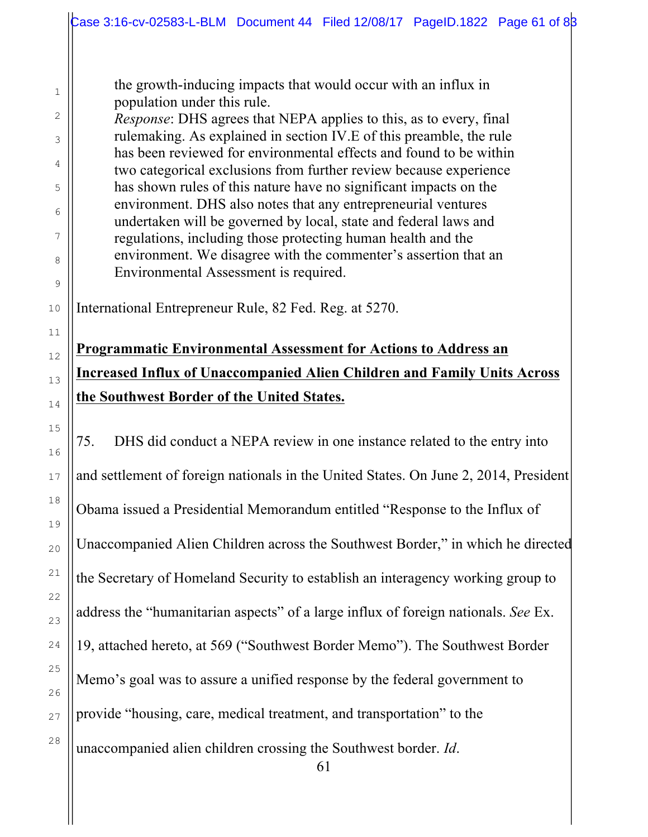the growth-inducing impacts that would occur with an influx in population under this rule.

*Response*: DHS agrees that NEPA applies to this, as to every, final rulemaking. As explained in section IV.E of this preamble, the rule has been reviewed for environmental effects and found to be within two categorical exclusions from further review because experience has shown rules of this nature have no significant impacts on the environment. DHS also notes that any entrepreneurial ventures undertaken will be governed by local, state and federal laws and regulations, including those protecting human health and the environment. We disagree with the commenter's assertion that an Environmental Assessment is required.

International Entrepreneur Rule, 82 Fed. Reg. at 5270.

# **Programmatic Environmental Assessment for Actions to Address an Increased Influx of Unaccompanied Alien Children and Family Units Across the Southwest Border of the United States.**

75. DHS did conduct a NEPA review in one instance related to the entry into and settlement of foreign nationals in the United States. On June 2, 2014, President Obama issued a Presidential Memorandum entitled "Response to the Influx of Unaccompanied Alien Children across the Southwest Border," in which he directed the Secretary of Homeland Security to establish an interagency working group to address the "humanitarian aspects" of a large influx of foreign nationals. *See* Ex. 19, attached hereto, at 569 ("Southwest Border Memo"). The Southwest Border Memo's goal was to assure a unified response by the federal government to provide "housing, care, medical treatment, and transportation" to the unaccompanied alien children crossing the Southwest border. *Id*.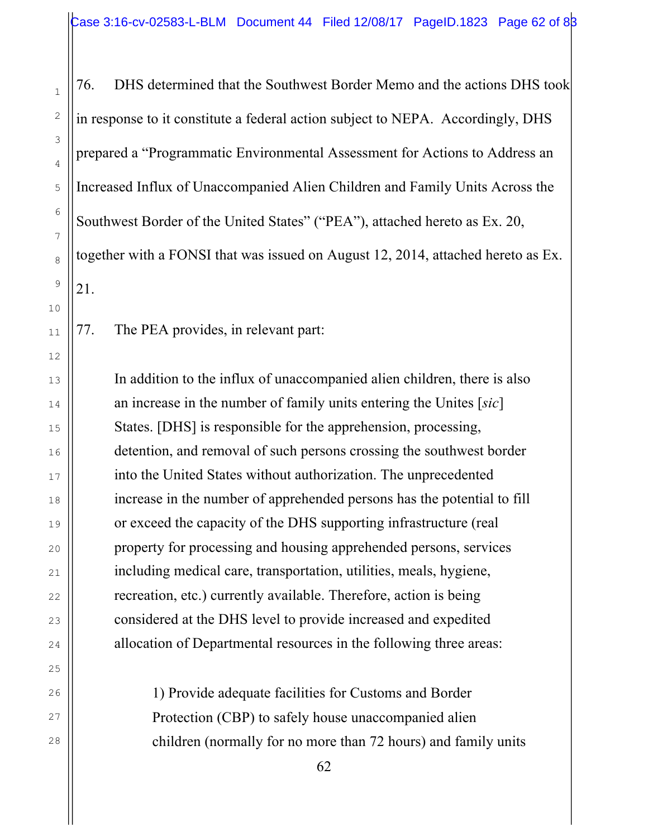76. DHS determined that the Southwest Border Memo and the actions DHS took in response to it constitute a federal action subject to NEPA. Accordingly, DHS prepared a "Programmatic Environmental Assessment for Actions to Address an Increased Influx of Unaccompanied Alien Children and Family Units Across the Southwest Border of the United States" ("PEA"), attached hereto as Ex. 20, together with a FONSI that was issued on August 12, 2014, attached hereto as Ex. 21.

77. The PEA provides, in relevant part:

In addition to the influx of unaccompanied alien children, there is also an increase in the number of family units entering the Unites [*sic*] States. [DHS] is responsible for the apprehension, processing, detention, and removal of such persons crossing the southwest border into the United States without authorization. The unprecedented increase in the number of apprehended persons has the potential to fill or exceed the capacity of the DHS supporting infrastructure (real property for processing and housing apprehended persons, services including medical care, transportation, utilities, meals, hygiene, recreation, etc.) currently available. Therefore, action is being considered at the DHS level to provide increased and expedited allocation of Departmental resources in the following three areas:

> 1) Provide adequate facilities for Customs and Border Protection (CBP) to safely house unaccompanied alien children (normally for no more than 72 hours) and family units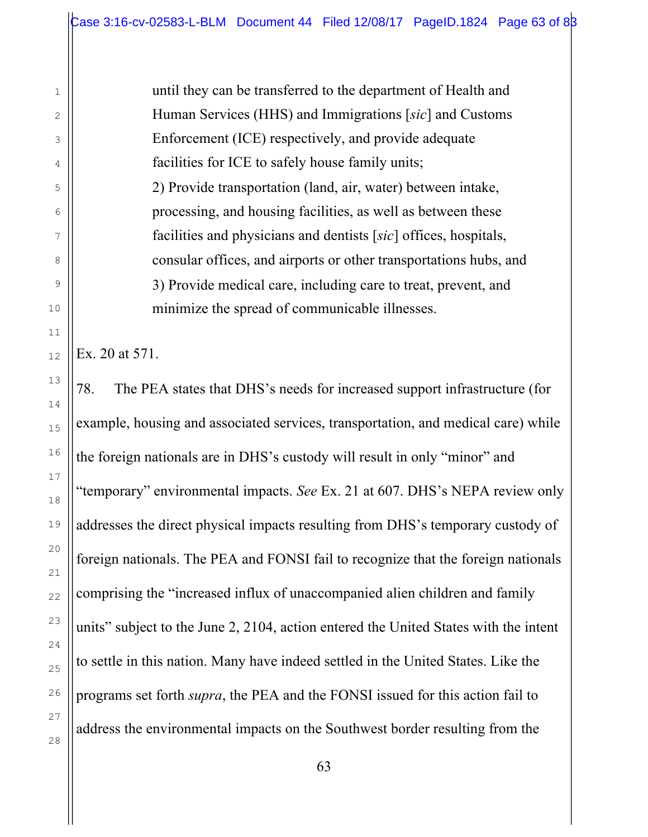until they can be transferred to the department of Health and Human Services (HHS) and Immigrations [*sic*] and Customs Enforcement (ICE) respectively, and provide adequate facilities for ICE to safely house family units; 2) Provide transportation (land, air, water) between intake, processing, and housing facilities, as well as between these facilities and physicians and dentists [*sic*] offices, hospitals, consular offices, and airports or other transportations hubs, and 3) Provide medical care, including care to treat, prevent, and minimize the spread of communicable illnesses.

Ex. 20 at 571.

78. The PEA states that DHS's needs for increased support infrastructure (for example, housing and associated services, transportation, and medical care) while the foreign nationals are in DHS's custody will result in only "minor" and "temporary" environmental impacts. *See* Ex. 21 at 607. DHS's NEPA review only addresses the direct physical impacts resulting from DHS's temporary custody of foreign nationals. The PEA and FONSI fail to recognize that the foreign nationals comprising the "increased influx of unaccompanied alien children and family units" subject to the June 2, 2104, action entered the United States with the intent to settle in this nation. Many have indeed settled in the United States. Like the programs set forth *supra*, the PEA and the FONSI issued for this action fail to address the environmental impacts on the Southwest border resulting from the

1

2

3

4

5

6

7

8

9

10

11

12

13

14

15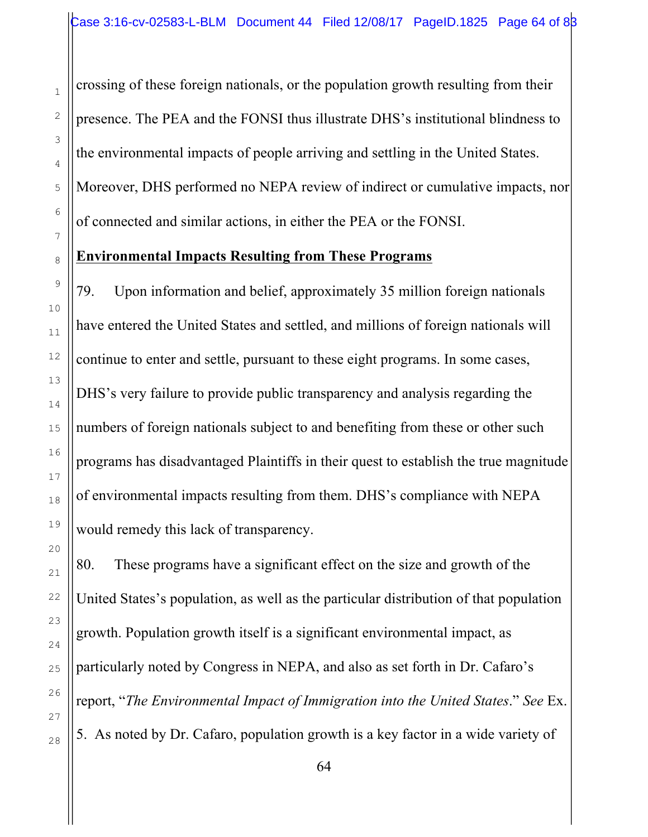crossing of these foreign nationals, or the population growth resulting from their presence. The PEA and the FONSI thus illustrate DHS's institutional blindness to the environmental impacts of people arriving and settling in the United States. Moreover, DHS performed no NEPA review of indirect or cumulative impacts, nor of connected and similar actions, in either the PEA or the FONSI.

### **Environmental Impacts Resulting from These Programs**

79. Upon information and belief, approximately 35 million foreign nationals have entered the United States and settled, and millions of foreign nationals will continue to enter and settle, pursuant to these eight programs. In some cases, DHS's very failure to provide public transparency and analysis regarding the numbers of foreign nationals subject to and benefiting from these or other such programs has disadvantaged Plaintiffs in their quest to establish the true magnitude of environmental impacts resulting from them. DHS's compliance with NEPA would remedy this lack of transparency.

80. These programs have a significant effect on the size and growth of the United States's population, as well as the particular distribution of that population growth. Population growth itself is a significant environmental impact, as particularly noted by Congress in NEPA, and also as set forth in Dr. Cafaro's report, "*The Environmental Impact of Immigration into the United States*." *See* Ex. 5. As noted by Dr. Cafaro, population growth is a key factor in a wide variety of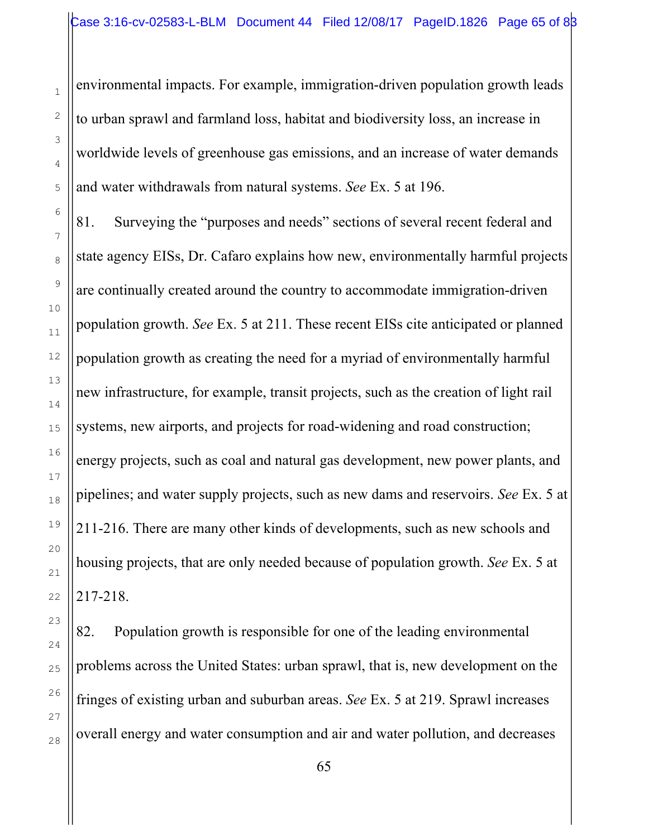environmental impacts. For example, immigration-driven population growth leads to urban sprawl and farmland loss, habitat and biodiversity loss, an increase in worldwide levels of greenhouse gas emissions, and an increase of water demands and water withdrawals from natural systems. *See* Ex. 5 at 196.

81. Surveying the "purposes and needs" sections of several recent federal and state agency EISs, Dr. Cafaro explains how new, environmentally harmful projects are continually created around the country to accommodate immigration-driven population growth. *See* Ex. 5 at 211. These recent EISs cite anticipated or planned population growth as creating the need for a myriad of environmentally harmful new infrastructure, for example, transit projects, such as the creation of light rail systems, new airports, and projects for road-widening and road construction; energy projects, such as coal and natural gas development, new power plants, and pipelines; and water supply projects, such as new dams and reservoirs. *See* Ex. 5 at 211-216. There are many other kinds of developments, such as new schools and housing projects, that are only needed because of population growth. *See* Ex. 5 at 217-218.

82. Population growth is responsible for one of the leading environmental problems across the United States: urban sprawl, that is, new development on the fringes of existing urban and suburban areas. *See* Ex. 5 at 219. Sprawl increases overall energy and water consumption and air and water pollution, and decreases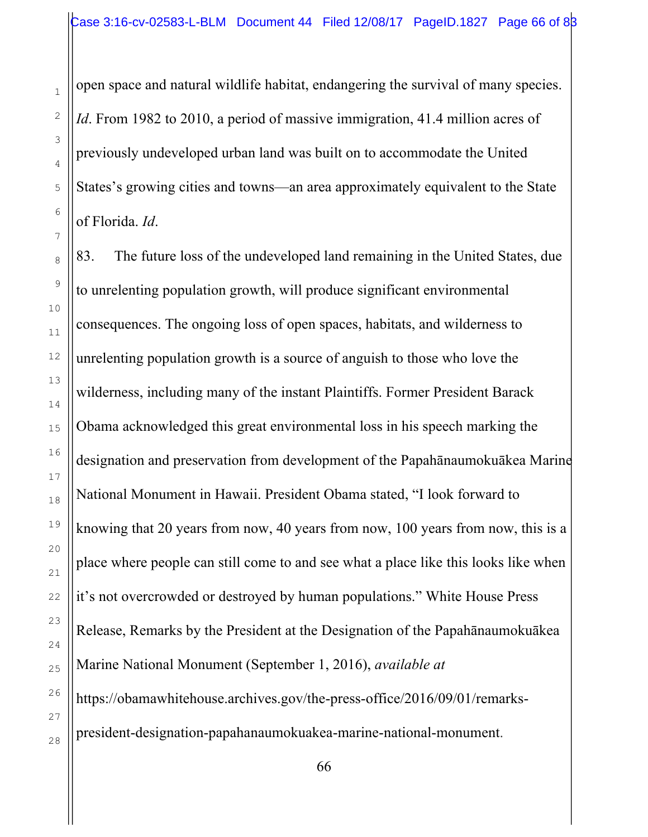open space and natural wildlife habitat, endangering the survival of many species. *Id*. From 1982 to 2010, a period of massive immigration, 41.4 million acres of previously undeveloped urban land was built on to accommodate the United States's growing cities and towns—an area approximately equivalent to the State of Florida. *Id*.

83. The future loss of the undeveloped land remaining in the United States, due to unrelenting population growth, will produce significant environmental consequences. The ongoing loss of open spaces, habitats, and wilderness to unrelenting population growth is a source of anguish to those who love the wilderness, including many of the instant Plaintiffs. Former President Barack Obama acknowledged this great environmental loss in his speech marking the designation and preservation from development of the Papahānaumokuākea Marine National Monument in Hawaii. President Obama stated, "I look forward to knowing that 20 years from now, 40 years from now, 100 years from now, this is a place where people can still come to and see what a place like this looks like when it's not overcrowded or destroyed by human populations." White House Press Release, Remarks by the President at the Designation of the Papahānaumokuākea Marine National Monument (September 1, 2016), *available at*  https://obamawhitehouse.archives.gov/the-press-office/2016/09/01/remarkspresident-designation-papahanaumokuakea-marine-national-monument.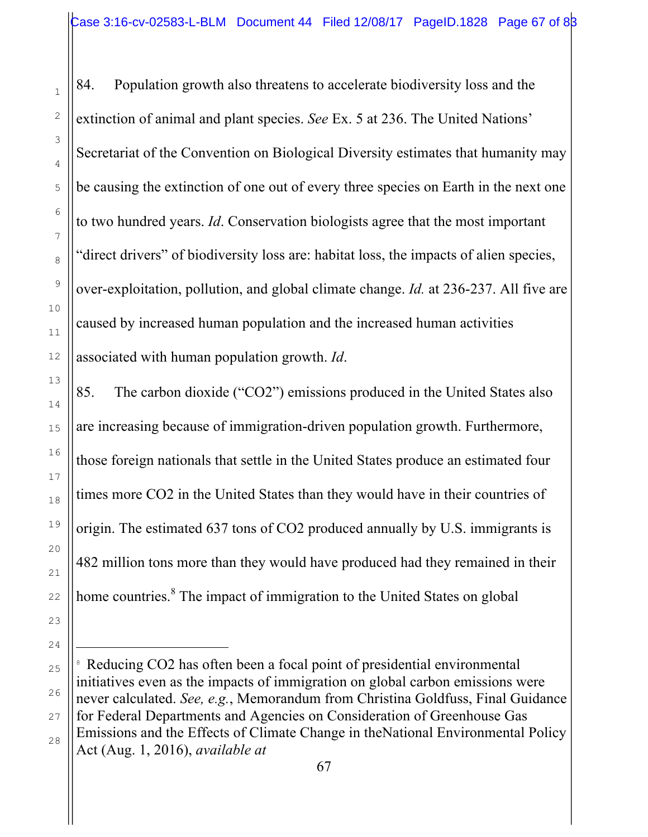84. Population growth also threatens to accelerate biodiversity loss and the extinction of animal and plant species. *See* Ex. 5 at 236. The United Nations' Secretariat of the Convention on Biological Diversity estimates that humanity may be causing the extinction of one out of every three species on Earth in the next one to two hundred years. *Id*. Conservation biologists agree that the most important "direct drivers" of biodiversity loss are: habitat loss, the impacts of alien species, over-exploitation, pollution, and global climate change. *Id.* at 236-237. All five are caused by increased human population and the increased human activities associated with human population growth. *Id*.

85. The carbon dioxide ("CO2") emissions produced in the United States also are increasing because of immigration-driven population growth. Furthermore, those foreign nationals that settle in the United States produce an estimated four times more CO2 in the United States than they would have in their countries of origin. The estimated 637 tons of CO2 produced annually by U.S. immigrants is 482 million tons more than they would have produced had they remained in their home countries.<sup>8</sup> The impact of immigration to the United States on global

i

<sup>&</sup>lt;sup>8</sup> Reducing CO2 has often been a focal point of presidential environmental initiatives even as the impacts of immigration on global carbon emissions were never calculated. *See, e.g.*, Memorandum from Christina Goldfuss, Final Guidance for Federal Departments and Agencies on Consideration of Greenhouse Gas Emissions and the Effects of Climate Change in theNational Environmental Policy Act (Aug. 1, 2016), *available at*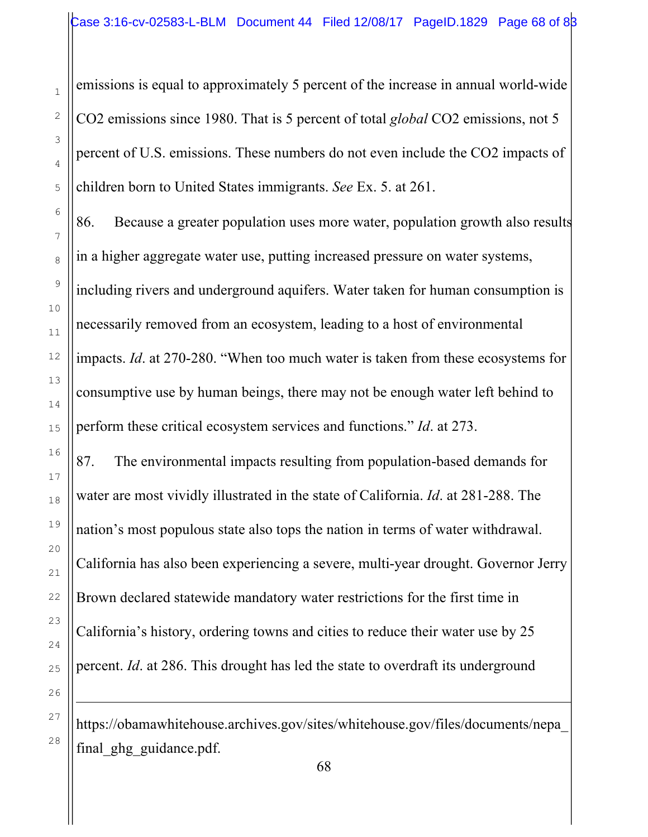emissions is equal to approximately 5 percent of the increase in annual world-wide CO2 emissions since 1980. That is 5 percent of total *global* CO2 emissions, not 5 percent of U.S. emissions. These numbers do not even include the CO2 impacts of children born to United States immigrants. *See* Ex. 5. at 261.

86. Because a greater population uses more water, population growth also results in a higher aggregate water use, putting increased pressure on water systems, including rivers and underground aquifers. Water taken for human consumption is necessarily removed from an ecosystem, leading to a host of environmental impacts. *Id*. at 270-280. "When too much water is taken from these ecosystems for consumptive use by human beings, there may not be enough water left behind to perform these critical ecosystem services and functions." *Id*. at 273.

87. The environmental impacts resulting from population-based demands for water are most vividly illustrated in the state of California. *Id*. at 281-288. The nation's most populous state also tops the nation in terms of water withdrawal. California has also been experiencing a severe, multi-year drought. Governor Jerry Brown declared statewide mandatory water restrictions for the first time in California's history, ordering towns and cities to reduce their water use by 25 percent. *Id*. at 286. This drought has led the state to overdraft its underground

https://obamawhitehouse.archives.gov/sites/whitehouse.gov/files/documents/nepa\_ final ghg guidance.pdf.

i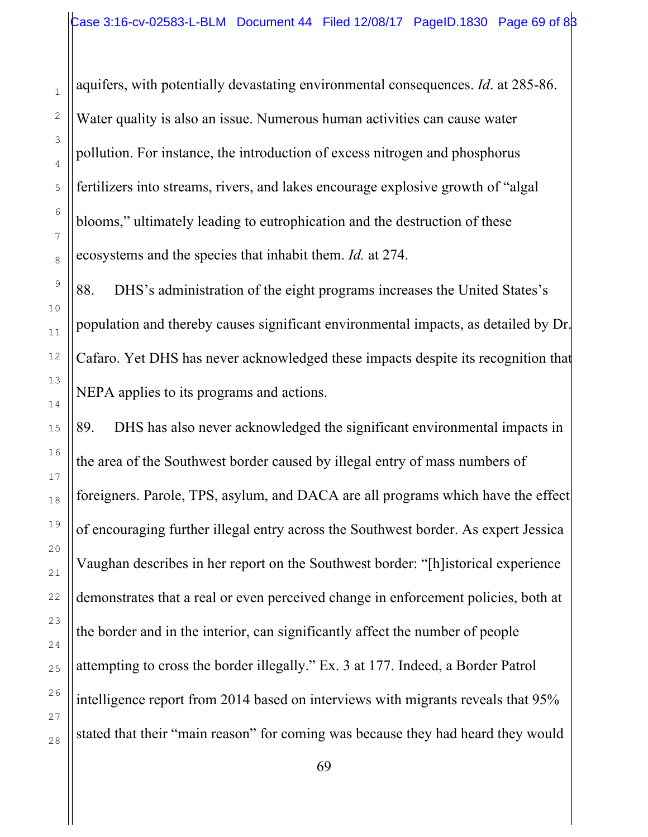aquifers, with potentially devastating environmental consequences. *Id*. at 285-86. Water quality is also an issue. Numerous human activities can cause water pollution. For instance, the introduction of excess nitrogen and phosphorus fertilizers into streams, rivers, and lakes encourage explosive growth of "algal blooms," ultimately leading to eutrophication and the destruction of these ecosystems and the species that inhabit them. *Id.* at 274.

88. DHS's administration of the eight programs increases the United States's population and thereby causes significant environmental impacts, as detailed by Dr. Cafaro. Yet DHS has never acknowledged these impacts despite its recognition that NEPA applies to its programs and actions.

89. DHS has also never acknowledged the significant environmental impacts in the area of the Southwest border caused by illegal entry of mass numbers of foreigners. Parole, TPS, asylum, and DACA are all programs which have the effect of encouraging further illegal entry across the Southwest border. As expert Jessica Vaughan describes in her report on the Southwest border: "[h]istorical experience demonstrates that a real or even perceived change in enforcement policies, both at the border and in the interior, can significantly affect the number of people attempting to cross the border illegally." Ex. 3 at 177. Indeed, a Border Patrol intelligence report from 2014 based on interviews with migrants reveals that 95% stated that their "main reason" for coming was because they had heard they would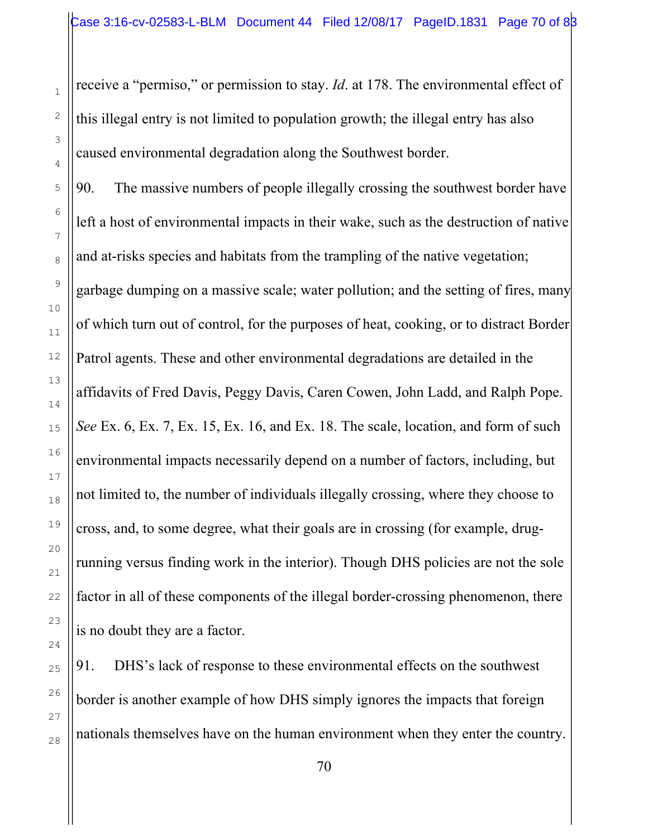receive a "permiso," or permission to stay. *Id*. at 178. The environmental effect of this illegal entry is not limited to population growth; the illegal entry has also caused environmental degradation along the Southwest border.

90. The massive numbers of people illegally crossing the southwest border have left a host of environmental impacts in their wake, such as the destruction of native and at-risks species and habitats from the trampling of the native vegetation; garbage dumping on a massive scale; water pollution; and the setting of fires, many of which turn out of control, for the purposes of heat, cooking, or to distract Border Patrol agents. These and other environmental degradations are detailed in the affidavits of Fred Davis, Peggy Davis, Caren Cowen, John Ladd, and Ralph Pope. *See* Ex. 6, Ex. 7, Ex. 15, Ex. 16, and Ex. 18. The scale, location, and form of such environmental impacts necessarily depend on a number of factors, including, but not limited to, the number of individuals illegally crossing, where they choose to cross, and, to some degree, what their goals are in crossing (for example, drugrunning versus finding work in the interior). Though DHS policies are not the sole factor in all of these components of the illegal border-crossing phenomenon, there is no doubt they are a factor.

91. DHS's lack of response to these environmental effects on the southwest border is another example of how DHS simply ignores the impacts that foreign nationals themselves have on the human environment when they enter the country.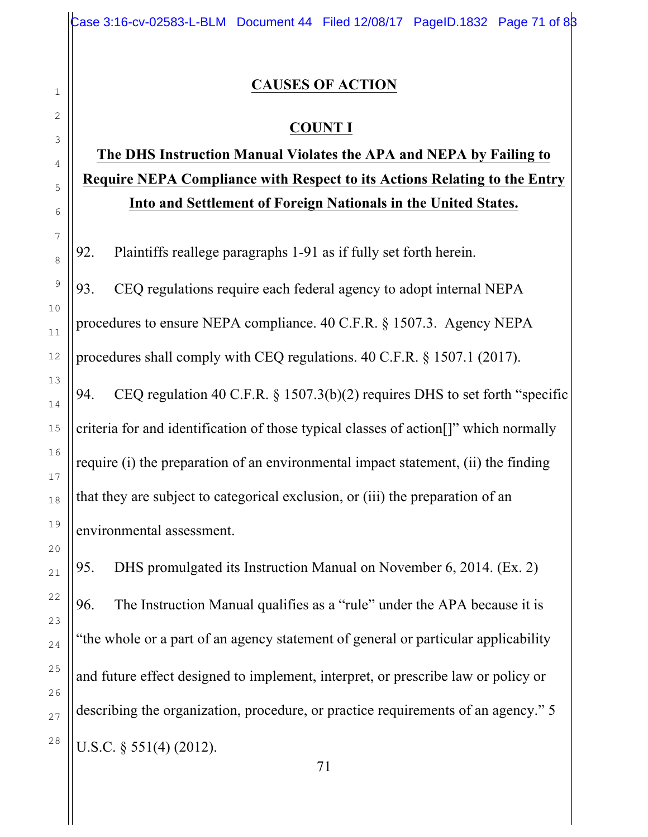### **CAUSES OF ACTION**

## **COUNT I**

# **The DHS Instruction Manual Violates the APA and NEPA by Failing to Require NEPA Compliance with Respect to its Actions Relating to the Entry Into and Settlement of Foreign Nationals in the United States.**

92. Plaintiffs reallege paragraphs 1-91 as if fully set forth herein.

93. CEQ regulations require each federal agency to adopt internal NEPA procedures to ensure NEPA compliance. 40 C.F.R. § 1507.3. Agency NEPA procedures shall comply with CEQ regulations. 40 C.F.R. § 1507.1 (2017).

94. CEQ regulation 40 C.F.R. § 1507.3(b)(2) requires DHS to set forth "specific criteria for and identification of those typical classes of action[]" which normally require (i) the preparation of an environmental impact statement, (ii) the finding that they are subject to categorical exclusion, or (iii) the preparation of an environmental assessment.

95. DHS promulgated its Instruction Manual on November 6, 2014. (Ex. 2) 96. The Instruction Manual qualifies as a "rule" under the APA because it is "the whole or a part of an agency statement of general or particular applicability and future effect designed to implement, interpret, or prescribe law or policy or describing the organization, procedure, or practice requirements of an agency." 5 U.S.C. § 551(4) (2012).

1

2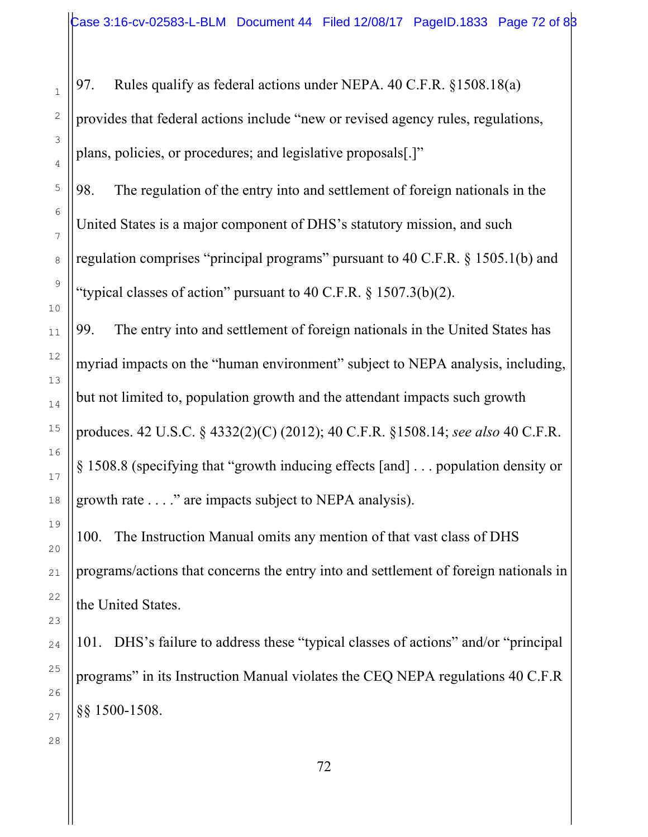97. Rules qualify as federal actions under NEPA. 40 C.F.R. §1508.18(a) provides that federal actions include "new or revised agency rules, regulations, plans, policies, or procedures; and legislative proposals[.]"

98. The regulation of the entry into and settlement of foreign nationals in the United States is a major component of DHS's statutory mission, and such regulation comprises "principal programs" pursuant to 40 C.F.R. § 1505.1(b) and "typical classes of action" pursuant to  $40 \text{ C.F.R. }$  \$ 1507.3(b)(2).

99. The entry into and settlement of foreign nationals in the United States has myriad impacts on the "human environment" subject to NEPA analysis, including, but not limited to, population growth and the attendant impacts such growth produces. 42 U.S.C. § 4332(2)(C) (2012); 40 C.F.R. §1508.14; *see also* 40 C.F.R. § 1508.8 (specifying that "growth inducing effects [and] . . . population density or growth rate . . . ." are impacts subject to NEPA analysis).

100. The Instruction Manual omits any mention of that vast class of DHS programs/actions that concerns the entry into and settlement of foreign nationals in the United States.

101. DHS's failure to address these "typical classes of actions" and/or "principal programs" in its Instruction Manual violates the CEQ NEPA regulations 40 C.F.R §§ 1500-1508.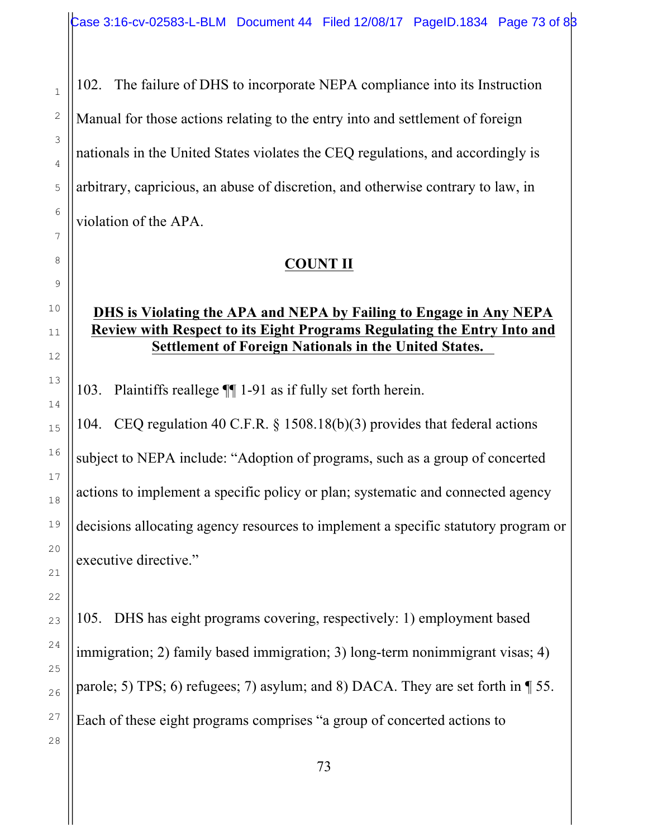102. The failure of DHS to incorporate NEPA compliance into its Instruction Manual for those actions relating to the entry into and settlement of foreign nationals in the United States violates the CEQ regulations, and accordingly is arbitrary, capricious, an abuse of discretion, and otherwise contrary to law, in violation of the APA.

## **COUNT II**

### **DHS is Violating the APA and NEPA by Failing to Engage in Any NEPA Review with Respect to its Eight Programs Regulating the Entry Into and Settlement of Foreign Nationals in the United States.**

103. Plaintiffs reallege ¶¶ 1-91 as if fully set forth herein.

104. CEQ regulation 40 C.F.R. § 1508.18(b)(3) provides that federal actions subject to NEPA include: "Adoption of programs, such as a group of concerted actions to implement a specific policy or plan; systematic and connected agency decisions allocating agency resources to implement a specific statutory program or executive directive."

105. DHS has eight programs covering, respectively: 1) employment based immigration; 2) family based immigration; 3) long-term nonimmigrant visas; 4) parole; 5) TPS; 6) refugees; 7) asylum; and 8) DACA. They are set forth in ¶ 55. Each of these eight programs comprises "a group of concerted actions to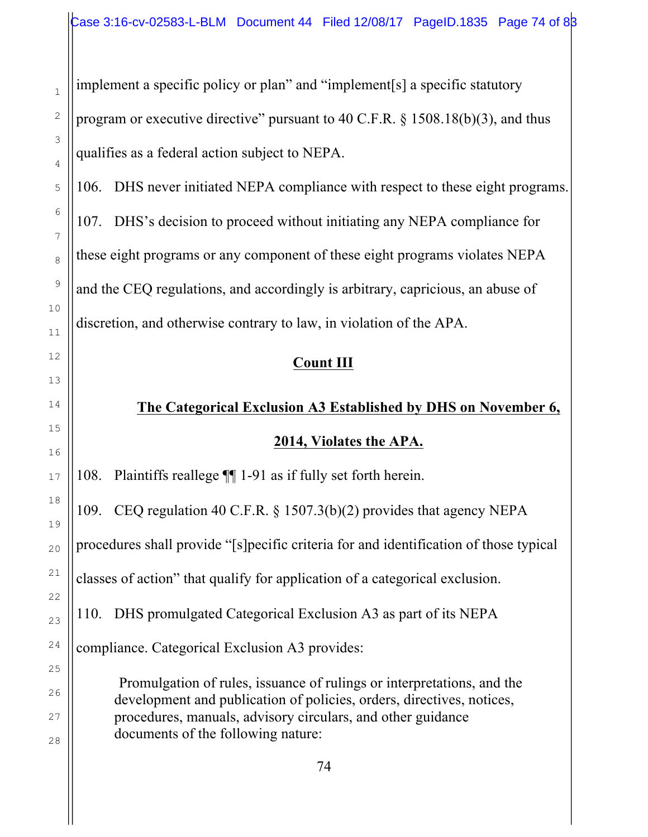implement a specific policy or plan" and "implement[s] a specific statutory program or executive directive" pursuant to 40 C.F.R. § 1508.18(b)(3), and thus qualifies as a federal action subject to NEPA.

106. DHS never initiated NEPA compliance with respect to these eight programs. 107. DHS's decision to proceed without initiating any NEPA compliance for these eight programs or any component of these eight programs violates NEPA and the CEQ regulations, and accordingly is arbitrary, capricious, an abuse of discretion, and otherwise contrary to law, in violation of the APA.

# **Count III**

# **The Categorical Exclusion A3 Established by DHS on November 6,**

## **2014, Violates the APA.**

108. Plaintiffs reallege ¶¶ 1-91 as if fully set forth herein.

109. CEQ regulation 40 C.F.R. § 1507.3(b)(2) provides that agency NEPA procedures shall provide "[s]pecific criteria for and identification of those typical classes of action" that qualify for application of a categorical exclusion. 110. DHS promulgated Categorical Exclusion A3 as part of its NEPA

compliance. Categorical Exclusion A3 provides:

Promulgation of rules, issuance of rulings or interpretations, and the development and publication of policies, orders, directives, notices, procedures, manuals, advisory circulars, and other guidance documents of the following nature: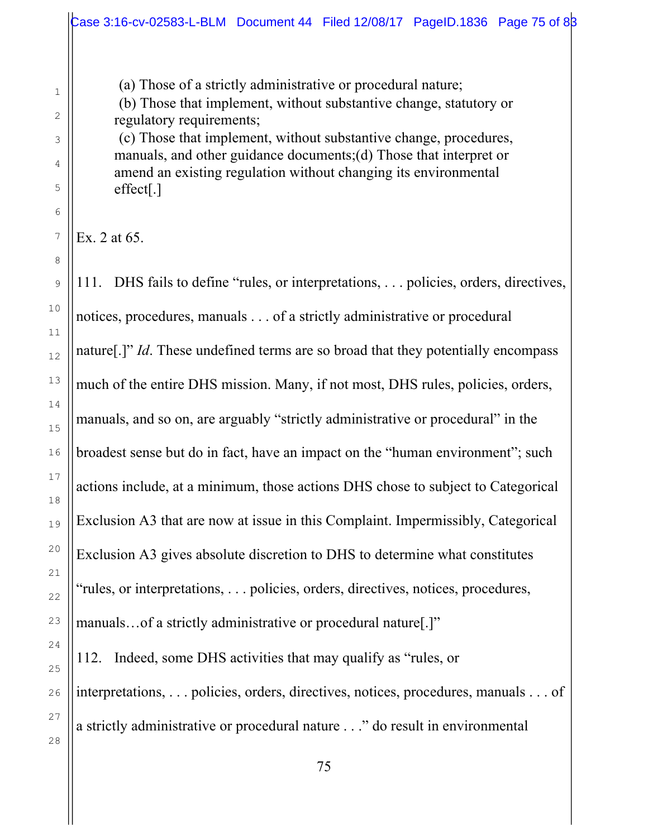(a) Those of a strictly administrative or procedural nature;

(b) Those that implement, without substantive change, statutory or regulatory requirements;

(c) Those that implement, without substantive change, procedures, manuals, and other guidance documents;(d) Those that interpret or amend an existing regulation without changing its environmental effect[.]

Ex. 2 at 65.

1

2

3

4

5

6

7

8

9

10

11

12

13

14

15

16

17

18

19

20

21

111. DHS fails to define "rules, or interpretations, . . . policies, orders, directives, notices, procedures, manuals . . . of a strictly administrative or procedural nature[.]" *Id*. These undefined terms are so broad that they potentially encompass much of the entire DHS mission. Many, if not most, DHS rules, policies, orders, manuals, and so on, are arguably "strictly administrative or procedural" in the broadest sense but do in fact, have an impact on the "human environment"; such actions include, at a minimum, those actions DHS chose to subject to Categorical Exclusion A3 that are now at issue in this Complaint. Impermissibly, Categorical Exclusion A3 gives absolute discretion to DHS to determine what constitutes "rules, or interpretations, . . . policies, orders, directives, notices, procedures, manuals…of a strictly administrative or procedural nature[.]" 112. Indeed, some DHS activities that may qualify as "rules, or interpretations, . . . policies, orders, directives, notices, procedures, manuals . . . of a strictly administrative or procedural nature . . ." do result in environmental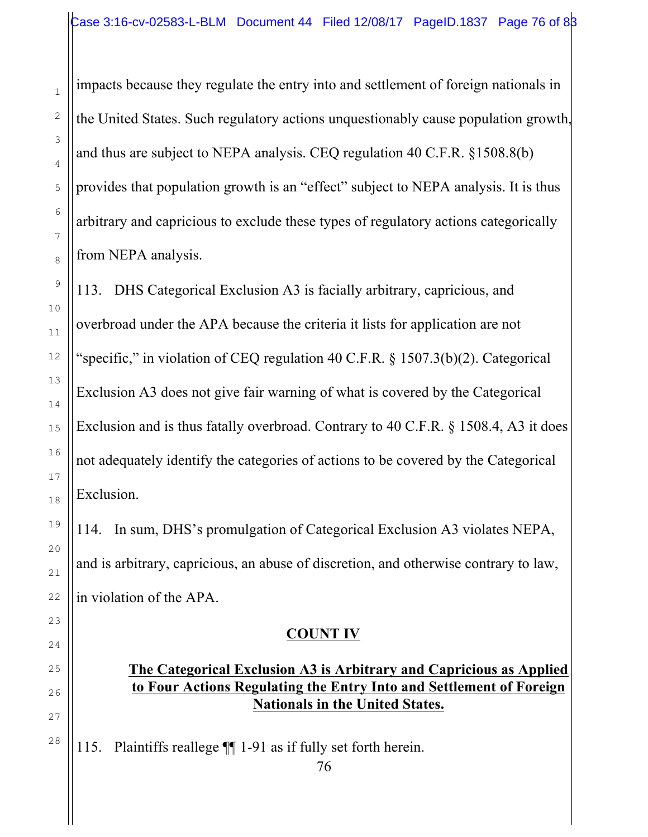impacts because they regulate the entry into and settlement of foreign nationals in the United States. Such regulatory actions unquestionably cause population growth, and thus are subject to NEPA analysis. CEQ regulation 40 C.F.R. §1508.8(b) provides that population growth is an "effect" subject to NEPA analysis. It is thus arbitrary and capricious to exclude these types of regulatory actions categorically from NEPA analysis.

113. DHS Categorical Exclusion A3 is facially arbitrary, capricious, and overbroad under the APA because the criteria it lists for application are not "specific," in violation of CEQ regulation 40 C.F.R. § 1507.3(b)(2). Categorical Exclusion A3 does not give fair warning of what is covered by the Categorical Exclusion and is thus fatally overbroad. Contrary to 40 C.F.R. § 1508.4, A3 it does not adequately identify the categories of actions to be covered by the Categorical Exclusion.

114. In sum, DHS's promulgation of Categorical Exclusion A3 violates NEPA, and is arbitrary, capricious, an abuse of discretion, and otherwise contrary to law, in violation of the APA.

## **COUNT IV**

#### **The Categorical Exclusion A3 is Arbitrary and Capricious as Applied to Four Actions Regulating the Entry Into and Settlement of Foreign Nationals in the United States.**

115. Plaintiffs reallege ¶¶ 1-91 as if fully set forth herein.

1

76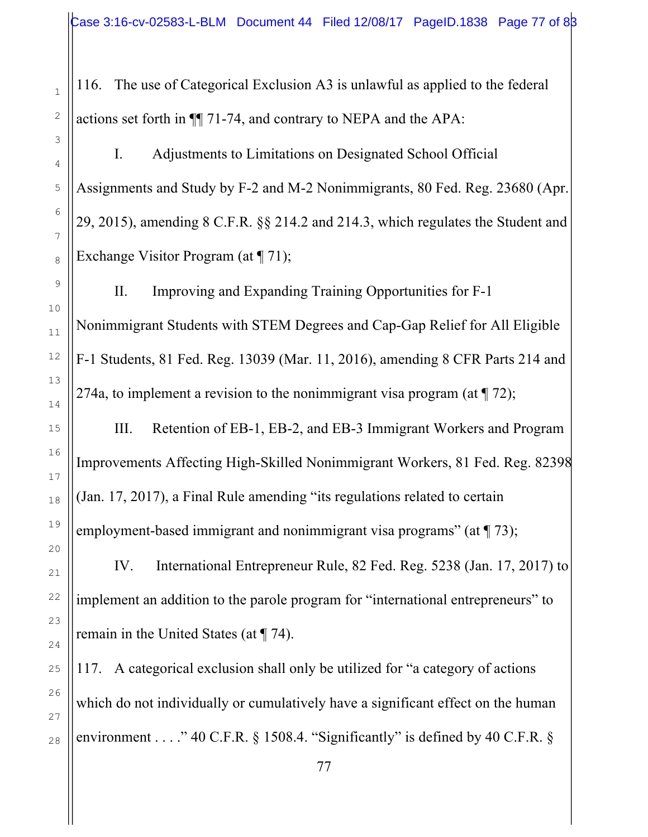116. The use of Categorical Exclusion A3 is unlawful as applied to the federal actions set forth in ¶¶ 71-74, and contrary to NEPA and the APA:

I. Adjustments to Limitations on Designated School Official Assignments and Study by F-2 and M-2 Nonimmigrants, 80 Fed. Reg. 23680 (Apr. 29, 2015), amending 8 C.F.R. §§ 214.2 and 214.3, which regulates the Student and Exchange Visitor Program (at  $\P$  71);

II. Improving and Expanding Training Opportunities for F-1 Nonimmigrant Students with STEM Degrees and Cap-Gap Relief for All Eligible F-1 Students, 81 Fed. Reg. 13039 (Mar. 11, 2016), amending 8 CFR Parts 214 and 274a, to implement a revision to the nonimmigrant visa program (at  $\P$  72);

III. Retention of EB-1, EB-2, and EB-3 Immigrant Workers and Program Improvements Affecting High-Skilled Nonimmigrant Workers, 81 Fed. Reg. 82398 (Jan. 17, 2017), a Final Rule amending "its regulations related to certain employment-based immigrant and nonimmigrant visa programs" (at  $\P$  73);

IV. International Entrepreneur Rule, 82 Fed. Reg. 5238 (Jan. 17, 2017) to implement an addition to the parole program for "international entrepreneurs" to remain in the United States (at ¶ 74).

117. A categorical exclusion shall only be utilized for "a category of actions which do not individually or cumulatively have a significant effect on the human environment . . . . " 40 C.F.R.  $\S$  1508.4. "Significantly" is defined by 40 C.F.R.  $\S$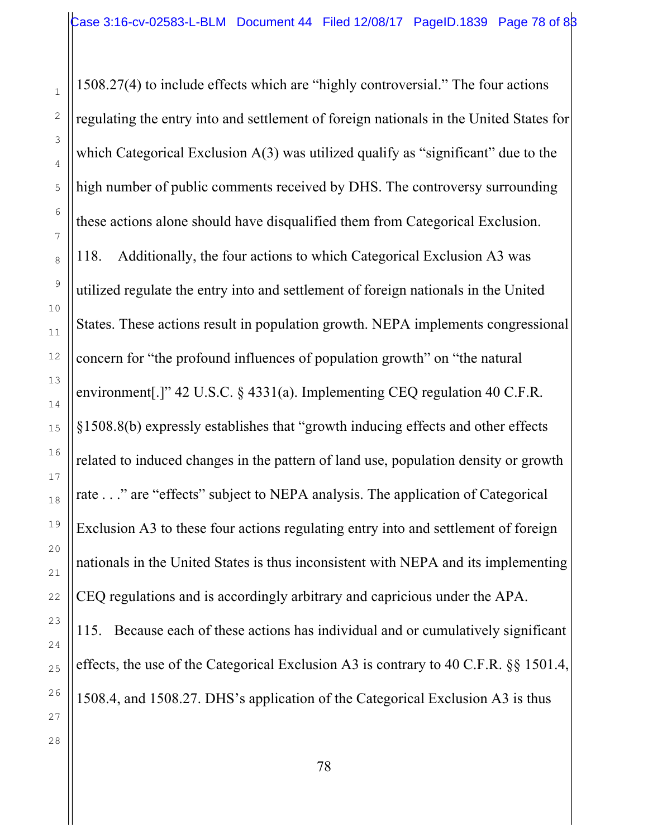1508.27(4) to include effects which are "highly controversial." The four actions regulating the entry into and settlement of foreign nationals in the United States for which Categorical Exclusion  $A(3)$  was utilized qualify as "significant" due to the high number of public comments received by DHS. The controversy surrounding these actions alone should have disqualified them from Categorical Exclusion. 118. Additionally, the four actions to which Categorical Exclusion A3 was utilized regulate the entry into and settlement of foreign nationals in the United States. These actions result in population growth. NEPA implements congressional concern for "the profound influences of population growth" on "the natural environment[.]" 42 U.S.C. § 4331(a). Implementing CEQ regulation 40 C.F.R. §1508.8(b) expressly establishes that "growth inducing effects and other effects related to induced changes in the pattern of land use, population density or growth rate . . ." are "effects" subject to NEPA analysis. The application of Categorical Exclusion A3 to these four actions regulating entry into and settlement of foreign nationals in the United States is thus inconsistent with NEPA and its implementing CEQ regulations and is accordingly arbitrary and capricious under the APA. 115. Because each of these actions has individual and or cumulatively significant effects, the use of the Categorical Exclusion A3 is contrary to 40 C.F.R. §§ 1501.4,

1508.4, and 1508.27. DHS's application of the Categorical Exclusion A3 is thus

1

2

3

4

5

6

7

8

9

10

11

12

13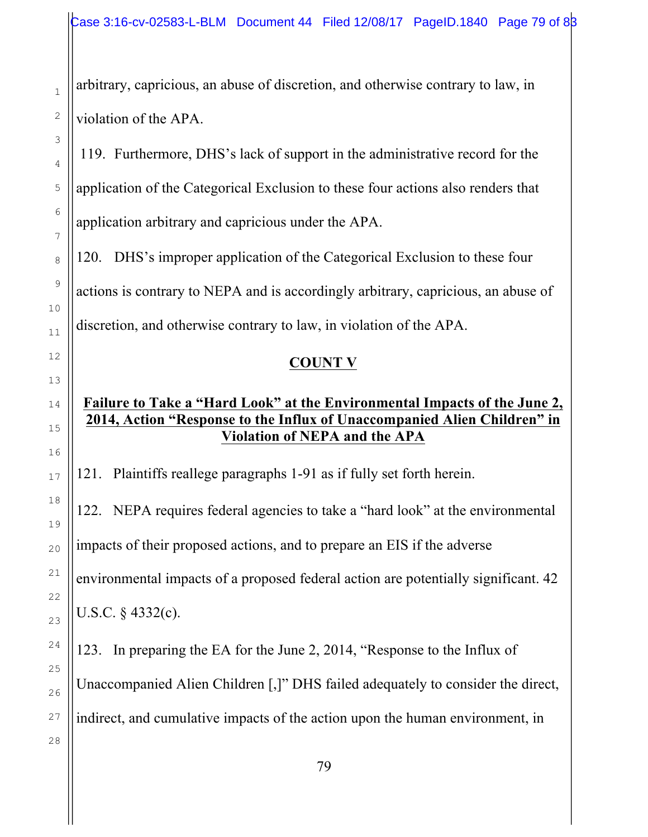arbitrary, capricious, an abuse of discretion, and otherwise contrary to law, in violation of the APA.

119. Furthermore, DHS's lack of support in the administrative record for the application of the Categorical Exclusion to these four actions also renders that application arbitrary and capricious under the APA.

120. DHS's improper application of the Categorical Exclusion to these four actions is contrary to NEPA and is accordingly arbitrary, capricious, an abuse of discretion, and otherwise contrary to law, in violation of the APA.

#### **COUNT V**

#### **Failure to Take a "Hard Look" at the Environmental Impacts of the June 2, 2014, Action "Response to the Influx of Unaccompanied Alien Children" in Violation of NEPA and the APA**

121. Plaintiffs reallege paragraphs 1-91 as if fully set forth herein.

122. NEPA requires federal agencies to take a "hard look" at the environmental impacts of their proposed actions, and to prepare an EIS if the adverse environmental impacts of a proposed federal action are potentially significant. 42 U.S.C. § 4332(c).

123. In preparing the EA for the June 2, 2014, "Response to the Influx of Unaccompanied Alien Children [,]" DHS failed adequately to consider the direct, indirect, and cumulative impacts of the action upon the human environment, in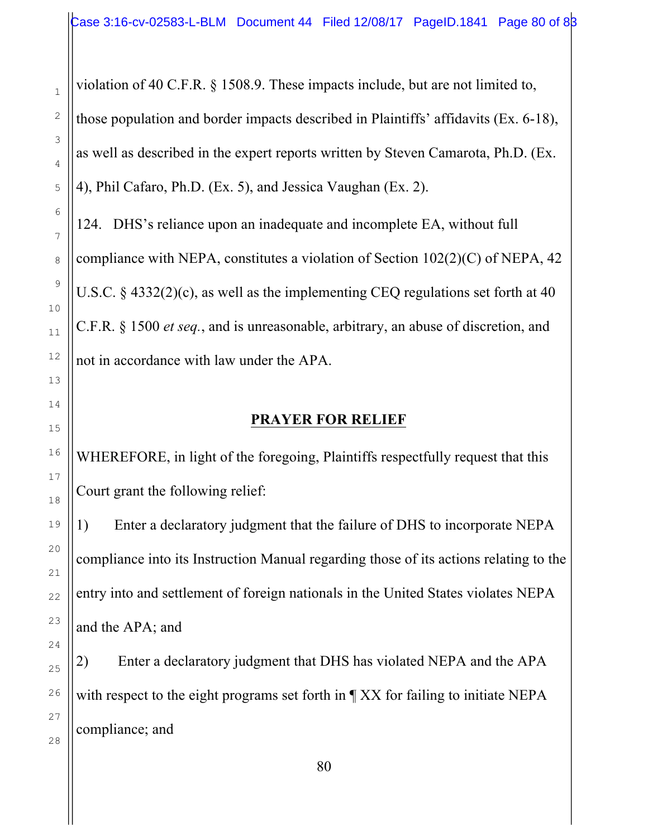violation of 40 C.F.R. § 1508.9. These impacts include, but are not limited to,

those population and border impacts described in Plaintiffs' affidavits (Ex. 6-18), as well as described in the expert reports written by Steven Camarota, Ph.D. (Ex. 4), Phil Cafaro, Ph.D. (Ex. 5), and Jessica Vaughan (Ex. 2).

124. DHS's reliance upon an inadequate and incomplete EA, without full compliance with NEPA, constitutes a violation of Section 102(2)(C) of NEPA, 42 U.S.C. § 4332(2)(c), as well as the implementing CEQ regulations set forth at 40 C.F.R. § 1500 *et seq.*, and is unreasonable, arbitrary, an abuse of discretion, and not in accordance with law under the APA.

#### **PRAYER FOR RELIEF**

WHEREFORE, in light of the foregoing, Plaintiffs respectfully request that this Court grant the following relief:

1) Enter a declaratory judgment that the failure of DHS to incorporate NEPA compliance into its Instruction Manual regarding those of its actions relating to the entry into and settlement of foreign nationals in the United States violates NEPA and the APA; and

2) Enter a declaratory judgment that DHS has violated NEPA and the APA with respect to the eight programs set forth in  $\P$  XX for failing to initiate NEPA compliance; and

1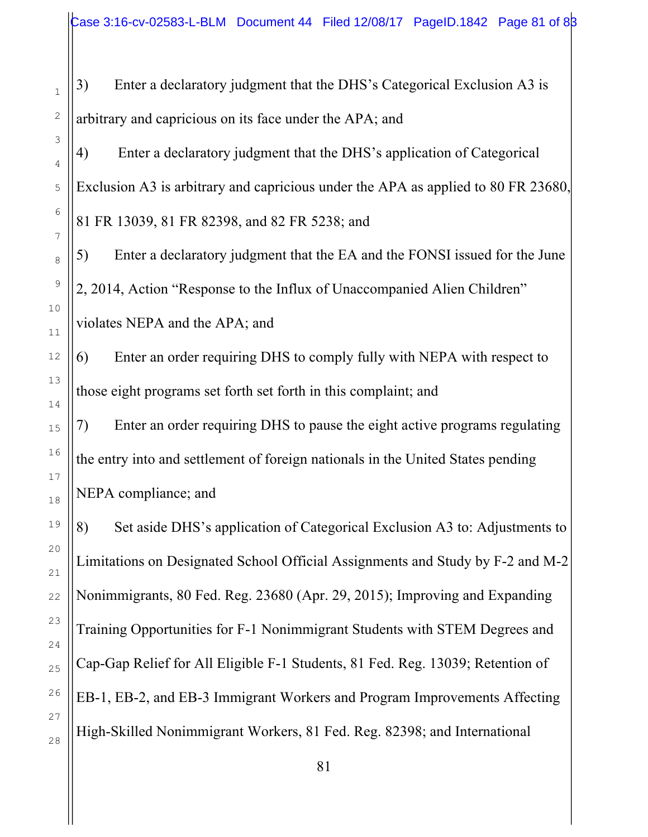3) Enter a declaratory judgment that the DHS's Categorical Exclusion A3 is arbitrary and capricious on its face under the APA; and

4) Enter a declaratory judgment that the DHS's application of Categorical Exclusion A3 is arbitrary and capricious under the APA as applied to 80 FR 23680, 81 FR 13039, 81 FR 82398, and 82 FR 5238; and

5) Enter a declaratory judgment that the EA and the FONSI issued for the June 2, 2014, Action "Response to the Influx of Unaccompanied Alien Children" violates NEPA and the APA; and

6) Enter an order requiring DHS to comply fully with NEPA with respect to those eight programs set forth set forth in this complaint; and

7) Enter an order requiring DHS to pause the eight active programs regulating the entry into and settlement of foreign nationals in the United States pending NEPA compliance; and

8) Set aside DHS's application of Categorical Exclusion A3 to: Adjustments to Limitations on Designated School Official Assignments and Study by F-2 and M-2 Nonimmigrants, 80 Fed. Reg. 23680 (Apr. 29, 2015); Improving and Expanding Training Opportunities for F-1 Nonimmigrant Students with STEM Degrees and Cap-Gap Relief for All Eligible F-1 Students, 81 Fed. Reg. 13039; Retention of EB-1, EB-2, and EB-3 Immigrant Workers and Program Improvements Affecting High-Skilled Nonimmigrant Workers, 81 Fed. Reg. 82398; and International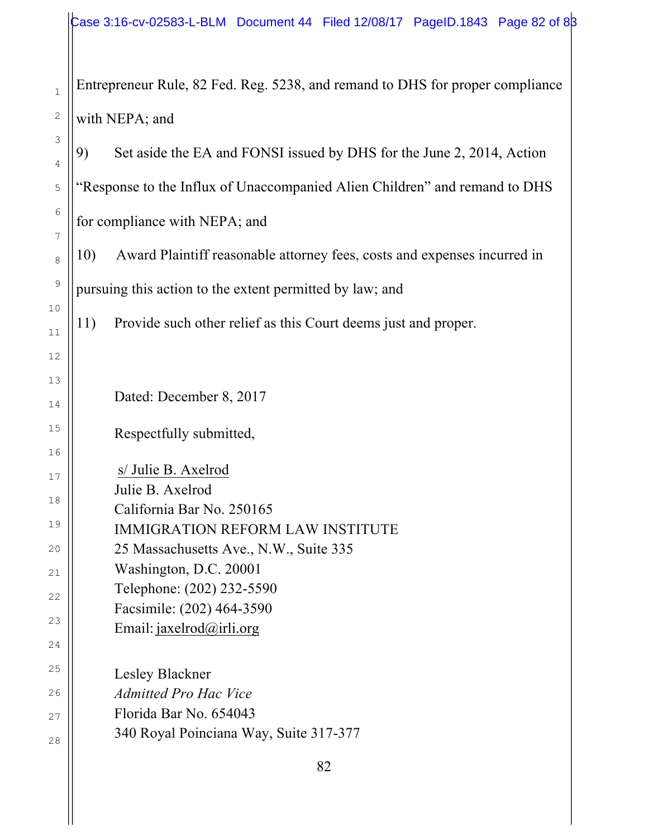Entrepreneur Rule, 82 Fed. Reg. 5238, and remand to DHS for proper compliance with NEPA; and

9) Set aside the EA and FONSI issued by DHS for the June 2, 2014, Action "Response to the Influx of Unaccompanied Alien Children" and remand to DHS for compliance with NEPA; and

10) Award Plaintiff reasonable attorney fees, costs and expenses incurred in pursuing this action to the extent permitted by law; and

11) Provide such other relief as this Court deems just and proper.

Dated: December 8, 2017

Respectfully submitted,

s/ Julie B. Axelrod

Julie B. Axelrod

California Bar No. 250165

IMMIGRATION REFORM LAW INSTITUTE

25 Massachusetts Ave., N.W., Suite 335

Washington, D.C. 20001

Telephone: (202) 232-5590

Facsimile: (202) 464-3590

Email: jaxelrod@irli.org

Lesley Blackner *Admitted Pro Hac Vice* Florida Bar No. 654043 340 Royal Poinciana Way, Suite 317-377